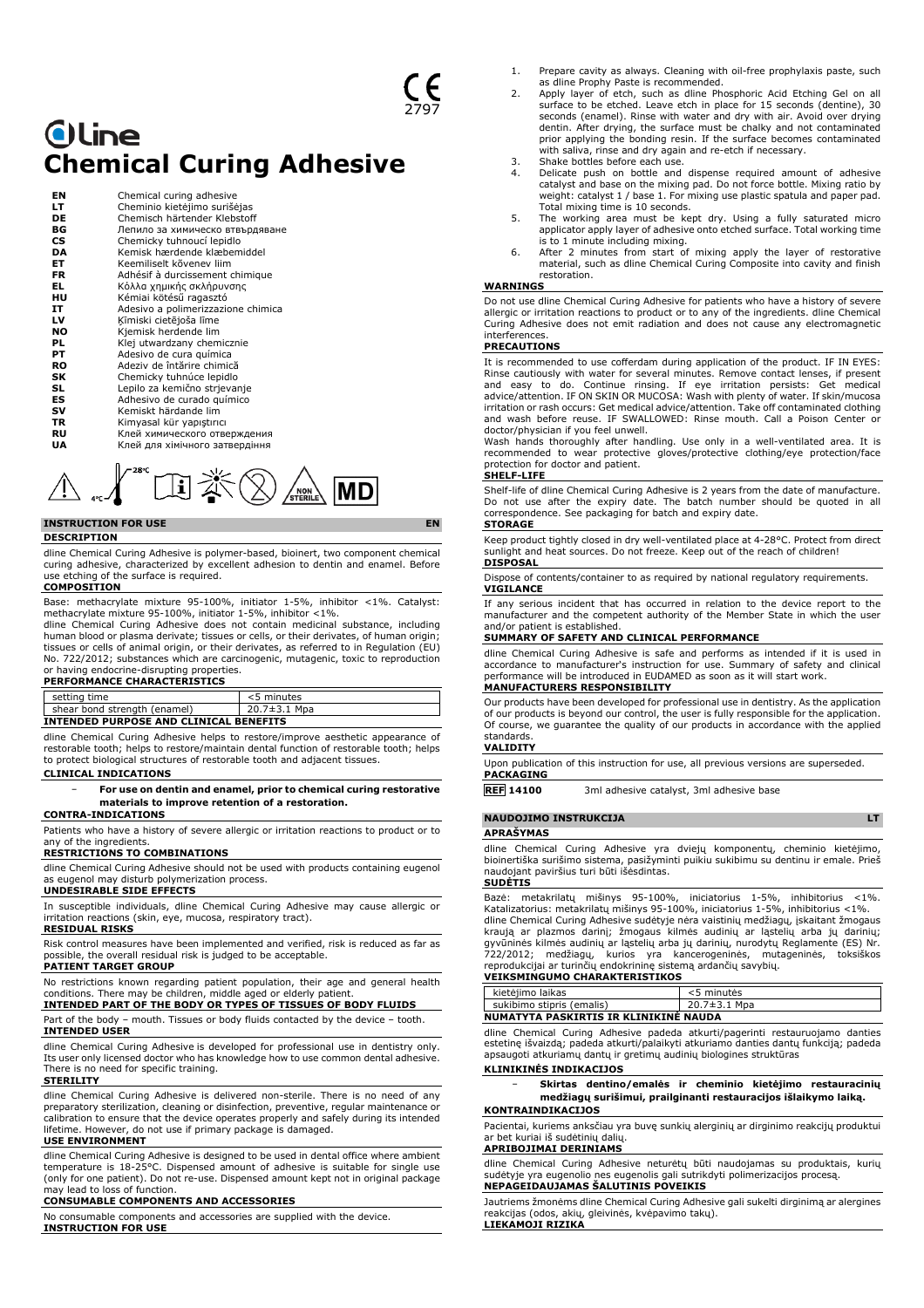# **Oline Chemical Curing Adhesive**

| ΕN        | Chemical curing adhesive           |
|-----------|------------------------------------|
| LТ        | Cheminio kietėjimo surišėjas       |
| DE        | Chemisch härtender Klebstoff       |
| ВG        | Лепило за химическо втвърдяване    |
| <b>CS</b> | Chemicky tuhnoucí lepidlo          |
| DA        | Kemisk hærdende klæbemiddel        |
| EТ        | Keemiliselt kõvenev liim           |
| FR        | Adhésif à durcissement chimique    |
| EL        | Κόλλα χημικής σκλήρυνσης           |
| нu        | Kémiai kötésű ragasztó             |
| IΤ        | Adesivo a polimerizzazione chimica |
| LV        | Ķīmiski cietējoša līme             |
| <b>NO</b> | Kjemisk herdende lim               |
| PL        | Klej utwardzany chemicznie         |
| PТ        | Adesivo de cura química            |
| RO        | Adeziv de întărire chimică         |
| SK        | Chemicky tuhnúce lepidlo           |
| SL        | Lepilo za kemično strjevanje       |
| ES        | Adhesivo de curado químico         |
| sv        | Kemiskt härdande lim               |
| TR        | Kimyasal kür yapıştırıcı           |
| RU        | Клей химического отверждения       |
| UA        | Клей для хімічного затвердіння     |



## **INSTRUCTION FOR USE EN**

#### **DESCRIPTION**

dline Chemical Curing Adhesive is polymer-based, bioinert, two component chemical curing adhesive, characterized by excellent adhesion to dentin and enamel. Before use etching of the surface is required. **COMPOSITION**

Base: methacrylate mixture 95-100%, initiator 1-5%, inhibitor <1%. Catalyst: methacrylate mixture 95-100%, initiator 1-5%, inhibitor <1%.

dline Chemical Curing Adhesive does not contain medicinal substance, including human blood or plasma derivate; tissues or cells, or their derivates, of human origin; tissues or cells of animal origin, or their derivates, as referred to in Regulation (EU) No. 722/2012; substances which are carcinogenic, mutagenic, toxic to reproduction or having endocrine-disrupting properties. **PERFORMANCE CHARACTERISTICS**

| setting time                                  | <5 minutes   |  |
|-----------------------------------------------|--------------|--|
| shear bond strength (enamel)                  | 20.7±3.1 Mpa |  |
| <b>INTENDED PURPOSE AND CLINICAL BENEFITS</b> |              |  |

dline Chemical Curing Adhesive helps to restore/improve aesthetic appearance of restorable tooth; helps to restore/maintain dental function of restorable tooth; helps to protect biological structures of restorable tooth and adjacent tissues.

#### **CLINICAL INDICATIONS**

− **For use on dentin and enamel, prior to chemical curing restorative materials to improve retention of a restoration.**

#### **CONTRA-INDICATIONS**

Patients who have a history of severe allergic or irritation reactions to product or to any of the ingredients.

#### **RESTRICTIONS TO COMBINATIONS**

dline Chemical Curing Adhesive should not be used with products containing eugenol as eugenol may disturb polymerization process.

#### **UNDESIRABLE SIDE EFFECTS**

In susceptible individuals, dline Chemical Curing Adhesive may cause allergic or irritation reactions (skin, eye, mucosa, respiratory tract).

#### **RESIDUAL RISKS**

Risk control measures have been implemented and verified, risk is reduced as far as possible, the overall residual risk is judged to be acceptable.

#### **PATIENT TARGET GROUP** No restrictions known regarding patient population, their age and general health

conditions. There may be children, middle aged or elderly patien **INTENDED PART OF THE BODY OR TYPES OF TISSUES OF BODY FLUIDS**

#### Part of the body – mouth. Tissues or body fluids contacted by the device – tooth. **INTENDED USER**

dline Chemical Curing Adhesive is developed for professional use in dentistry only. Its user only licensed doctor who has knowledge how to use common dental adhesive. There is no need for specific training.

#### **STERILITY**

dline Chemical Curing Adhesive is delivered non-sterile. There is no need of any preparatory sterilization, cleaning or disinfection, preventive, regular maintenance o calibration to ensure that the device operates properly and safely during its intended lifetime. However, do not use if primary package is damaged.

#### **USE ENVIRONMENT**

dline Chemical Curing Adhesive is designed to be used in dental office where ambient temperature is 18-25°C. Dispensed amount of adhesive is suitable for single use (only for one patient). Do not re-use. Dispensed amount kept not in original package may lead to loss of function.

#### **CONSUMABLE COMPONENTS AND ACCESSORIES**

No consumable components and accessories are supplied with the device. **INSTRUCTION FOR USE**

- 1. Prepare cavity as always. Cleaning with oil-free prophylaxis paste, such as dline Prophy Paste is recommended.
- 2. Apply layer of etch, such as dline Phosphoric Acid Etching Gel on all surface to be etched. Leave etch in place for 15 seconds (dentine), 30 seconds (enamel). Rinse with water and dry with air. Avoid over drying dentin. After drying, the surface must be chalky and not contaminated prior applying the bonding resin. If the surface becomes contaminated with saliva, rinse and dry again and re-etch if necessary. 3. Shake bottles before each use.
- 
- 4. Delicate push on bottle and dispense required amount of adhesive catalyst and base on the mixing pad. Do not force bottle. Mixing ratio by weight: catalyst 1 / base 1. For mixing use plastic spatula and paper pad.
- Total mixing time is 10 seconds. 5. The working area must be kept dry. Using a fully saturated micro applicator apply layer of adhesive onto etched surface. Total working time
- is to 1 minute including mixing. 6. After 2 minutes from start of mixing apply the layer of restorative material, such as dline Chemical Curing Composite into cavity and finish restoration.

#### **WARNINGS**

Do not use dline Chemical Curing Adhesive for patients who have a history of severe allergic or irritation reactions to product or to any of the ingredients. dline Chemical Curing Adhesive does not emit radiation and does not cause any electromagnetic interferences.

#### **PRECAUTIONS**

It is recommended to use cofferdam during application of the product. IF IN EYES: Rinse cautiously with water for several minutes. Remove contact lenses, if present<br>and easy to do. Continue rinsing. If eye irritation persists: Get medical<br>advice/attention. IF ON SKIN OR MUCOSA: Wash with plen irritation or rash occurs: Get medical advice/attention. Take off contaminated clothing and wash before reuse. IF SWALLOWED: Rinse mouth. Call a Poison Center or

doctor/physician if you feel unwell. Wash hands thoroughly after handling. Use only in a well-ventilated area. It is recommended to wear protective gloves/protective clothing/eye protection/face protection for doctor and patient.

## **SHELF-LIFE**

Shelf-life of dline Chemical Curing Adhesive is 2 years from the date of manufacture. Do not use after the expiry date. The batch number should be quoted in all correspondence. See packaging for batch and expiry date. **STORAGE**

Keep product tightly closed in dry well-ventilated place at 4-28°C. Protect from direct sunlight and heat sources. Do not freeze. Keep out of the reach of children! **DISPOSAL**

Dispose of contents/container to as required by national regulatory requirements. **VIGILANCE**

If any serious incident that has occurred in relation to the device report to the manufacturer and the competent authority of the Member State in which the user and/or patient is established.

#### **SUMMARY OF SAFETY AND CLINICAL PERFORMANCE**

dline Chemical Curing Adhesive is safe and performs as intended if it is used in accordance to manufacturer's instruction for use. Summary of safety and clinical performance will be introduced in EUDAMED as soon as it will start work. **MANUFACTURERS RESPONSIBILITY**

Our products have been developed for professional use in dentistry. As the application of our products is beyond our control, the user is fully responsible for the application. Of course, we guarantee the quality of our products in accordance with the applied standards.

### **VALIDITY**

Upon publication of this instruction for use, all previous versions are superseded. **PACKAGING**

**REF 14100** 3ml adhesive catalyst, 3ml adhesive base

### **NAUDOJIMO INSTRUKCIJA LT**

**APRAŠYMAS**

dline Chemical Curing Adhesive yra dviejų komponentų, cheminio kietėjimo, bioinertiška surišimo sistema, pasižyminti puikiu sukibimu su dentinu ir emale. Prieš naudojant paviršius turi būti išėsdintas.

#### **SUDĖTIS**

Bazė: metakrilatų mišinys 95-100%, iniciatorius 1-5%, inhibitorius <1%.<br>Katalizatorius:metakrilatųmišinys95-100%,iniciatorius1-5%,inhibitorius <1%.<br>dlineChemicalCuringAdhesive.sudėtyje.nėra vaistiniųmedžiagų,iskaitantžmoga kraują ar plazmos darinį; žmogaus kilmės audinių ar ląstelių arba jų darinių;<br>gyvūninės kilmės audinių ar ląstelių arba jų darinių, nurodytų Reglamente (ES) Nr.<br>722/2012; medžiagų, kurios yra kancerogeninės, mutageninės, t

| kietėjimo laikas                      | <5 minutės         |  |
|---------------------------------------|--------------------|--|
| sukibimo stipris (emalis)             | $20.7 \pm 3.1$ Mpa |  |
| NUMATYTA PASKIRTIS IR KLINIKINĖ NAUDA |                    |  |

dline Chemical Curing Adhesive padeda atkurti/pagerinti restauruojamo danties estetinę išvaizdą; padeda atkurti/palaikyti atkuriamo danties dantų funkciją; padeda apsaugoti atkuriamų dantų ir gretimų audinių biologines struktūras **KLINIKINĖS INDIKACIJOS**

#### − **Skirtas dentino/emalės ir cheminio kietėjimo restauracinių medžiagų surišimui, prailginanti restauracijos išlaikymo laiką. KONTRAINDIKACIJOS**

Pacientai, kuriems anksčiau yra buvę sunkių alerginių ar dirginimo reakcijų produktui ar bet kuriai iš sudėtinių dalių.

#### **APRIBOJIMAI DERINIAMS**

dline Chemical Curing Adhesive neturėtų būti naudojamas su produktais, kurių sudėtyje yra eugenolio nes eugenolis gali sutrikdyti polimerizacijos procesą. **NEPAGEIDAUJAMAS ŠALUTINIS POVEIKIS**

Jautriems žmonėms dline Chemical Curing Adhesive gali sukelti dirginimą ar alergines reakcijas (odos, akių, gleivinės, kvėpavimo takų). **LIEKAMOJI RIZIKA**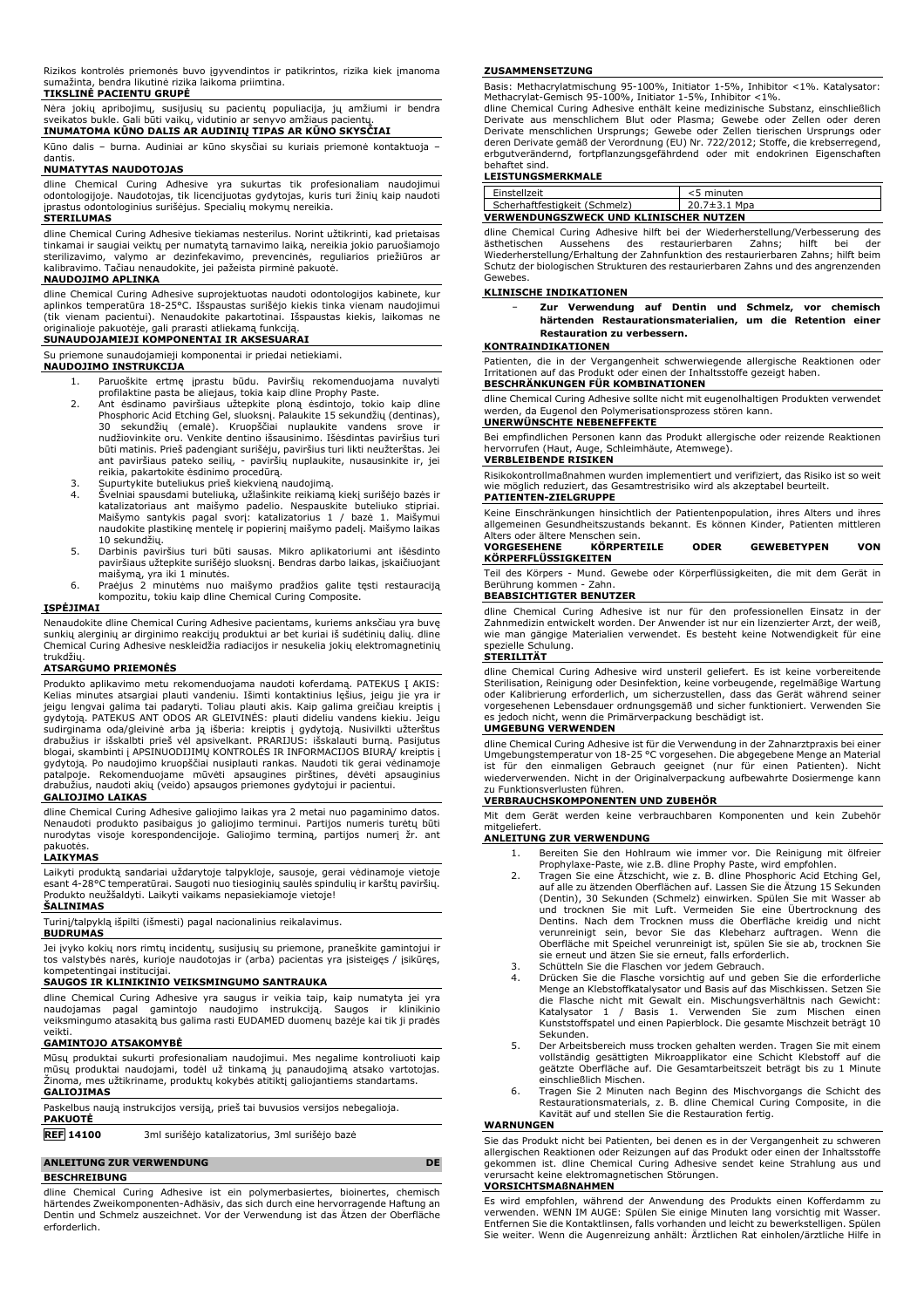Rizikos kontrolės priemonės buvo įgyvendintos ir patikrintos, rizika kiek įmanoma sumažinta, bendra likutinė rizika laikoma priimtina. **TIKSLINĖ PACIENTU GRUPĖ**

Nėra jokių apribojimų, susijusių su pacientų populiacija, jų amžiumi ir bendra sveikatos bukle. Gali būti vaikų, vidutinio ar senyvo amžiaus pacientų. **INUMATOMA KŪNO DALIS AR AUDINIŲ TIPAS AR KŪNO SKYSČIAI**

Kūno dalis – burna. Audiniai ar kūno skysčiai su kuriais priemonė kontaktuoja – dantis.

#### **NUMATYTAS NAUDOTOJAS**

dline Chemical Curing Adhesive yra sukurtas tik profesionaliam naudojimui odontologijoje. Naudotojas, tik licencijuotas gydytojas, kuris turi žinių kaip naudoti įprastus odontologinius surišėjus. Specialių mokymų nereikia. **STERILUMAS**

# dline Chemical Curing Adhesive tiekiamas nesterilus. Norint užtikrinti, kad prietaisas tinkamai ir saugiai veiktų per numatytą tarnavimo laiką, nereikia jokio paruošiamojo<br>sterilizavimo, valymo ar dezinfekavimo, prevencinės, reguliarios priežiūros ar<br>kalibravimo. Tačiau nenaudokite, jei pažeista pirm

#### **NAUDOJIMO APLINKA**

dline Chemical Curing Adhesive suprojektuotas naudoti odontologijos kabinete, kur<br>aplinkos temperatūra 18-25°C. Išspaustas surišėjo kiekis tinka vienam naudojimui<br>(tik vienam pacientui). Nenaudokite pakartotinai. Išspausta

# **SUNAUDOJAMIEJI KOMPONENTAI IR AKSESUARAI**

Su priemone sunaudojamieji komponentai ir priedai netiekiami. **NAUDOJIMO INSTRUKCIJA**

- 1. Paruoškite ertmę įprastu būdu. Paviršių rekomenduojama nuvalyti profilaktine pasta be aliejaus, tokia kaip dline Prophy Paste.
- 2. Ant ėsdinamo paviršiaus užtepkite ploną ėsdintojo, tokio kaip dline<br>Phosphoric Acid Etching Gel, sluoksnį. Palaukite 15 sekundžių (dentinas),<br>30 sekundžių (emalė). Kruopščiai nuplaukite vandens srove ir<br>nudžiovinkite or būti matinis. Prieš padengiant surišėju, paviršius turi likti neužterštas. Jei ant paviršiaus pateko seilių, - paviršių nuplaukite, nusausinkite ir, jei reikia, pakartokite ėsdinimo procedūrą. 3. Supurtykite buteliukus prieš kiekvieną naudojimą.
- 
- 4. Švelniai spausdami buteliuką, užlašinkite reikiamą kiekį surišėjo bazės ir katalizatoriaus ant maišymo padelio. Nespauskite buteliuko stipriai. Maišymo santykis pagal svorį: katalizatorius 1 / bazė 1. Maišymui naudokite plastikinę mentelę ir popierinį maišymo padelį. Maišymo laikas
- 10 sekundžių. 5. Darbinis paviršius turi būti sausas. Mikro aplikatoriumi ant išėsdinto paviršiaus užtepkite surišėjo sluoksnį. Bendras darbo laikas, įskaičiuojant
- maišymą, yra iki 1 minutės. 6. Praėjus 2 minutėms nuo maišymo pradžios galite tęsti restauraciją kompozitu, tokiu kaip dline Chemical Curing Composite.

### **ĮSPĖJIMAI**

Nenaudokite dline Chemical Curing Adhesive pacientams, kuriems anksčiau yra buvę sunkių alerginių ar dirginimo reakcijų produktui ar bet kuriai iš sudėtinių dalių. dline Chemical Curing Adhesive neskleidžia radiacijos ir nesukelia jokių elektromagnetinių trukdžių.

### **ATSARGUMO PRIEMONĖS**

Produkto aplikavimo metu rekomenduojama naudoti koferdamą. PATEKUS Į AKIS: Kelias minutes atsargiai plauti vandeniu. Išimti kontaktinius lęšius, jeigu jie yra ir<br>jeigu lengvai galima tai padaryti. Toliau plauti akis. Kaip galima greičiau kreiptis į<br>gydytoją. PATEKUS ANT ODOS AR GLEIVINĖS: plauti gydytoją. Po naudojimo kruopščiai nusiplauti rankas. Naudoti tik gerai vėdinamoje patalpoje. Rekomenduojame mūvėti apsaugines pirštines, dėvėti apsauginius drabužius, naudoti akių (veido) apsaugos priemones gydytojui ir pacientui.

#### **GALIOJIMO LAIKAS**

dline Chemical Curing Adhesive galiojimo laikas yra 2 metai nuo pagaminimo datos. Nenaudoti produkto pasibaigus jo galiojimo terminui. Partijos numeris turėtų būti nurodytas visoje korespondencijoje. Galiojimo terminą, partijos numerį žr. ant

# pakuotės. **LAIKYMAS**

Laikyti produktą sandariai uždarytoje talpykloje, sausoje, gerai vėdinamoje vietoje esant 4-28°C temperatūrai. Saugoti nuo tiesioginių saulės spindulių ir karštų paviršių. Produkto neužšaldyti. Laikyti vaikams nepasiekiamoje vietoje!

# **ŠALINIMAS**

Turinį/talpyklą išpilti (išmesti) pagal nacionalinius reikalavimus.

### **BUDRUMAS**

Jei įvyko kokių nors rimtų incidentų, susijusių su priemone, praneškite gamintojui ir tos valstybės narės, kurioje naudotojas ir (arba) pacientas yra įsisteigęs / įsikūręs, kompetentingai institucijai.

#### **SAUGOS IR KLINIKINIO VEIKSMINGUMO SANTRAUKA**

dline Chemical Curing Adhesive yra saugus ir veikia taip, kaip numatyta jei yra<br>naudojamas - pagal - gamintojo - naudojimo - instrukciją. - Saugos - ir - klinikinio<br>veiksmingumo atasakitą bus galima rasti EUDAMED duomenų b veikti.

#### **GAMINTOJO ATSAKOMYBĖ**

Mūsų produktai sukurti profesionaliam naudojimui. Mes negalime kontroliuoti kaip mūsų produktai naudojami, todėl už tinkamą jų panaudojimą atsako vartotojas. Žinoma, mes užtikriname, produktų kokybės atitiktį galiojantiems standartams. **GALIOJIMAS**

- Paskelbus naują instrukcijos versiją, prieš tai buvusios versijos nebegalioja. **PAKUOTĖ**
- **REF 14100** 3ml surišėjo katalizatorius, 3ml surišėjo bazė

#### **ANLEITUNG ZUR VERWENDUNG DE BESCHREIBUNG**

dline Chemical Curing Adhesive ist ein polymerbasiertes, bioinertes, chemisch härtendes Zweikomponenten-Adhäsiv, das sich durch eine hervorragende Haftung an Dentin und Schmelz auszeichnet. Vor der Verwendung ist das Ätzen der Oberfläche erforderlich.

#### **ZUSAMMENSETZUNG**

Basis: Methacrylatmischung 95-100%, Initiator 1-5%, Inhibitor <1%. Katalysator:

Methacrylat-Gemisch 95-100%, Initiator 1-5%, Inhibitor <1%.<br>dline Chemical Curing Adhesive enthält keine medizinische Substanz, einschließlich<br>Derivate aus menschlichem Blut oder Plasma; Gewebe oder Zellen oder deren<br>Deriv deren Derivate gemäß der Verordnung (EU) Nr. 722/2012; Stoffe, die krebserregend, erbgutverändernd, fortpflanzungsgefährdend oder mit endokrinen Eigenschaften behaftet sind.

#### **LEISTUNGSMERKMALE**

| Einstellzeit                  |                                               | <5 minuten         |  |
|-------------------------------|-----------------------------------------------|--------------------|--|
| Scherhaftfestigkeit (Schmelz) |                                               | $20.7 \pm 3.1$ Mpa |  |
|                               | <b>VERWENDUNGSZWECK UND KLINISCHER NUTZEN</b> |                    |  |

dline Chemical Curing Adhesive hilft bei der Wiederherstellung/Verbesserung des ästhetischen Aussehens des restaurierbaren Zahns; hilft bei der Wiederherstellung/Erhaltung der Zahnfunktion des restaurierbaren Zahns; hilft beim Schutz der biologischen Strukturen des restaurierbaren Zahns und des angrenzenden Gewebes.

#### **KLINISCHE INDIKATIONEN**

− **Zur Verwendung auf Dentin und Schmelz, vor chemisch härtenden Restaurationsmaterialien, um die Retention einer Restauration zu verbessern.**

#### **KONTRAINDIKATIONEN**

Patienten, die in der Vergangenheit schwerwiegende allergische Reaktionen oder Irritationen auf das Produkt oder einen der Inhaltsstoffe gezeigt haben.

### **BESCHRÄNKUNGEN FÜR KOMBINATIONEN**

dline Chemical Curing Adhesive sollte nicht mit eugenolhaltigen Produkten verwendet werden, da Eugenol den Polymerisationsprozess stören kann. **UNERWÜNSCHTE NEBENEFFEKTE**

Bei empfindlichen Personen kann das Produkt allergische oder reizende Reaktionen hervorrufen (Haut, Auge, Schleimhäute, Atemwege).

### **VERBLEIBENDE RISIKEN**

Risikokontrollmaßnahmen wurden implementiert und verifiziert, das Risiko ist so weit wie möglich reduziert, das Gesamtrestrisiko wird als akzeptabel beurteilt.

#### **PATIENTEN-ZIELGRUPPE**

Keine Einschränkungen hinsichtlich der Patientenpopulation, ihres Alters und ihres allgemeinen Gesundheitszustands bekannt. Es können Kinder, Patienten mittleren Alters oder ältere Menschen sein.

| <b>VORGESEHENE</b><br><b>KÖRPERFLÜSSIGKEITEN</b> | <b>KÖRPERTEILE</b> | <b>ODER</b> | <b>GEWEBETYPEN</b>                                                                                              | VON |
|--------------------------------------------------|--------------------|-------------|-----------------------------------------------------------------------------------------------------------------|-----|
|                                                  |                    |             |                                                                                                                 |     |
|                                                  |                    |             | the contract of the contract of the contract of the contract of the contract of the contract of the contract of |     |

Teil des Körpers - Mund. Gewebe oder Körperflüssigkeiten, die mit dem Gerät in Berührung kommen - Zahn.

### **BEABSICHTIGTER BENUTZER**

dline Chemical Curing Adhesive ist nur für den professionellen Einsatz in der Zahnmedizin entwickelt worden. Der Anwender ist nur ein lizenzierter Arzt, der weiß, wie man gängige Materialien verwendet. Es besteht keine Notwendigkeit für eine<br>spezielle Schulung. s<br>Schulung.

#### **STERILITÄT**

dline Chemical Curing Adhesive wird unsteril geliefert. Es ist keine vorbereitende Sterilisation, Reinigung oder Desinfektion, keine vorbeugende, regelmäßige Wartung oder Kalibrierung erforderlich, um sicherzustellen, dass das Gerät während seiner vorgesehenen Lebensdauer ordnungsgemäß und sicher funktioniert. Verwenden Sie es jedoch nicht, wenn die Primärverpackung beschädigt ist.

#### **UMGEBUNG VERWENDEN**

dline Chemical Curing Adhesive ist für die Verwendung in der Zahnarztpraxis bei einer Umgebungstemperatur von 18-25 °C vorgesehen. Die abgegebene Menge an Material ist für den einmaligen Gebrauch geeignet (nur für einen Patienten). Nicht wiederverwenden. Nicht in der Originalverpackung aufbewahrte Dosiermenge kann zu Funktionsverlusten führen.

#### **VERBRAUCHSKOMPONENTEN UND ZUBEHÖR**

Mit dem Gerät werden keine verbrauchbaren Komponenten und kein Zubehör mitgeliefert.

### **ANLEITUNG ZUR VERWENDUNG**

- 1. Bereiten Sie den Hohlraum wie immer vor. Die Reinigung mit ölfreier
- Prophylaxe-Paste, wie z.B. dline Prophy Paste, wird empfohlen. 2. Tragen Sie eine Ätzschicht, wie z. B. dline Phosphoric Acid Etching Gel, auf alle zu ätzenden Oberflächen auf. Lassen Sie die Atzung 15 Sekunden<br>(Dentin), 30 Sekunden (Schmelz) einwirken. Spülen Sie mit Wasser ab<br>und trocknen Sie mit Luft. Vermeiden Sie eine Übertrocknung des<br>Dentins. Nach dem Oberfläche mit Speichel verunreinigt ist, spülen Sie sie ab, trocknen Sie sie erneut und ätzen Sie sie erneut, falls erforderlich.
- 
- 3. Schütteln Sie die Flaschen vor jedem Gebrauch.<br>4. Drücken Sie die Flasche vorsichtig auf und geben Sie die erforderliche<br> Menge an Klebstoffkatalysator und Basis auf das Mischkissen. Setzen Sie die Flasche nicht mit Gewalt ein. Mischungsverhältnis nach Gewicht:<br>Katalysator 1 / Basis 1. Verwenden Sie zum Mischen einen<br>Kunststoffspatel und einen Papierblock. Die gesamte Mischzeit beträgt 10 Sekunden.
- 5. Der Arbeitsbereich muss trocken gehalten werden. Tragen Sie mit einem vollständig gesättigten Mikroapplikator eine Schicht Klebstoff auf die geätzte Oberfläche auf. Die Gesamtarbeitszeit beträgt bis zu 1 Minute einschließlich Mischen.
- 6. Tragen Sie 2 Minuten nach Beginn des Mischvorgangs die Schicht des Restaurationsmaterials, z. B. dline Chemical Curing Composite, in die Kavität auf und stellen Sie die Restauration fertig.

#### **WARNUNGEN**

Sie das Produkt nicht bei Patienten, bei denen es in der Vergangenheit zu schweren allergischen Reaktionen oder Reizungen auf das Produkt oder einen der Inhaltsstoffe gekommen ist. dline Chemical Curing Adhesive sendet keine Strahlung aus und verursacht keine elektromagnetischen Störungen. **VORSICHTSMAßNAHMEN**

Es wird empfohlen, während der Anwendung des Produkts einen Kofferdamm zu verwenden. WENN IM AUGE: Spülen Sie einige Minuten lang vorsichtig mit Wasser. Entfernen Sie die Kontaktlinsen, falls vorhanden und leicht zu bewerkstelligen. Spülen Sie weiter. Wenn die Augenreizung anhält: Ärztlichen Rat einholen/ärztliche Hilfe in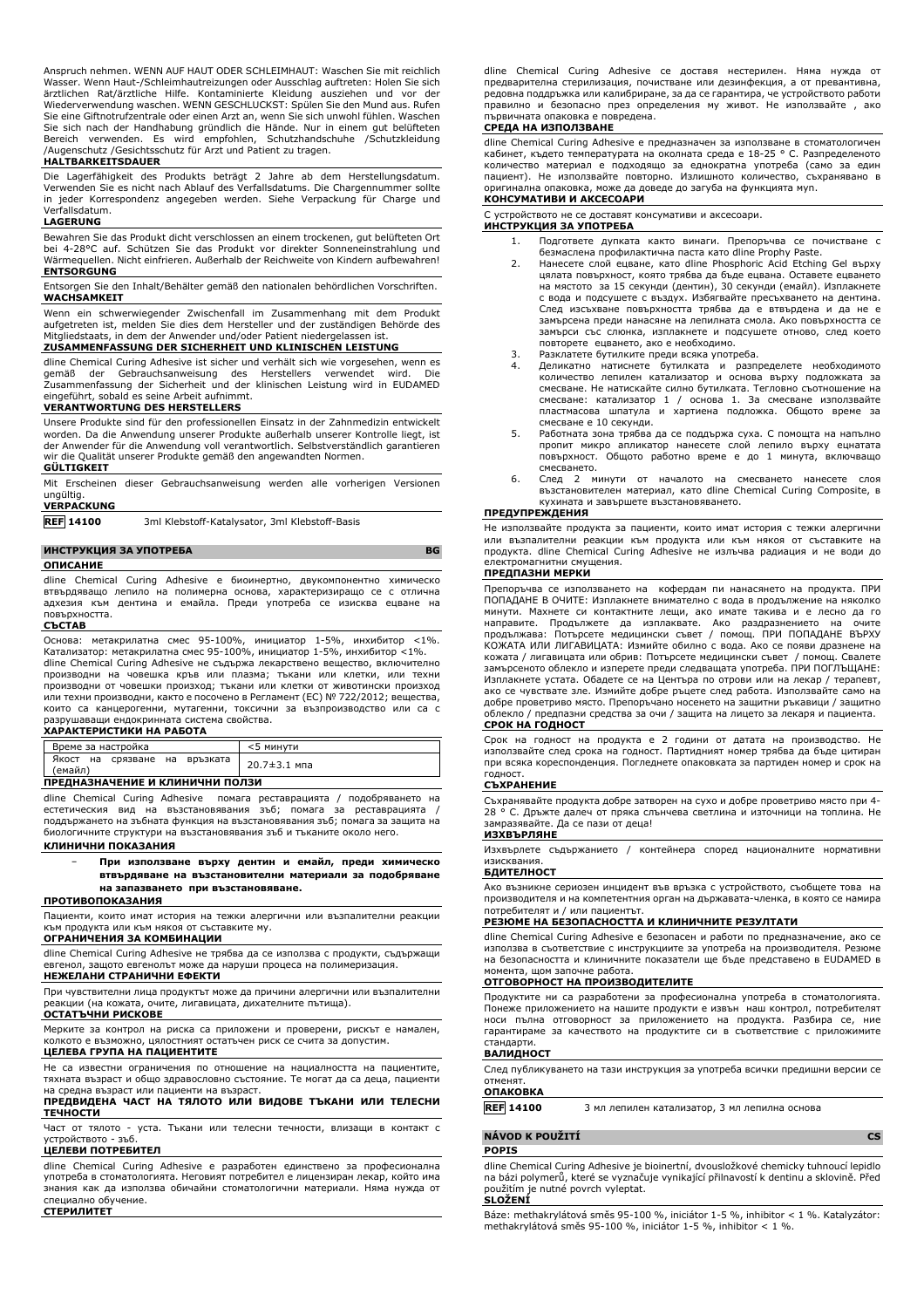Anspruch nehmen. WENN AUF HAUT ODER SCHLEIMHAUT: Waschen Sie mit reichlich Wasser. Wenn Haut-/Schleimhautreizungen oder Ausschlag auftreten: Holen Sie sich ärztlichen Rat/ärztliche Hilfe. Kontaminierte Kleidung ausziehen und vor der Wiederverwendung waschen. WENN GESCHLUCKST: Spülen Sie den Mund aus. Rufen Sie eine Giftnotrufzentrale oder einen Arzt an, wenn Sie sich unwohl fühlen. Waschen<br>Sie sich nach der Handhabung gründlich die Hände. Nur in einem gut belüfteten<br>Bereich verwenden. Es wird empfohlen, Schutzhandschuhe

### **HALTBARKEITSDAUER**

Die Lagerfähigkeit des Produkts beträgt 2 Jahre ab dem Herstellungsdatum. Verwenden Sie es nicht nach Ablauf des Verfallsdatums. Die Chargennummer sollte in jeder Korrespondenz angegeben werden. Siehe Verpackung für Charge und Verfallsdatum.

#### **LAGERUNG**

Bewahren Sie das Produkt dicht verschlossen an einem trockenen, gut belüfteten Ort bei 4-28°C auf. Schützen Sie das Produkt vor direkter Sonneneinstrahlung und Wärmequellen. Nicht einfrieren. Außerhalb der Reichweite von Kindern aufbewahren! **ENTSORGUNG**

Entsorgen Sie den Inhalt/Behälter gemäß den nationalen behördlichen Vorschriften. **WACHSAMKEIT**

Wenn ein schwerwiegender Zwischenfall im Zusammenhang mit dem Produkt aufgetreten ist, melden Sie dies dem Hersteller und der zuständigen Behörde des Mitgliedstaats, in dem der Anwender und/oder Patient niedergelassen ist.

#### **ZUSAMMENFASSUNG DER SICHERHEIT UND KLINISCHEN LEISTUNG** dline Chemical Curing Adhesive ist sicher und verhält sich wie vorgesehen, wenn es

gemäß der Gebrauchsanweisung des Herstellers verwendet wird. Die Zusammenfassung der Sicherheit und der klinischen Leistung wird in EUDAMED eingeführt, sobald es seine Arbeit aufnimmt.

#### **VERANTWORTUNG DES HERSTELLERS**

Unsere Produkte sind für den professionellen Einsatz in der Zahnmedizin entwickelt worden. Da die Anwendung unserer Produkte außerhalb unserer Kontrolle liegt, ist der Anwender für die Anwendung voll verantwortlich. Selbstverständlich garantieren wir die Qualität unserer Produkte gemäß den angewandten Normen.

#### **GÜLTIGKEIT**

Mit Erscheinen dieser Gebrauchsanweisung werden alle vorherigen Versionen ungültig.

# **VERPACKUNG**

**REF 14100** 3ml Klebstoff-Katalysator, 3ml Klebstoff-Basis

# **ИНСТРУКЦИЯ ЗА УПОТРЕБА BG**

#### **ОПИСАНИЕ**

dline Chemical Curing Adhesive е биоинертно, двукомпонентно химическо втвърдяващо лепило на полимерна основа, характеризиращо се с отлична адхезия към дентина и емайла. Преди употреба се изисква ецване на повърхността. **СЪСТАВ**

#### Основа: метакрилатна смес 95-100%, инициатор 1-5%, инхибитор <1%. Катализатор: метакрилатна смес 95-100%, инициатор 1-5%, инхибитор <1%. dline Chemical Curing Adhesive не съдържа лекарствено вещество, включително производни на човешка кръв или плазма; тъкани или клетки, или техни производни от човешки произход; тъкани или клетки от животински произход или техни производни, както е посочено в Регламент (ЕС) № 722/2012; вещества, които са канцерогенни, мутагенни, токсични за възпроизводство или са с разрушаващи ендокринната система свойства.

#### **ХАРАКТЕРИСТИКИ НА РАБОТА**

| Време за настройка                       | <5 минути    |  |
|------------------------------------------|--------------|--|
| Якост на срязване на връзката<br>(емайл) | 20.7±3.1 мпа |  |
| ПРЕДНАЗНАЧЕНИЕ И КЛИНИЧНИ ПОЛЗИ          |              |  |

dline Chemical Curing Adhesive помага реставрацията / подобряването на естетическия вид на възстановявания зъб; помага за реставрацията / поддържането на зъбната функция на възстановявания зъб; помага за защита на биологичните структури на възстановявания зъб и тъканите около него. **КЛИНИЧНИ ПОКАЗАНИЯ**

# − **При използване върху дентин и емайл, преди химическо втвърдяване на възстановителни материали за подобряване**

#### **на запазването при възстановяване. ПРОТИВОПОКАЗАНИЯ**

Пациенти, които имат история на тежки алергични или възпалителни реакции към продукта или към някоя от съставките му.

#### **ОГРАНИЧЕНИЯ ЗА КОМБИНАЦИИ**

dline Chemical Curing Adhesive не трябва да се използва с продукти, съдържащи евгенол, защото евгенолът може да наруши процеса на полимеризация. **НЕЖЕЛАНИ СТРАНИЧНИ ЕФЕКТИ**

# При чувствителни лица продуктът може да причини алергични или възпалителни реакции (на кожата, очите, лигавицата, дихателните пътища).

#### **ОСТАТЪЧНИ РИСКОВЕ**

Мерките за контрол на риска са приложени и проверени, рискът е намален, колкото е възможно, цялостният остатъчен риск се счита за допустим.

# **ЦЕЛЕВА ГРУПА НА ПАЦИЕНТИТЕ**

Не са известни ограничения по отношение на нациалността на пациентите, тяхната възраст и общо здравословно състояние. Те могат да са деца, пациенти на средна възраст или пациенти на възраст.

#### **ПРЕДВИДЕНА ЧАСТ НА ТЯЛОТО ИЛИ ВИДОВЕ ТЪКАНИ ИЛИ ТЕЛЕСНИ ТЕЧНОСТИ**

Част от тялото - уста. Тъкани или телесни течности, влизащи в контакт с устройството - зъб.

### **ЦЕЛЕВИ ПОТРЕБИТЕЛ**

dline Chemical Curing Adhesive е разработен единствено за професионална употреба в стоматологията. Неговият потребител е лицензиран лекар, който има знания как да използва обичайни стоматологични материали. Няма нужда от специално обучение. **СТЕРИЛИТЕТ**

dline Chemical Curing Adhesive се доставя нестерилен. Няма нужда от предварителна стерилизация, почистване или дезинфекция, а от превантивна, редовна поддръжка или калибриране, за да се гарантира, че устройството работи правилно и безопасно през определения му живот. Не използвайте , ако първичната опаковка е повредена.

#### **СРЕДА НА ИЗПОЛЗВАНЕ**

dline Chemical Curing Adhesive е предназначен за използване в стоматологичен кабинет, където температурата на околната среда е 18-25 ° C. Разпределеното количество материал е подходящо за еднократна употреба (само за един пациент). Не използвайте повторно. Излишното количество, съхранявано в оригинална опаковка, може да доведе до загуба на функцията муn. **КОНСУМАТИВИ И АКСЕСОАРИ**

#### С устройството не се доставят консумативи и аксесоари.

#### **ИНСТРУКЦИЯ ЗА УПОТРЕБА**

- 1. Подгответе дупката както винаги. Препоръчва се почистване с безмаслена профилактична паста като dline Prophy Paste.
- 2. Нанесете слой ецване, като dline Phosphoric Acid Etching Gel върху цялата повърхност, която трябва да бъде ецвана. Оставете ецването на мястото за 15 секунди (дентин), 30 секунди (емайл). Изплакнете с вода и подсушете с въздух. Избягвайте пресъхването на дентина. След изсъхване повърхността трябва да е втвърдена и да не е замърсена преди нанасяне на лепилната смола. Ако повърхността се замърси със слюнка, изплакнете и подсушете отново, след което повторете ецването, ако е необходимо.
- 
- 3. Разклатете бутилките преди всяка употреба. 4. Деликатно натиснете бутилката и разпределете необходимото количество лепилен катализатор и основа върху подложката за смесване. Не натискайте силно бутилката. Тегловно съотношение на смесване: катализатор 1 / основа 1. За смесване използвайте пластмасова шпатула и хартиена подложка. Общото време за смесване е 10 секунди.
- 5. Работната зона трябва да се поддържа суха. С помощта на напълно пропит микро апликатор нанесете слой лепило върху ецнатата повърхност. Общото работно време е до 1 минута, включващо смесването.
- 6. След 2 минути от началото на смесването нанесете слоя възстановителен материал, като dline Chemical Curing Composite, в кухината и завършете възстановяването.

#### **ПРЕДУПРЕЖДЕНИЯ**

Не използвайте продукта за пациенти, които имат история с тежки алергични или възпалителни реакции към продукта или към някоя от съставките на продукта. dline Chemical Curing Adhesive не излъчва радиация и не води до електромагнитни смущения.

#### **ПРЕДПАЗНИ МЕРКИ**

Препоръчва се използването на кофердам пи нанасянето на продукта. ПРИ ПОПАДАНЕ В ОЧИТЕ: Изплакнете внимателно с вода в продължение на няколко минути. Махнете си контактните лещи, ако имате такива и е лесно да го направите. Продължете да изплаквате. Ако раздразнението на продължава: Потърсете медицински съвет / помощ. ПРИ ПОПАДАНЕ ВЪРХУ КОЖАТА ИЛИ ЛИГАВИЦАТА: Измийте обилно с вода. Ако се появи дразнене на кожата / лигавицата или обрив: Потърсете медицински съвет / помощ. Свалете замърсеното облекло и изперете преди следващата употреба. ПРИ ПОГЛЪЩАНЕ: Изплакнете устата. Обадете се на Центъра по отрови или на лекар / терапевт, ако се чувствате зле. Измийте добре ръцете след работа. Използвайте само на добре проветриво място. Препоръчано носенето на защитни ръкавици / защитно облекло / предпазни средства за очи / защита на лицето за лекаря и пациента. **СРОК НА ГОДНОСТ**

Срок на годност на продукта е 2 години от датата на производство. Не използвайте след срока на годност. Партидният номер трябва да бъде цитиран при всяка кореспонденция. Погледнете опаковката за партиден номер и срок на годност.

### **СЪХРАНЕНИЕ**

Съхранявайте продукта добре затворен на сухо и добре проветриво място при 4- 28 ° C. Дръжте далеч от пряка слънчева светлина и източници на топлина. Не замразявайте. Да се пази от деца!

## **ИЗХВЪРЛЯНЕ**

Изхвърлете съдържанието / контейнера според националните нормативни изисквания.

### **БДИТЕЛНОСТ**

Ако възникне сериозен инцидент във връзка с устройството, съобщете това на производителя и на компетентния орган на държавата-членка, в която се намира потребителят и / или пациентът.

### **РЕЗЮМЕ НА БЕЗОПАСНОСТТА И КЛИНИЧНИТЕ РЕЗУЛТАТИ**

dline Chemical Curing Adhesive е безопасен и работи по предназначение, ако се използва в съответствие с инструкциите за употреба на производителя. Резюме на безопасността и клиничните показатели ще бъде представено в EUDAMED в

# момента, щом започне работа. **ОТГОВОРНОСТ НА ПРОИЗВОДИТЕЛИТЕ**

Продуктите ни са разработени за професионална употреба в стоматологията. Понеже приложението на нашите продукти е извън наш контрол, потребителят носи пълна отговорност за приложението на продукта. Разбира се, ние гарантираме за качеството на продуктите си в съответствие с приложимите стандарти.

#### **ВАЛИДНОСТ**

След публикуването на тази инструкция за употреба всички предишни версии се отменят.

# **ОПАКОВКА**

**REF 14100** 3 мл лепилен катализатор, 3 мл лепилна основа

#### **NÁVOD K POUŽITÍ CS**

#### **POPIS**

dline Chemical Curing Adhesive je bioinertní, dvousložkové chemicky tuhnoucí lepidlo na bázi polymerů, které se vyznačuje vynikající přilnavostí k dentinu a sklovině. Před použitím je nutné povrch vyleptat. **SLOŽENÍ**

Báze: methakrylátová směs 95-100 %, iniciátor 1-5 %, inhibitor < 1 %. Katalyzátor: methakrylátová směs 95-100 %, iniciátor 1-5 %, inhibitor < 1 %.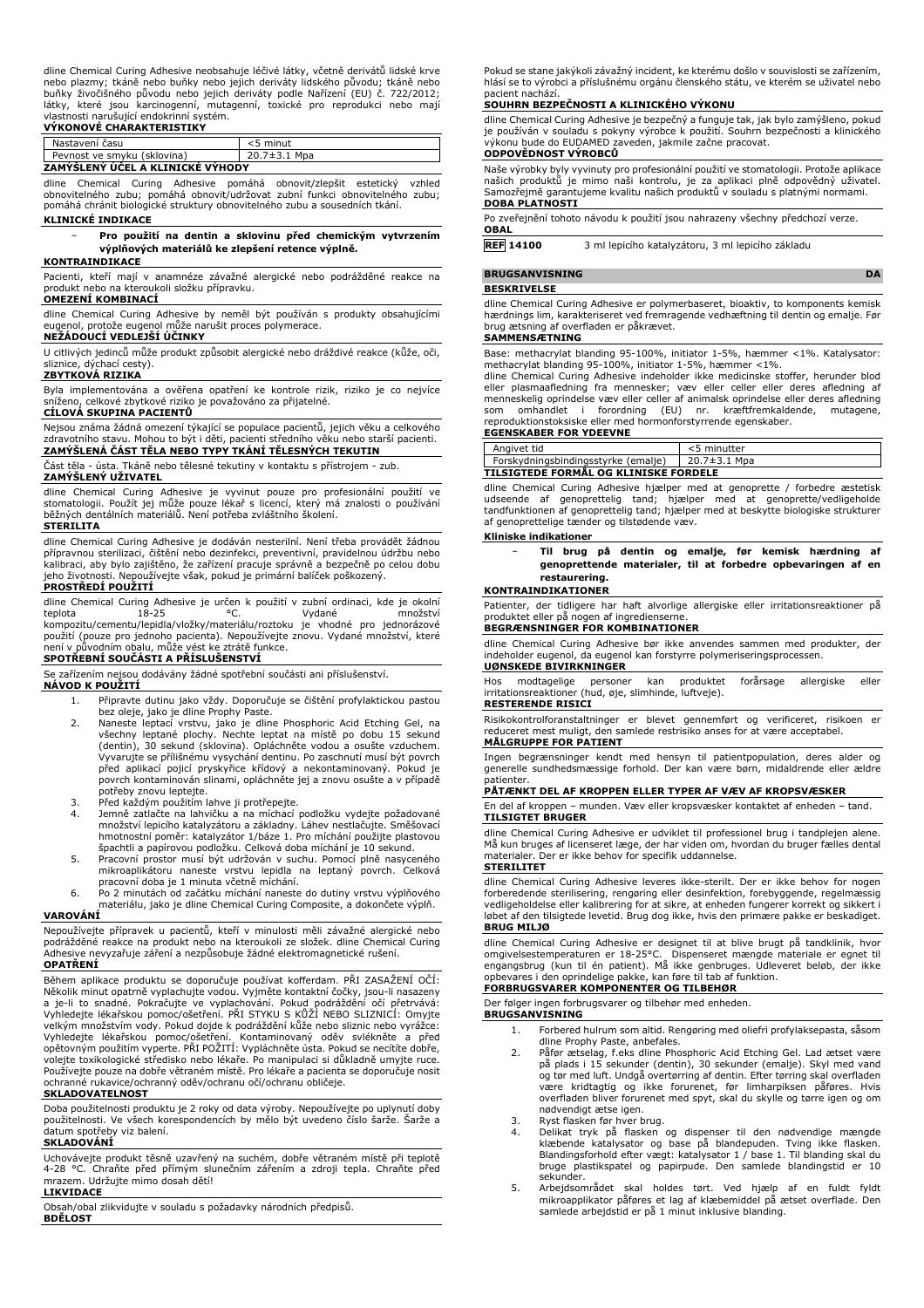dline Chemical Curing Adhesive neobsahuje léčivé látky, včetně derivátů lidské krve nebo plazmy; tkáně nebo buňky nebo jejich deriváty lidského původu; tkáně nebo buňky živočišného původu nebo jejich deriváty podle Nařízení (EU) č. 722/2012; látky, které jsou karcinogenní, mutagenní, toxické pro reprodukci nebo mají

# vlastnosti narušující endokrinní systém. **VÝKONOVÉ CHARAKTERISTIKY**

| Nastavení času                   | $<$ 5 minut        |  |
|----------------------------------|--------------------|--|
| Pevnost ve smyku (sklovina)      | $20.7 \pm 3.1$ Mpa |  |
| ZAMÝŠLENÝ ÚČEL A KLINICKÉ VÝHODY |                    |  |

dline Chemical Curing Adhesive pomáhá obnovit/zlepšit estetický vzhled obnovitelného zubu; pomáhá obnovit/udržovat zubní funkci obnovitelného zubu; pomáhá chránit biologické struktury obnovitelného zubu a sousedních tkání. **KLINICKÉ INDIKACE**

#### − **Pro použití na dentin a sklovinu před chemickým vytvrzením výplňových materiálů ke zlepšení retence výplně.**

#### **KONTRAINDIKACE**

Pacienti, kteří mají v anamnéze závažné alergické nebo podrážděné reakce na produkt nebo na kteroukoli složku přípravku.

#### **OMEZENÍ KOMBINACÍ**

dline Chemical Curing Adhesive by neměl být používán s produkty obsahujícími protože eugenol může narušit proces polymerace.

### **NEŽÁDOUCÍ VEDLEJŠÍ ÚČINKY**

U citlivých jedinců může produkt způsobit alergické nebo dráždivé reakce (kůže, oči, sliznice, dýchací cesty).

#### **ZBYTKOVÁ RIZIKA**

Byla implementována a ověřena opatření ke kontrole rizik, riziko je co nejvíce sníženo, celkové zbytkové riziko je považováno za přijatelné.

### **CÍLOVÁ SKUPINA PACIENTŮ**

Nejsou známa žádná omezení týkající se populace pacientů, jejich věku a celkového<br>zdravotního stavu. Mohou to být i děti, pacienti středního věku nebo starší pacienti.<br>**ZAMÝŠLENÁ ČÁST TĚLA NEBO TYPY TKÁNÍ TĚLESNÝCH TEKUTIN** 

Část těla - ústa. Tkáně nebo tělesné tekutiny v kontaktu s přístrojem - zub.

#### **ZAMÝŠLENÝ UŽIVATEL**

dline Chemical Curing Adhesive je vyvinut pouze pro profesionální použití ve stomatologii. Použít jej může pouze lékař s licencí, který má znalosti o používání běžných dentálních materiálů. Není potřeba zvláštního školení.

#### **STERILITA**

dline Chemical Curing Adhesive je dodáván nesterilní. Není třeba provádět žádnou přípravnou sterilizaci, čištění nebo dezinfekci, preventivní, pravidelnou údržbu nebo kalibraci, aby bylo zajištěno, že zařízení pracuje správně a bezpečně po celou dobu jeho životnosti. Nepoužívejte však, pokud je primární balíček poškozený. **PROSTŘEDÍ POUŽITÍ**

dline Chemical Curing Adhesive je určen k použití v zubní ordinaci, kde je okolní teplota 18-25 (Chemical Chemical Chemical Chemical Chemical Chemical Chemical Chemical Chemical Chemical Chemical Chemical Chemical Chemical teplota 18-25 °C. Vydané množství kompozitu/cementu/lepidla/vložky/materiálu/roztoku je vhodné pro jednorázové použití (pouze pro jednoho pacienta). Nepoužívejte znovu. Vydané množství, které není v původním obalu, může vést ke ztrátě funkce.

# **SPOTŘEBNÍ SOUČÁSTI A PŘÍSLUŠENSTVÍ**

Se zařízením nejsou dodávány žádné spotřební součásti ani příslušenství.

#### **NÁVOD K POUŽITÍ**

- 1. Připravte dutinu jako vždy. Doporučuje se čištění profylaktickou pastou bez oleje, jako je dline Prophy Paste. 2. Naneste leptací vrstvu, jako je dline Phosphoric Acid Etching Gel, na
- všechny leptané plochy. Nechte leptat na místě po dobu 15 sekund (dentin), 30 sekund (sklovina). Opláchněte vodou a osušte vzduchem. Vyvarujte se přílišnému vysychání dentinu. Po zaschnutí musí být povrch před aplikací pojicí pryskyřice křídový a nekontaminovaný. Pokud je povrch kontaminován slinami, opláchněte jej a znovu osušte a v případě potřeby znovu leptejte.
- 3. Před každým použitím lahve ji protřepejte.
- 4. Jemně zatlačte na lahvičku a na míchací podložku vydejte požadované množství lepicího katalyzátoru a základny. Láhev nestlačujte. Směšovací hmotnostní poměr: katalyzátor 1/báze 1. Pro míchání použijte plastovou
- špachtli a papírovou podložku. Celková doba míchání je 10 sekund. 5. Pracovní prostor musí být udržován v suchu. Pomocí plně nasyceného mikroaplikátoru naneste vrstvu lepidla na leptaný povrch. Celková pracovní doba je 1 minuta včetně míchání.
- 6. Po 2 minutách od začátku míchání naneste do dutiny vrstvu výplňového materiálu, jako je dline Chemical Curing Composite, a dokončete výplň.

#### **VAROVÁNÍ**

Nepoužívejte přípravek u pacientů, kteří v minulosti měli závažné alergické nebo podrážděné reakce na produkt nebo na kteroukoli ze složek. dline Chemical Curing Adhesive nevyzařuje záření a nezpůsobuje žádné elektromagnetické rušení.

#### **OPATŘENÍ**

Během aplikace produktu se doporučuje používat kofferdam. PRI ZASAZENI OCI:<br>Několik minut opatrně vyplachujte vodou. Vyjměte kontaktní čočky, jsou-il nasazeny<br>a je-li to snadné. Pokračujte ve vyplachování. Pokud podráždění Používejte pouze na dobře větraném místě. Pro lékaře a pacienta se doporučuje nosit ochranné rukavice/ochranný oděv/ochranu očí/ochranu obličeje.

### **SKLADOVATELNOST**

Doba použitelnosti produktu je 2 roky od data výroby. Nepoužívejte po uplynutí doby použitelnosti. Ve všech korespondencích by mělo být uvedeno číslo šarže. Šarže a datum spotřeby viz balení.

# **SKLADOVÁNÍ**

Uchovávejte produkt těsně uzavřený na suchém, dobře větraném místě při teplotě 4-28 °C. Chraňte před přímým slunečním zářením a zdroji tepla. Chraňte před mrazem. Udržujte mimo dosah dětí!

#### **LIKVIDACE**

Obsah/obal zlikvidujte v souladu s požadavky národních předpisů. **BDĚLOST**

Pokud se stane jakýkoli závažný incident, ke kterému došlo v souvislosti se zařízením, hlásí se to výrobci a příslušnému orgánu členského státu, ve kterém se uživatel nebo pacient nachází.

#### **SOUHRN BEZPEČNOSTI A KLINICKÉHO VÝKONU**

dline Chemical Curing Adhesive je bezpečný a funguje tak, jak bylo zamýšleno, pokud je používán v souladu s pokyny výrobce k použití. Souhrn bezpečnosti a klinického výkonu bude do EUDAMED zaveden, jakmile začne pracovat. **ODPOVĚDNOST VÝROBCŮ**

Naše výrobky byly vyvinuty pro profesionální použití ve stomatologii. Protože aplikace<br>našich produktů je mimo naši kontrolu, je za aplikaci plně odpovědný uživatel.<br>Samozřejmě garantujeme kvalitu naších produkt **DOBA PLATNOSTI**

Po zveřejnění tohoto návodu k použití jsou nahrazeny všechny předchozí verze. **OBAL**

**REF 14100** 3 ml lepicího katalyzátoru, 3 ml lepicího základu

**BRUGSANVISNING DA** 

#### **BESKRIVELSE**

dline Chemical Curing Adhesive er polymerbaseret, bioaktiv, to komponents kemisk hærdnings lim, karakteriseret ved fremragende vedhæftning til dentin og emalje. Før brug ætsning af overfladen er påkrævet.

#### **SAMMENSÆTNING**

Base: methacrylat blanding 95-100%, initiator 1-5%, hæmmer <1%. Katalysator: methacrylat blanding 95-100%, initiator 1-5%, hæmmer <1%.

dline Chemical Curing Adhesive indeholder ikke medicinske stoffer, herunder blod<br>eller plasmaafledning fra mennesker; væv eller celler eller deres afledning af<br>menneskelig oprindelse væv eller celler af animalsk oprindelse reproduktionstoksiske eller med hormonforstyrrende egenskaber. **EGENSKABER FOR YDEEVNE**

| Angivet tid                           | <5 minutter  |  |
|---------------------------------------|--------------|--|
| Forskydningsbindingsstyrke (emalje)   | 20.7±3.1 Mpa |  |
| TILSIGTEDE FORMÅL OG KLINISKE FORDELE |              |  |

dline Chemical Curing Adhesive hjælper med at genoprette / forbedre æstetisk udseende af genoprettelig tand; hjælper med at genoprette/vedligeholde tandfunktionen af genoprettelig tand; hjælper med at beskytte biologiske strukturer af genoprettelige tænder og tilstødende væv.

#### **Kliniske indikationer**

− **Til brug på dentin og emalje, før kemisk hærdning af genoprettende materialer, til at forbedre opbevaringen af en restaurering.**

#### **KONTRAINDIKATIONER**

Patienter, der tidligere har haft alvorlige allergiske eller irritationsreaktioner på produktet eller på nogen af ingredienserne.

# **BEGRÆNSNINGER FOR KOMBINATIONER**

dline Chemical Curing Adhesive bør ikke anvendes sammen med produkter, der indeholder eugenol, da eugenol kan forstyrre polymeriseringsprocessen. **UØNSKEDE BIVIRKNINGER**

Hos modtagelige personer kan produktet forårsage allergiske eller irritationsreaktioner (hud, øje, slimhinde, luftveje).

#### **RESTERENDE RISICI**

Risikokontrolforanstaltninger er blevet gennemført og verificeret, risikoen er reduceret mest muligt, den samlede restrisiko anses for at være acceptabel. **MÅLGRUPPE FOR PATIENT**

Ingen begrænsninger kendt med hensyn til patientpopulation, deres alder og generelle sundhedsmæssige forhold. Der kan være børn, midaldrende eller ældre patienter.

#### **PÅTÆNKT DEL AF KROPPEN ELLER TYPER AF VÆV AF KROPSVÆSKER**

En del af kroppen – munden. Væv eller kropsvæsker kontaktet af enheden – tand. **TILSIGTET BRUGER**

dline Chemical Curing Adhesive er udviklet til professionel brug i tandplejen alene. Må kun bruges af licenseret læge, der har viden om, hvordan du bruger fælles dental materialer. Der er ikke behov for specifik uddannelse.

#### **STERILITET**

dline Chemical Curing Adhesive leveres ikke-sterilt. Der er ikke behov for nogen forberedende sterilisering, rengøring eller desinfektion, forebyggende, regelmæssig vedligeholdelse eller kalibrering for at sikre, at enheden fungerer korrekt og sikkert i løbet af den tilsigtede levetid. Brug dog ikke, hvis den primære pakke er beskadiget. **BRUG MILJØ**

dline Chemical Curing Adhesive er designet til at blive brugt på tandklinik, hvor omgivelsestemperaturen er 18-25°C. Dispenseret mængde materiale er egnet til engangsbrug (kun til én patient). Må ikke genbruges. Udleveret beløb, der ikke opbevares i den oprindelige pakke, kan føre til tab af funktion.

#### **FORBRUGSVARER KOMPONENTER OG TILBEHØR** Der følger ingen forbrugsvarer og tilbehør med enheden.

**BRUGSANVISNING**

- 1. Forbered hulrum som altid. Rengøring med oliefri profylaksepasta, såsom dline Prophy Paste, anbefales.
- 2. Påfør ætselag, f.eks dline Phosphoric Acid Etching Gel. Lad ætset være på plads i 15 sekunder (dentin), 30 sekunder (emalje). Skyl med vand og tør med luft. Undgå overtørring af dentin. Efter tørring skal overfladen være kridtagtig og ikke forurenet, før limharpiksen påføres. Hvis overfladen bliver forurenet med spyt, skal du skylle og tørre igen og om nødvendigt ætse igen.
- 3. Ryst flasken før hver brug.<br>4. Delikat tryk på flasken
- 4. Delikat tryk på flasken og dispenser til den nødvendige mængde klæbende katalysator og base på blandepuden. Tving ikke flasken. Blandingsforhold efter vægt: katalysator 1 / base 1. Til blanding skal du bruge plastikspatel og papirpude. Den samlede blandingstid er 10 sekunder.
- 5. Arbejdsområdet skal holdes tørt. Ved hjælp af en fuldt fyldt mikroapplikator påføres et lag af klæbemiddel på ætset overflade. Den samlede arbejdstid er på 1 minut inklusive blanding.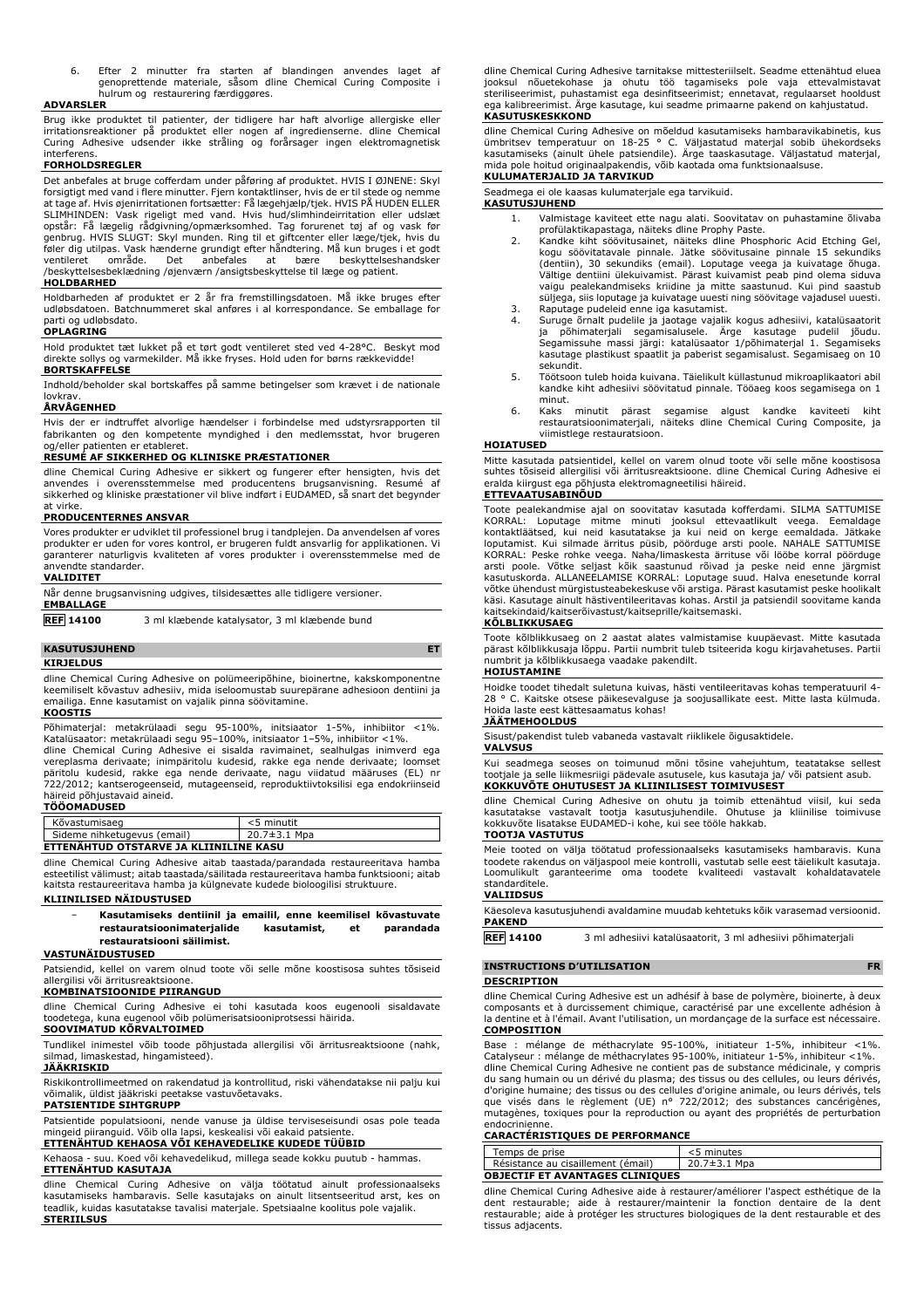6. Efter 2 minutter fra starten af blandingen anvendes laget af genoprettende materiale, såsom dline Chemical Curing Composite i hulrum og restaurering færdiggøres.

#### **ADVARSLER**

Brug ikke produktet til patienter, der tidligere har haft alvorlige allergiske eller irritationsreaktioner på produktet eller nogen af ingredienserne. dline Chemical Curing Adhesive udsender ikke stråling og forårsager ingen elektromagnetisk interferens.

#### **FORHOLDSREGLER**

Det anbefales at bruge cofferdam under påføring af produktet. HVIS I ØJNENE: Skyl forsigtigt med vand i flere minutter. Fjern kontaktlinser, hvis de er til stede og nemme at tage af. Hvis øjenirritationen fortsætter: Få lægehjælp/tjek. HVIS PÅ HUDEN ELLER SLIMHINDEN: Vask rigeligt med vand. Hvis hud/slimhindeirritation eller udslæt opstår: Få lægelig rådgivning/opmærksomhed. Tag forurenet tøj af og vask før genbrug. HVIS SLUGT: Skyl munden. Ring til et giftcenter eller læge/tjek, hvis du<br>føler dig utilpas. Vask hænderne grundigt efter håndtering. Må kun bruges i et godt<br>ventileret område. Det anbefales at bære

#### **HOLDBARHED**

Holdbarheden af produktet er 2 år fra fremstillingsdatoen. Må ikke bruges efter udløbsdatoen. Batchnummeret skal anføres i al korrespondance. Se emballage for parti og udløbsdato.

# **OPLAGRING**

Hold produktet tæt lukket på et tørt godt ventileret sted ved 4-28°C. Beskyt mod direkte sollys og varmekilder. Må ikke fryses. Hold uden for børns rækkevidde! **BORTSKAFFELSE**

Indhold/beholder skal bortskaffes på samme betingelser som krævet i de nationale lovkrav.

#### **ÅRVÅGENHED**

Hvis der er indtruffet alvorlige hændelser i forbindelse med udstyrsrapporten til fabrikanten og den kompetente myndighed i den medlemsstat, hvor brugeren

# og/eller patienten er etableret. **RESUMÉ AF SIKKERHED OG KLINISKE PRÆSTATIONER**

dline Chemical Curing Adhesive er sikkert og fungerer efter hensigten, hvis det anvendes i overensstemmelse med producentens brugsanvisning. Resumé af sikkerhed og kliniske præstationer vil blive indført i EUDAMED, så snart det begynder

# at virke. **PRODUCENTERNES ANSVAR**

Vores produkter er udviklet til professionel brug i tandplejen. Da anvendelsen af vores produkter er uden for vores kontrol, er brugeren fuldt ansvarlig for applikationen. Vi garanterer naturligvis kvaliteten af vores produkter i overensstemmelse med de anvendte standarder.

| .,<br>. .<br>٠ | ۰. | .,<br>. . | ۰. |  |
|----------------|----|-----------|----|--|
|                |    |           |    |  |

| Når denne brugsanvisning udgives, tilsidesættes alle tidligere versioner.<br><b>EMBALLAGE</b> |                                               |  |
|-----------------------------------------------------------------------------------------------|-----------------------------------------------|--|
| <b>REF 14100</b>                                                                              | 3 ml klæbende katalysator, 3 ml klæbende bund |  |

#### **KASUTUSJUHEND ET**

#### **KIRJELDUS**

dline Chemical Curing Adhesive on polümeeripõhine, bioinertne, kakskomponentne keemiliselt kõvastuv adhesiiv, mida iseloomustab suurepärane adhesioon dentiini ja emailiga. Enne kasutamist on vajalik pinna söövitamine.

#### **KOOSTIS**

Põhimaterjal: metakrülaadi segu 95-100%, initsiaator 1-5%, inhibiitor <1%. Katalüsaator: metakrülaadi segu 95–100%, initsiaator 1–5%, inhibiitor <1%. dline Chemical Curing Adhesive ei sisalda ravimainet, sealhulgas inimverd ega vereplasma derivaate; inimpäritolu kudesid, rakke ega nende derivaate; loomset päritolu kudesid, rakke ega nende derivaate, nagu viidatud määruses (EL) nr 722/2012; kantserogeenseid, mutageenseid, reproduktiivtoksilisi ega endokriinseid

#### häireid põhjustavaid aineid. **TÖÖOMADUSED**

| Kõvastumisaeg               |                                        | <5 minutit   |  |
|-----------------------------|----------------------------------------|--------------|--|
| Sideme nihketugevus (email) |                                        | 20.7±3.1 Mpa |  |
|                             | ETTENAHTUD OTSTARVE JA KLIINILINE KASU |              |  |

dline Chemical Curing Adhesive aitab taastada/parandada restaureeritava hamba esteetilist välimust; aitab taastada/säilitada restaureeritava hamba funktsiooni; aitab kaitsta restaureeritava hamba ja külgnevate kudede bioloogilisi struktuure.

#### **KLIINILISED NÄIDUSTUSED**

− **Kasutamiseks dentiinil ja emailil, enne keemilisel kõvastuvate restauratsioonimaterjalide kasutamist, et parandada restauratsiooni säilimist.**

#### **VASTUNÄIDUSTUSED**

Patsiendid, kellel on varem olnud toote või selle mõne koostisosa suhtes tõsiseid allergilisi või ärritusreaktsioone.

### **KOMBINATSIOONIDE PIIRANGUD**

dline Chemical Curing Adhesive ei tohi kasutada koos eugenooli sisaldavate toodetega, kuna eugenool võib polümerisatsiooniprotsessi häirida.

# **SOOVIMATUD KÕRVALTOIMED**

Tundlikel inimestel võib toode põhjustada allergilisi või ärritusreaktsioone (nahk, silmad, limaskestad, hingamisteed).

#### **JÄÄKRISKID**

Riskikontrollimeetmed on rakendatud ja kontrollitud, riski vähendatakse nii palju kui võimalik, üldist jääkriski peetakse vastuvõetavaks. **PATSIENTIDE SIHTGRUPP**

Patsientide populatsiooni, nende vanuse ja üldise terviseseisundi osas pole teada mingeid piiranguid. Võib olla lapsi, keskealisi või eakaid patsiente.

# **ETTENÄHTUD KEHAOSA VÕI KEHAVEDELIKE KUDEDE TÜÜBID**

Kehaosa - suu. Koed või kehavedelikud, millega seade kokku puutub - hammas. **ETTENÄHTUD KASUTAJA**

dline Chemical Curing Adhesive on välja töötatud ainult professionaalseks kasutamiseks hambaravis. Selle kasutajaks on ainult litsentseeritud arst, kes on teadlik, kuidas kasutatakse tavalisi materjale. Spetsiaalne koolitus pole vajalik. **STERIILSUS**

dline Chemical Curing Adhesive tarnitakse mittesteriilselt. Seadme ettenähtud eluea jooksul nõuetekohase ja ohutu töö tagamiseks pole vaja ettevalmistavat steriliseerimist, puhastamist ega desinfitseerimist; ennetavat, regulaarset hooldust ega kalibreerimist. Ärge kasutage, kui seadme primaarne pakend on kahjustatud. **KASUTUSKESKKOND**

dline Chemical Curing Adhesive on mõeldud kasutamiseks hambaravikabinetis, kus ümbritsev temperatuur on 18-25 ° C. Väljastatud materjal sobib ühekordseks kasutamiseks (ainult ühele patsiendile). Ärge taaskasutage. Väljastatud materjal, mida pole hoitud originaalpakendis, võib kaotada oma funktsionaalsuse.

# **KULUMATERJALID JA TARVIKUD**

Seadmega ei ole kaasas kulumaterjale ega tarvikuid. **KASUTUSJUHEND**

- 1. Valmistage kaviteet ette nagu alati. Soovitatav on puhastamine õlivaba
- profülaktikapastaga, näiteks dline Prophy Paste. 2. Kandke kiht söövitusainet, näiteks dline Phosphoric Acid Etching Gel, kogu söövitatavale pinnale. Jätke söövitusaine pinnale 15 sekundiks (dentiin), 30 sekundiks (email). Loputage veega ja kuivatage õhuga. Vältige dentiini ülekuivamist. Pärast kuivamist peab pind olema siduva vaigu pealekandmiseks kriidine ja mitte saastunud. Kui pind saastub süljega, siis loputage ja kuivatage uuesti ning söövitage vajadusel uuesti.
- 3. Raputage pudeleid enne iga kasutamist.<br>4. Suruge õrmalt pudellie ja jaotage vajalik kogus adhesiivi, katalüsaatorit<br>6. ja põhimaterjali segamisalusele. Ärge kasutage pudelil jõudu.<br>5. Segamissuhe massi järgi: katalüsaat sekundit.
- 5. Töötsoon tuleb hoida kuivana. Täielikult küllastunud mikroaplikaatori abil kandke kiht adhesiivi söövitatud pinnale. Tööaeg koos segamisega on 1 minut.
- 6. Kaks minutit pärast segamise algust kandke kaviteeti kiht restauratsioonimaterjali, näiteks dline Chemical Curing Composite, ja viimistlege restauratsioon.

#### **HOIATUSED**

Mitte kasutada patsientidel, kellel on varem olnud toote või selle mõne koostisosa suhtes tõsiseid allergilisi või ärritusreaktsioone. dline Chemical Curing Adhesive ei eralda kiirgust ega põhjusta elektromagneetilisi häireid.

#### **ETTEVAATUSABINÕUD**

Toote pealekandmise ajal on soovitatav kasutada kofferdami. SILMA SATTUMISE KORRAL: Loputage mitme minuti jooksul ettevaatlikult veega. Eemaldage kontaktläätsed, kui neid kasutatakse ja kui neid on kerge eemaldada. Jätkake loputamist. Kui silmade ärritus püsib, pöörduge arsti poole. NAHALE SATTUMISE<br>KORRAL: Peske rohke veega. Naha/limaskesta ärrituse või lööbe korral pöörduge<br>arsti poole. Võtke seljast kõik saastunud rõivad ja peske neid enn käsi. Kasutage ainult hästiventileeritavas kohas. Arstil ja patsiendil soovitame kanda kaitsekindaid/kaitserõivastust/kaitseprille/kaitsemaski.

#### **KÕLBLIKKUSAEG**

Toote kõlblikkusaeg on 2 aastat alates valmistamise kuupäevast. Mitte kasutada pärast kõlblikkusaja lõppu. Partii numbrit tuleb tsiteerida kogu kirjavahetuses. Partii numbrit ja kõlblikkusaega vaadake pakendilt.

# **HOIUSTAMINE**

Hoidke toodet tihedalt suletuna kuivas, hästi ventileeritavas kohas temperatuuril 4- 28 ° C. Kaitske otsese päikesevalguse ja soojusallikate eest. Mitte lasta külmuda. Hoida laste eest kättesaamatus kohas!

#### **JÄÄTMEHOOLDUS**

Sisust/pakendist tuleb vabaneda vastavalt riiklikele õigusaktidele.

#### **VALVSUS** Kui seadmega seoses on toimunud mõni tõsine vahejuhtum, teatatakse sellest tootjale ja selle liikmesriigi pädevale asutusele, kus kasutaja ja/ või patsient asub.

**KOKKUVÕTE OHUTUSEST JA KLIINILISEST TOIMIVUSEST**

dline Chemical Curing Adhesive on ohutu ja toimib ettenähtud viisil, kui seda kasutatakse vastavalt tootja kasutusjuhendile. Ohutuse ja kliinilise toimivuse kokkuvõte lisatakse EUDAMED-i kohe, kui see tööle hakkab.

### **TOOTJA VASTUTUS**

Meie tooted on välja töötatud professionaalseks kasutamiseks hambaravis. Kuna toodete rakendus on väljaspool meie kontrolli, vastutab selle eest täielikult kasutaja. Loomulikult garanteerime oma toodete kvaliteedi vastavalt kohaldatavatele standarditele.

#### **VALIIDSUS**

Käesoleva kasutusjuhendi avaldamine muudab kehtetuks kõik varasemad versioonid. **PAKEND**

**REF 14100** 3 ml adhesiivi katalüsaatorit, 3 ml adhesiivi põhimaterjali

#### **INSTRUCTIONS D'UTILISATION FR**

#### **DESCRIPTION**

dline Chemical Curing Adhesive est un adhésif à base de polymère, bioinerte, à deux composants et à durcissement chimique, caractérisé par une excellente adhésion à la dentine et à l'émail. Avant l'utilisation, un mordançage de la surface est nécessaire. **COMPOSITION**

Base : mélange de méthacrylate 95-100%, initiateur 1-5%, inhibiteur <1%. Catalyseur : mélange de méthacrylates 95-100%, initiateur 1-5%, inhibiteur <1%. dline Chemical Curing Adhesive ne contient pas de substance médicinale, y compris du sang humain ou un dérivé du plasma; des tissus ou des cellules, ou leurs dérivés, d'origine humaine; des tissus ou des cellules d'origine animale, ou leurs dérivés, tels que visés dans le règlement (UE) n° 722/2012; des substances cancérigènes, mutagènes, toxiques pour la reproduction ou ayant des propriétés de perturbation

# endocrinienne. **CARACTÉRISTIQUES DE PERFORMANCE**

| Temps de prise                         | <5 minutes         |  |
|----------------------------------------|--------------------|--|
| Résistance au cisaillement (émail)     | $20.7 \pm 3.1$ Mpa |  |
| <b>OBJECTIF ET AVANTAGES CLINIOUES</b> |                    |  |

dline Chemical Curing Adhesive aide à restaurer/améliorer l'aspect esthétique de la dent restaurable; aide à restaurer/maintenir la fonction dentaire de la dent restaurable; aide à protéger les structures biologiques de la dent restaurable et des tissus adjacents.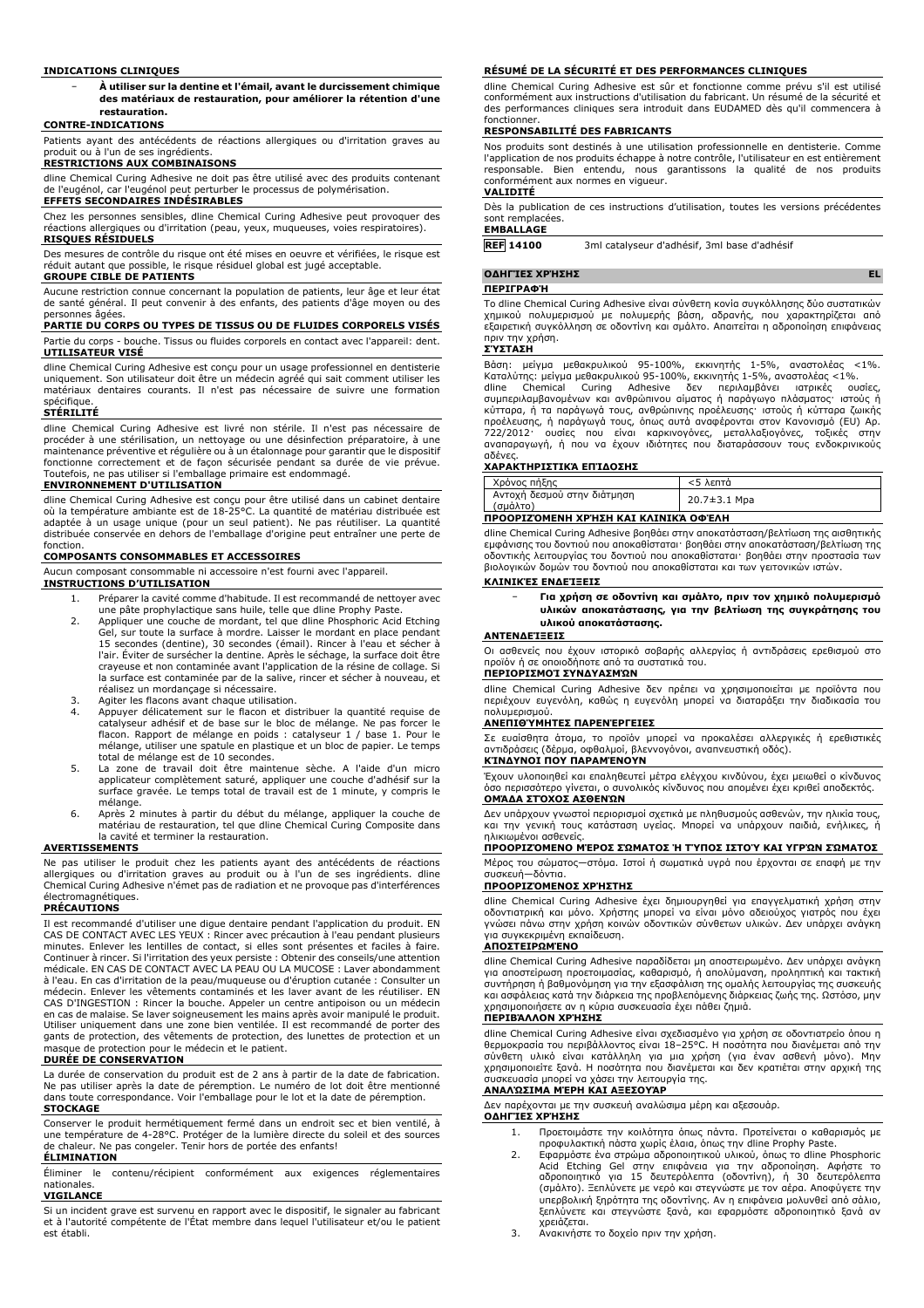#### **INDICATIONS CLINIQUES**

− **À utiliser sur la dentine et l'émail, avant le durcissement chimique des matériaux de restauration, pour améliorer la rétention d'une restauration.**

#### **CONTRE-INDICATIONS**

Patients ayant des antécédents de réactions allergiques ou d'irritation graves au produit ou à l'un de ses ingrédients.

#### **RESTRICTIONS AUX COMBINAISONS**

dline Chemical Curing Adhesive ne doit pas être utilisé avec des produits contenant de l'eugénol, car l'eugénol peut perturber le processus de polymérisation. **EFFETS SECONDAIRES INDÉSIRABLES**

# Chez les personnes sensibles, dline Chemical Curing Adhesive peut provoquer des réactions allergiques ou d'irritation (peau, yeux, muqueuses, voies respiratoires).

**RISQUES RÉSIDUELS**

Des mesures de contrôle du risque ont été mises en oeuvre et vérifiées, le risque est réduit autant que possible, le risque résiduel global est jugé acceptable.

#### **GROUPE CIBLE DE PATIENTS**

Aucune restriction connue concernant la population de patients, leur âge et leur état de santé général. Il peut convenir à des enfants, des patients d'âge moyen ou des personnes âgées.

#### **PARTIE DU CORPS OU TYPES DE TISSUS OU DE FLUIDES CORPORELS VISÉS** Partie du corps - bouche. Tissus ou fluides corporels en contact avec l'appareil: dent. **UTILISATEUR VISÉ**

dline Chemical Curing Adhesive est conçu pour un usage professionnel en dentisterie uniquement. Son utilisateur doit être un médecin agréé qui sait comment utiliser les matériaux dentaires courants. Il n'est pas nécessaire de suivre une formation spécifique.

#### **STÉRILITÉ**

dline Chemical Curing Adhesive est livré non stérile. Il n'est pas nécessaire de procéder à une stérilisation, un nettoyage ou une désinfection préparatoire, à une maintenance préventive et régulière ou à un étalonnage pour garantir que le dispositif fonctionne correctement et de façon sécurisée pendant sa durée de vie prévue. Toutefois, ne pas utiliser si l'emballage primaire est endommagé. **ENVIRONNEMENT D'UTILISATION**

dline Chemical Curing Adhesive est conçu pour être utilisé dans un cabinet dentaire où la température ambiante est de 18-25°C. La quantité de matériau distribuée est adaptée à un usage unique (pour un seul patient). Ne pas réutiliser. La quantité distribuée conservée en dehors de l'emballage d'origine peut entraîner une perte de fonction.

#### **COMPOSANTS CONSOMMABLES ET ACCESSOIRES**

Aucun composant consommable ni accessoire n'est fourni avec l'appareil.

- **INSTRUCTIONS D'UTILISATION** 1. Préparer la cavité comme d'habitude. Il est recommandé de nettoyer avec
	- une pâte prophylactique sans huile, telle que dline Prophy Paste. 2. Appliquer une couche de mordant, tel que dline Phosphoric Acid Etching Gel, sur toute la surface à mordre. Laisser le mordant en place pendant 15 secondes (dentine), 30 secondes (émail). Rincer à l'eau et sécher à l'air. Éviter de sursécher la dentine. Après le séchage, la surface doit être crayeuse et non contaminée avant l'application de la résine de collage. Si la surface est contaminée par de la salive, rincer et sécher à nouveau, et réalisez un mordançage si nécessaire.
	-
	- 3. Agiter les flacons avant chaque utilisation. 4. Appuyer délicatement sur le flacon et distribuer la quantité requise de catalyseur adhésif et de base sur le bloc de mélange. Ne pas forcer le flacon. Rapport de mélange en poids : catalyseur 1 / base 1. Pour le mélange, utiliser une spatule en plastique et un bloc de papier. Le temps total de mélange est de 10 secondes.
	- 5. La zone de travail doit être maintenue sèche. A l'aide d'un micro applicateur complètement saturé, appliquer une couche d'adhésif sur la surface gravée. Le temps total de travail est de 1 minute, y compris le mélange.
	- 6. Après 2 minutes à partir du début du mélange, appliquer la couche de matériau de restauration, tel que dline Chemical Curing Composite dans la cavité et terminer la restauration.

#### **AVERTISSEMENTS**

Ne pas utiliser le produit chez les patients ayant des antécédents de réactions allergiques ou d'irritation graves au produit ou à l'un de ses ingrédients. dline Chemical Curing Adhesive n'émet pas de radiation et ne provoque pas d'interférences électromagnétiques.

#### **PRÉCAUTIONS**

Il est recommandé d'utiliser une digue dentaire pendant l'application du produit. EN CAS DE CONTACT AVEC LES YEUX : Rincer avec précaution à l'eau pendant plusieurs minutes. Enlever les lentilles de contact, si elles sont présentes et faciles à faire. Continuer à rincer. Si l'irritation des yeux persiste : Obtenir des conseils/une attention médicale. EN CAS DE CONTACT AVEC LA PEAU OU LA MUCOSE : Laver abondamment à l'eau. En cas d'irritation de la peau/muqueuse ou d'éruption cutanée : Consulter un médecin. Enlever les vêtements contaminés et les laver avant de les réutiliser. EN CAS D'INGESTION : Rincer la bouche. Appeler un centre antipoison ou un médecin en cas de malaise. Se laver soigneusement les mains après avoir manipulé le produit. Utiliser uniquement dans une zone bien ventilée. Il est recommandé de porter des gants de protection, des vêtements de protection, des lunettes de protection et un masque de protection pour le médecin et le patient.

#### **DURÉE DE CONSERVATION**

La durée de conservation du produit est de 2 ans à partir de la date de fabrication. Ne pas utiliser après la date de péremption. Le numéro de lot doit être mentionné dans toute correspondance. Voir l'emballage pour le lot et la date de péremption. **STOCKAGE**

Conserver le produit hermétiquement fermé dans un endroit sec et bien ventilé, à une température de 4-28°C. Protéger de la lumière directe du soleil et des sources de chaleur. Ne pas congeler. Tenir hors de portée des enfants!

# **ÉLIMINATION**

Éliminer le contenu/récipient conformément aux exigences réglementaires nationales.

**VIGILANCE**

Si un incident grave est survenu en rapport avec le dispositif, le signaler au fabricant et à l'autorité compétente de l'État membre dans lequel l'utilisateur et/ou le patient est établi.

### **RÉSUMÉ DE LA SÉCURITÉ ET DES PERFORMANCES CLINIQUES**

dline Chemical Curing Adhesive est sûr et fonctionne comme prévu s'il est utilisé conformément aux instructions d'utilisation du fabricant. Un résumé de la sécurité et des performances cliniques sera introduit dans EUDAMED dès qu'il commencera à fonctionner.

#### **RESPONSABILITÉ DES FABRICANTS**

Nos produits sont destinés à une utilisation professionnelle en dentisterie. Comme l'application de nos produits échappe à notre contrôle, l'utilisateur en est entièrement responsable. Bien entendu, nous garantissons la qualité de nos produits conformément aux normes en vigueur.

### **VALIDITÉ**

Dès la publication de ces instructions d'utilisation, toutes les versions précédentes sont remplacées.

# **EMBALLAGE**

**REF 14100** 3ml catalyseur d'adhésif, 3ml base d'adhésif

### **ΟΔΗΓΊΕΣ ΧΡΉΣΗΣ EL**

#### **ΠΕΡΙΓΡΑΦΉ**

Το dline Chemical Curing Adhesive είναι σύνθετη κονία συγκόλλησης δύο συστατικών χημικού πολυμερισμού με πολυμερής βάση, αδρανής, που χαρακτηρίζεται από εξαιρετική συγκόλληση σε οδοντίνη και σμάλτο. Απαιτείται η αδροποίηση επιφάνειας πριν την χρήση.

#### **ΣΎΣΤΑΣΗ**

Βάση: μείγμα μεθακρυλικού 95-100%, εκκινητής 1-5%, αναστολέας <1%.<br>Καταλύτης: μείγμα μεθακρυλικού 95-100%, εκκινητής 1-5%, αναστολέας <1%.<br>dline Chemical Curing Adhesive δεν περιλαμβάνει ιατρικές ουσίες,<br>συμπεριλαμ προέλευσης, ή παράγωγά τους, όπως αυτά αναφέρονται στον Κανονισμό (EU) Αρ.<br>722/2012· ουσίες που είναι καρκινογόνες, μεταλλαξιογόνες, τοξικές στην<br>αναπαραγωγή, ή που να έχουν ιδιότητες που διαταράσσ αδένες.

### **ΧΑΡΑΚΤΗΡΙΣΤΙΚΆ ΕΠΊΔΟΣΗΣ**

| Χρόνος πήξης                            | <5 λεπτά     |  |
|-----------------------------------------|--------------|--|
| Αντοχή δεσμού στην διάτμηση<br>(σμάλτο) | 20.7±3.1 Mpa |  |
| ΠΡΟΟΡΙΖΌΜΕΝΗ ΧΡΉΣΗ ΚΑΙ ΚΛΙΝΙΚΆ ΟΦΈΛΗ    |              |  |

dline Chemical Curing Adhesive βοηθάει στην αποκατάσταση/βελτίωση της αισθητικής εμφάνισης του δοντιού που αποκαθίσταται· βοηθάει στην αποκατάσταση/βελτίωση της οδοντικής λειτουργίας του δοντιού που αποκαθίσταται· βοηθάει στην προστασία των βιολογικών δομών του δοντιού που αποκαθίσταται και των γειτονικών ιστών.

### **ΚΛΙΝΙΚΈΣ ΕΝΔΕΊΞΕΙΣ**

| - | Για χρήση σε οδοντίνη και σμάλτο, πριν τον χημικό πολυμερισμό |
|---|---------------------------------------------------------------|
|   | υλικών αποκατάστασης, για την βελτίωση της συγκράτησης του    |
|   | υλικού αποκατάστασης.                                         |

#### **ΑΝΤΕΝΔΕΊΞΕΙΣ**

Οι ασθενείς που έχουν ιστορικό σοβαρής αλλεργίας ή αντιδράσεις ερεθισμού στο προϊόν ή σε οποιοδήποτε από τα συστατικά του.

# **ΠΕΡΙΟΡΙΣΜΟΊ ΣΥΝΔΥΑΣΜΏΝ**

dline Chemical Curing Adhesive δεν πρέπει να χρησιμοποιείται με προϊόντα που περιέχουν ευγενόλη, καθώς η ευγενόλη μπορεί να διαταράξει την διαδικασία του πολυμερισμού.

#### **ΑΝΕΠΙΘΎΜΗΤΕΣ ΠΑΡΕΝΈΡΓΕΙΕΣ**

Σε ευαίσθητα άτομα, το προϊόν μπορεί να προκαλέσει αλλεργικές ή ερεθιστικές δράσεις (δέρμα, οφθαλμοί, βλεννογόνοι, αναπνευστική οδός). **ΚΊΝΔΥΝΟΙ ΠΟΥ ΠΑΡΑΜΈΝΟΥΝ**

# Έχουν υλοποιηθεί και επαληθευτεί μέτρα ελέγχου κινδύνου, έχει μειωθεί ο κίνδυνος

όσο περισσότερο γίνεται, ο συνολικός κίνδυνος που απομένει έχει κριθεί αποδεκτός. **ΟΜΆΔΑ ΣΤΌΧΟΣ ΑΣΘΕΝΏΝ**

Δεν υπάρχουν γνωστοί περιορισμοί σχετικά με πληθυσμούς ασθενών, την ηλικία τους, και την γενική τους κατάσταση υγείας. Μπορεί να υπάρχουν παιδιά, ενήλικες, ή .<br>ιμένοι ασθενείς

### **ΠΡΟΟΡΙΖΌΜΕΝΟ ΜΈΡΟΣ ΣΏΜΑΤΟΣ Ή ΤΎΠΟΣ ΙΣΤΟΎ ΚΑΙ ΥΓΡΏΝ ΣΏΜΑΤΟΣ**

Μέρος του σώματος—στόμα. Ιστοί ή σωματικά υγρά που έρχονται σε επαφή με την συσκευή—δόντια.

#### **ΠΡΟΟΡΙΖΌΜΕΝΟΣ ΧΡΉΣΤΗΣ**

dline Chemical Curing Adhesive έχει δημιουργηθεί για επαγγελματική χρήση στην οδοντιατρική και μόνο. Χρήστης μπορεί να είναι μόνο αδειούχος γιατρός που έχει γνώσει πάνω στην χρήση κοινών οδοντικών σύνθετων υλικών. Δεν υπάρχει ανάγκη για συγκεκριμένη εκπαίδευση.

#### **ΑΠΟΣΤΕΙΡΩΜΈΝΟ**

dline Chemical Curing Adhesive παραδίδεται μη αποστειρωμένο. Δεν υπάρχει ανάγκη για αποστείρωση προετοιμασίας, καθαρισμό, ή απολύμανση, προληπτική και τακτική συντήρηση ή βαθμονόμηση για την εξασφάλιση της ομαλής λειτουργίας της συσκευής και ασφάλειας κατά την διάρκεια της προβλεπόμενης διάρκειας ζωής της. Ωστόσο, μην χρησιμοποιήσετε αν η κύρια συσκευασία έχει πάθει ζημιά. **ΠΕΡΙΒΆΛΛΟΝ ΧΡΉΣΗΣ**

# dline Chemical Curing Adhesive είναι σχεδιασμένο για χρήση σε οδοντιατρείο όπου η θερμοκρασία του περιβάλλοντος είναι 18–25°C. Η ποσότητα που διανέμεται από την<br>σύνθετη υλικό είναι κατάλληλη για μια χρήση (για έναν ασθενή μόνο). Μην<br>χρησιμοποιείτε ξανά. Η ποσότητα που διανέμεται και δεν κρα

# **ΑΝΑΛΏΣΙΜΑ ΜΈΡΗ ΚΑΙ ΑΞΕΣΟΥΆΡ**

Δεν παρέχονται με την συσκευή αναλώσιμα μέρη και αξεσουάρ.

**ΟΔΗΓΊΕΣ ΧΡΉΣΗΣ**

- 1. Προετοιμάστε την κοιλότητα όπως πάντα. Προτείνεται ο καθαρισμός με προφυλακτική πάστα χωρίς έλαια, όπως την dline Prophy Paste. 2. Εφαρμόστε ένα στρώμα αδροποιητικού υλικού, όπως το dline Phosphoric
- Acid Etching Gel στην επιφάνεια για την αδροποίηση. Αφήστε το<br>αδροποιητικό για 15 δευτερόλεπτα (οδοντίνη), ή 30 δευτερόλεπτα<br>(σμάλτο).Ξεπλύνετε με νερό και στεγνώστε με τον αέρα.Αποφύγετε την<br>υπερβολική ξηρότητα της οδοντ ξεπλύνετε και στεγνώστε ξανά, και εφαρμόστε αδροποιητικό ξανά αν
- χρειάζεται. 3. Ανακινήστε το δοχείο πριν την χρήση.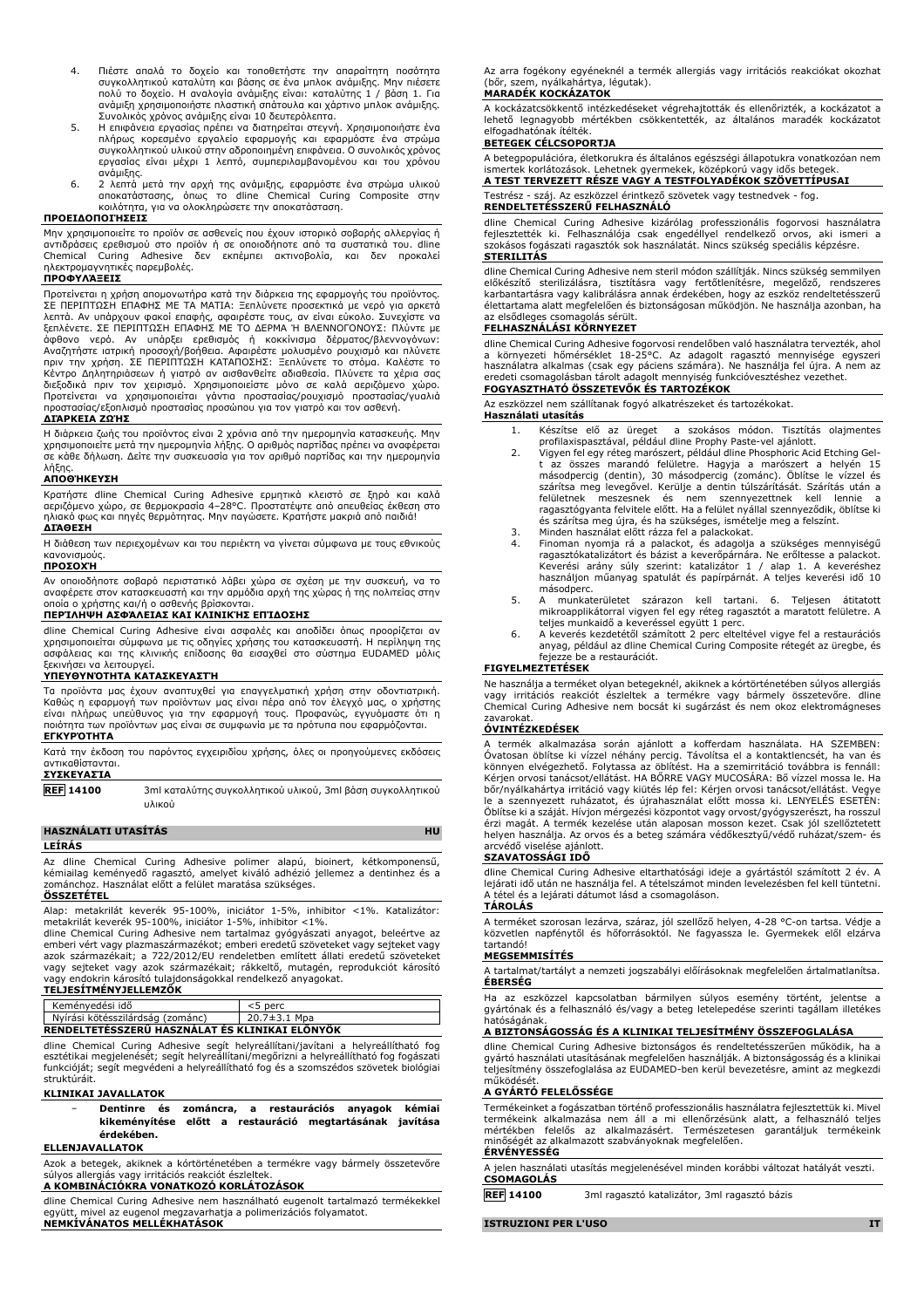- 4. Πιέστε απαλά το δοχείο και τοποθετήστε την απαραίτητη ποσότητα συγκολλητικού καταλύτη και βάσης σε ένα μπλοκ ανάμιξης. Μην πιέσετε πολύ το δοχείο. Η αναλογία ανάμιξης είναι: καταλύτης 1 / βάση 1. Για ανάμιξη χρησιμοποιήστε πλαστική σπάτουλα και χάρτινο μπλοκ ανάμιξης. Συνολικός χρόνος ανάμιξης είναι 10 δευτερόλεπτα.
- 5. Η επιφάνεια εργασίας πρέπει να διατηρείται στεγνή. Χρησιμοποιήστε ένα πλήρως κορεσμένο εργαλείο εφαρμογής και εφαρμόστε ένα στρώμα συγκολλητικού υλικού στην αδροποιημένη επιφάνεια. Ο συνολικός χρόνος εργασίας είναι μέχρι 1 λεπτό, συμπεριλαμβανομένου και του χρόνου
- ανάμιξης. 6. 2 λεπτά μετά την αρχή της ανάμιξης, εφαρμόστε ένα στρώμα υλικού αποκατάστασης, όπως το dline Chemical Curing Composite στην κοιλότητα, για να ολοκληρώσετε την αποκατάσταση.

#### **ΠΡΟΕΙΔΟΠΟΙΉΣΕΙΣ**

Μην χρησιμοποιείτε το προϊόν σε ασθενείς που έχουν ιστορικό σοβαρής αλλεργίας ή αντιδράσεις ερεθισμού στο προϊόν ή σε οποιοδήποτε από τα συστατικά του. dline Chemical Curing Adhesive δεν εκπέμπει ακτινοβολία, και δεν προκαλεί ηλεκτρομαγνητικές παρεμβολές.

# **ΠΡΟΦΥΛΆΞΕΙΣ**

Προτείνεται η χρήση απομονωτήρα κατά την διάρκεια της εφαρμογής του προϊόντος. ΣΕ ΠΕΡΙΠΤΩΣΗ ΕΠΑΦΗΣ ΜΕ ΤΑ ΜΑΤΙΑ: Ξεπλύνετε προσεκτικά με νερό για αρκετά λεπτά. Αν υπάρχουν φακοί επαφής, αφαιρέστε τους, αν είναι εύκολο. Συνεχίστε να ξεπλένετε. ΣΕ ΠΕΡΙΠΤΩΣΗ ΕΠΑΦΗΣ ΜΕ ΤΟ ΔΕΡΜΑ Ή ΒΛΕΝΝΟΓΟΝΟΥΣ: Πλύντε με άφθονο νερό. Αν υπάρξει ερεθισμός ή κοκκίνισμα δέρματος/βλεννογόνων:<br>Αναζητήστε ιατρική προσοχή/βοήθεια. Αφαιρέστε μολυσμένο ρουχισμό και πλύνετε<br>πριν την χρήση. ΣΕ ΠΕΡΙΠΤΩΣΗ ΚΑΤΑΠΟΣΗΣ: Ξεπλύνετε το στόμα. Καλέστε το Κέντρο Δηλητηριάσεων ή γιατρό αν αισθανθείτε αδιαθεσία. Πλύνετε τα χέρια σας διεξοδικά πριν τον χειρισμό. Χρησιμοποιείστε μόνο σε καλά αεριζόμενο χώρο. Προτείνεται να χρησιμοποιείται γάντια προστασίας/ρουχισμό προστασίας/γυαλιά προστασίας/εξοπλισμό προστασίας προσώπου για τον γιατρό και τον ασθενή.

#### **ΔΙΆΡΚΕΙΑ ΖΩΉΣ**

Η διάρκεια ζωής του προϊόντος είναι 2 χρόνια από την ημερομηνία κατασκευής. Μην χρησιμοποιείτε μετά την ημερομηνία λήξης. Ο αριθμός παρτίδας πρέπει να αναφέρεται σε κάθε δήλωση. Δείτε την συσκευασία για τον αριθμό παρτίδας και την ημερομηνία λήξης.

#### **ΑΠΟΘΉΚΕΥΣΗ**

Κρατήστε dline Chemical Curing Adhesive ερμητικά κλειστό σε ξηρό και καλά αεριζόμενο χώρο, σε θερμοκρασία 4–28°C. Προστατέψτε από απευθείας έκθεση στο ηλιακό φως και πηγές θερμότητας. Μην παγώσετε. Κρατήστε μακριά από παιδιά! **ΔΙΆΘΕΣΗ**

Η διάθεση των περιεχομένων και του περιέκτη να γίνεται σύμφωνα με τους εθνικούς κανονισμούς.

#### **ΠΡΟΣΟΧΉ**

Αν οποιοδήποτε σοβαρό περιστατικό λάβει χώρα σε σχέση με την συσκευή, να το αναφέρετε στον κατασκευαστή και την αρμόδια αρχή της χώρας ή της πολιτείας στην οποία ο χρήστης και/ή ο ασθενής βρίσκονται. **ΠΕΡΊΛΗΨΗ ΑΣΦΆΛΕΙΑΣ ΚΑΙ ΚΛΙΝΙΚΉΣ ΕΠΊΔΟΣΗΣ**

dline Chemical Curing Adhesive είναι ασφαλές και αποδίδει όπως προορίζεται αν χρησιμοποιείται σύμφωνα με τις οδηγίες χρήσης του κατασκευαστή. Η περίληψη της ασφάλειας και της κλινικής επίδοσης θα εισαχθεί στο σύστημα EUDAMED μόλις ξεκινήσει να λειτουργεί.

#### **ΥΠΕΥΘΥΝΌΤΗΤΑ ΚΑΤΑΣΚΕΥΑΣΤΉ**

Τα προϊόντα μας έχουν αναπτυχθεί για επαγγελματική χρήση στην οδοντιατρική. Καθώς η εφαρμογή των προϊόντων μας είναι πέρα από τον έλεγχό μας, ο χρήστης είναι πλήρως υπεύθυνος για την εφαρμογή τους. Προφανώς, εγγυόμαστε ότι η ποιότητα των προϊόντων μας είναι σε συμφωνία με τα πρότυπα που εφαρμόζονται. **ΕΓΚΥΡΌΤΗΤΑ**

Κατά την έκδοση του παρόντος εγχειριδίου χρήσης, όλες οι προηγούμενες εκδόσεις αντικαθίστανται.

### **ΣΥΣΚΕΥΑΣΊΑ**

**REF 14100** 3ml καταλύτης συγκολλητικού υλικού, 3ml βάση συγκολλητικού υλικού

# **HASZNÁLATI UTASÍTÁS HU**

# **LEÍRÁS**

Az dline Chemical Curing Adhesive polimer alapú, bioinert, kétkomponensű, kémiailag keményedő ragasztó, amelyet kiváló adhézió jellemez a dentinhez és a zománchoz. Használat előtt a felület maratása szükséges.

#### **ÖSSZETÉTEL**

Alap: metakrilát keverék 95-100%, iniciátor 1-5%, inhibitor <1%. Katalizátor:

metakrilát keverék 95-100%, iniciátor 1-5%, inhibitor <1%. dline Chemical Curing Adhesive nem tartalmaz gyógyászati anyagot, beleértve az emberi vért vagy plazmaszármazékot; emberi eredetű szöveteket vagy sejteket vagy azok származékait; a 722/2012/EU rendeletben említett állati eredetű szöveteket vagy sejteket vagy azok származékait; rákkeltő, mutagén, reprodukciót károsító vagy endokrin károsító tulajdonságokkal rendelkező anyagokat. **TELJESÍTMÉNYJELLEMZŐK**

Keményedési idő <5 perc Nyírási kötésszilárdság (zománc) **RENDELTETÉSSZERŰ HASZNÁLAT ÉS KLINIKAI ELŐNYÖK**

dline Chemical Curing Adhesive segít helyreállítani/javítani a helyreállítható fog esztétikai megjelenését; segít helyreállítani/megőrizni a helyreállítható fog fogászati funkcióját; segít megvédeni a helyreállítható fog és a szomszédos szövetek biológiai struktúráit.

## **KLINIKAI JAVALLATOK**

#### − **Dentinre és zománcra, a restaurációs anyagok kémiai kikeményítése előtt a restauráció megtartásának javítása érdekében.**

#### **ELLENJAVALLATOK**

Azok a betegek, akiknek a kórtörténetében a termékre vagy bármely összetevőre súlyos allergiás vagy irritációs reakciót észleltek. **A KOMBINÁCIÓKRA VONATKOZÓ KORLÁTOZÁSOK**

dline Chemical Curing Adhesive nem használható eugenolt tartalmazó termékekkel együtt, mivel az eugenol megzavarhatja a polimerizációs folyamatot. **NEMKÍVÁNATOS MELLÉKHATÁSOK**

Az arra fogékony egyéneknél a termék allergiás vagy irritációs reakciókat okozhat (bőr, szem, nyálkahártya, légutak). **MARADÉK KOCKÁZATOK**

#### A kockázatcsökkentő intézkedéseket végrehajtották és ellenőrizték, a kockázatot a lehető legnagyobb mértékben csökkentették, az általános maradék kockázatot elfogadhatónak ítélték.

### **BETEGEK CÉLCSOPORTJA**

A betegpopulációra, életkorukra és általános egészségi állapotukra vonatkozóan nem

ismertek korlátozások. Lehetnek gyermekek, középkorú vagy idős betegek. **A TEST TERVEZETT RÉSZE VAGY A TESTFOLYADÉKOK SZÖVETTÍPUSAI** Testrész - száj. Az eszközzel érintkező szövetek vagy testnedvek - fog. **RENDELTETÉSSZERŰ FELHASZNÁLÓ**

# dline Chemical Curing Adhesive kizárólag professzionális fogorvosi használatra fejlesztették ki. Felhasználója csak engedéllyel rendelkező orvos, aki ismeri a szokásos fogászati ragasztók sok használatát. Nincs szükség speciális képzésre. **STERILITÁS**

dline Chemical Curing Adhesive nem steril módon szállítják. Nincs szükség semmilyen előkészítő sterilizálásra, tisztításra vagy fertőtlenítésre, megelőző, rendszeres karbantartásra vagy kalibrálásra annak érdekében, hogy az eszköz rendeltetésszerű élettartama alatt megfelelően és biztonságosan működjön. Ne használja azonban, ha az elsődleges csomagolás sérült.

#### **FELHASZNÁLÁSI KÖRNYEZET**

dline Chemical Curing Adhesive fogorvosi rendelöben való használatra tervezték, ahol<br>a környezeti hőmérséklet 18-25°C. Az adagolt ragasztó mennyisége egyszeri<br>használatra alkalmas (csak egy páciens számára). Ne has eredeti csomagolásban tárolt adagolt mennyiség funkcióvesztéshez vezethet. **FOGYASZTHATÓ ÖSSZETEVŐK ÉS TARTOZÉKOK**

Az eszközzel nem szállítanak fogyó alkatrészeket és tartozékokat. **Használati utasítás**

- 1. Készítse elő az üreget a szokásos módon. Tisztítás olajmentes
- profilaxispasztával, például dline Prophy Paste-vel ajánlott. 2. Vigyen fel egy réteg marószert, például dline Phosphoric Acid Etching Gelt az összes marandó felületre. Hagyja a marószert a helyén 15<br>másodpercig (dentin), 30 másodpercig (zománc). Öblítse le vízzel és<br>szárítsa meg levegővel. Kerülje a dentin túlszárítását. Szárítás után a felületnek meszesnek és nem szennyezettnek kell lennie a ragasztógyanta felvitele előtt. Ha a felület nyállal szennyeződik, öblítse ki és szárítsa meg újra, és ha szükséges, ismételje meg a felszínt. 3. Minden használat előtt rázza fel a palackokat.
- 
- 4. Finoman nyomja rá a palackot, és adagolja a szükséges mennyiségű ragasztókatalizátort és bázist a keverőpárnára. Ne erőltesse a palackot. Keverési arány súly szerint: katalizátor 1 / alap 1. A keveréshez használjon műanyag spatulát és papírpárnát. A teljes keverési idő 10 másodperc.
- 5. A munkaterületet szárazon kell tartani. 6. Teljesen átitatott mikroapplikátorral vigyen fel egy réteg ragasztót a maratott felületre. A teljes munkaidő a keveréssel együtt 1 perc.
- 6. A keverés kezdetétől számított 2 perc elteltével vigye fel a restaurációs anyag, például az dline Chemical Curing Composite rétegét az üregbe, és fejezze be a restaurációt.

#### **FIGYELMEZTETÉSEK**

Ne használja a terméket olyan betegeknél, akiknek a kórtörténetében súlyos allergiás vagy irritációs reakciót észleltek a termékre vagy bármely összetevőre. dline Chemical Curing Adhesive nem bocsát ki sugárzást és nem okoz elektromágneses zavarokat.

#### **ÓVINTÉZKEDÉSEK**

A termék alkalmazása során ajánlott a kofferdam használata. HA SZEMBEN:<br>Óvatosan öblítse ki vízzel néhány percig. Távolítsa el a kontaktlencsét, ha van és<br>könnyen elvégezhető. Folytassa az öblítést. Ha a szemirritáció tová bőr/nyálkahártya irritáció vagy kiütés lép fel: Kérjen orvosi tanácsot/ellátást. Vegye le a szennyezett ruházatot, és újrahasználat előtt mossa ki. LENYELÉS ESETÉN: Öblítse ki a száját. Hívjon mérgezési központot vagy orvost/gyógyszerészt, ha rosszul érzi magát. A termék kezelése után alaposan mosson kezet. Csak jól szellőztetett helyen használja. Az orvos és a beteg számára védőkesztyű/védő ruházat/szem- és arcvédő viselése ajánlott.

#### **SZAVATOSSÁGI IDŐ**

dline Chemical Curing Adhesive eltarthatósági ideje a gyártástól számított 2 év. A lejárati idő után ne használja fel. A tételszámot minden levelezésben fel kell tüntetni. A tétel és a lejárati dátumot lásd a csomagoláson.

# **TÁROLÁS**

A terméket szorosan lezárva, száraz, jól szellőző helyen, 4-28 °C-on tartsa. Védje a közvetlen napfénytől és hőforrásoktól. Ne fagyassza le. Gyermekek elől elzárva tartandó!

### **MEGSEMMISÍTÉS**

A tartalmat/tartályt a nemzeti jogszabályi előírásoknak megfelelően ártalmatlanítsa.

Ha az eszközzel kapcsolatban bármilyen súlyos esemény történt, jelentse a gyártónak és a felhasználó és/vagy a beteg letelepedése szerinti tagállam illetékes hatóságának.

#### **A BIZTONSÁGOSSÁG ÉS A KLINIKAI TELJESÍTMÉNY ÖSSZEFOGLALÁSA**

dline Chemical Curing Adhesive biztonságos és rendeltetésszerűen működik, ha a gyártó használati utasításának megfelelően használják. A biztonságosság és a klinikai teljesítmény összefoglalása az EUDAMED-ben kerül bevezetésre, amint az megkezdi működését.

#### **A GYÁRTÓ FELELŐSSÉGE**

Termékeinket a fogászatban történő professzionális használatra fejlesztettük ki. Mivel termékeink alkalmazása nem áll a mi ellenőrzésünk alatt, a felhasználó teljes mértékben felelős az alkalmazásért. Természetesen garantáljuk termékeink minőségét az alkalmazott szabványoknak megfelelően. **ÉRVÉNYESSÉG**

A jelen használati utasítás megjelenésével minden korábbi változat hatályát veszti. **CSOMAGOLÁS**

**REF 14100** 3ml ragasztó katalizátor, 3ml ragasztó bázis

#### **ISTRUZIONI PER L'USO IT**

# **ÉBERSÉG**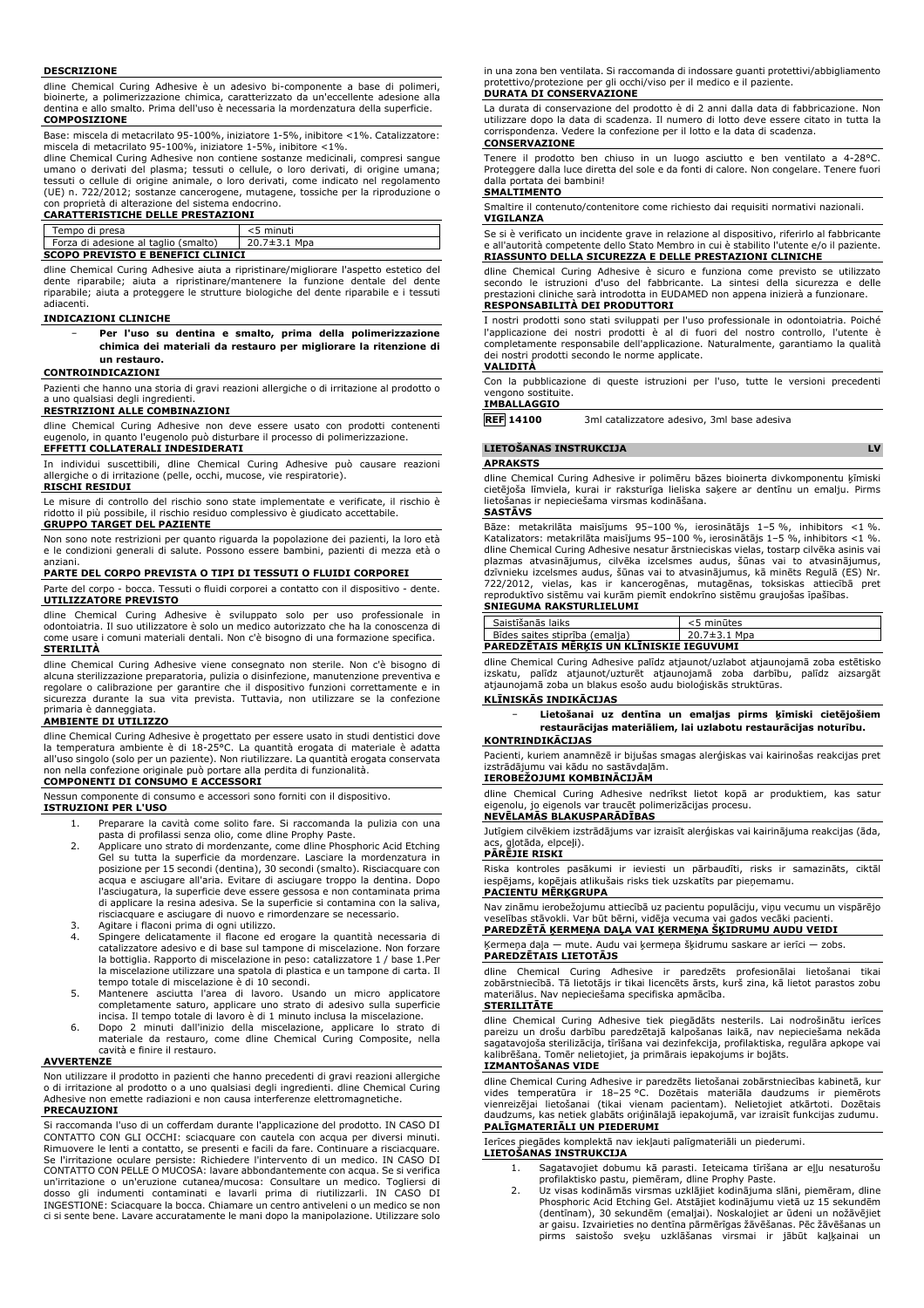#### **DESCRIZIONE**

dline Chemical Curing Adhesive è un adesivo bi-componente a base di polimeri, bioinerte, a polimerizzazione chimica, caratterizzato da un'eccellente adesione alla dentina e allo smalto. Prima dell'uso è necessaria la mordenzatura della superficie. **COMPOSIZIONE**

Base: miscela di metacrilato 95-100%, iniziatore 1-5%, inibitore <1%. Catalizzatore: miscela di metacrilato 95-100%, iniziatore 1-5%, inibitore <1%.

dline Chemical Curing Adhesive non contiene sostanze medicinali, compresi sangue umano o derivati del plasma; tessuti o cellule, o loro derivati, di origine umana; tessuti o cellule di origine animale, o loro derivati, come indicato nel regolamento (UE) n. 722/2012; sostanze cancerogene, mutagene, tossiche per la riproduzione o

### con proprietà di alterazione del sistema endocrino. **CARATTERISTICHE DELLE PRESTAZIONI** Tempo di presa<br>
Forza di adesione al taglio (smalto) 20.7±3.1 Mpa Forza di adesione al taglio (smalto) **SCOPO PREVISTO E BENEFICI CLINICI**

dline Chemical Curing Adhesive aiuta a ripristinare/migliorare l'aspetto estetico del dente riparabile; aiuta a ripristinare/mantenere la funzione dentale del dente riparabile; aiuta a proteggere le strutture biologiche del dente riparabile e i tessuti adiacenti.

#### **INDICAZIONI CLINICHE**

− **Per l'uso su dentina e smalto, prima della polimerizzazione chimica dei materiali da restauro per migliorare la ritenzione di un restauro.**

#### **CONTROINDICAZIONI**

Pazienti che hanno una storia di gravi reazioni allergiche o di irritazione al prodotto o a uno qualsiasi degli ingredienti.

### **RESTRIZIONI ALLE COMBINAZIONI**

dline Chemical Curing Adhesive non deve essere usato con prodotti contenenti eugenolo, in quanto l'eugenolo può disturbare il processo di polimerizzazione.

# **EFFETTI COLLATERALI INDESIDERATI**

In individui suscettibili, dline Chemical Curing Adhesive può causare reazioni allergiche o di irritazione (pelle, occhi, mucose, vie respiratorie). **RISCHI RESIDUI**

# Le misure di controllo del rischio sono state implementate e verificate, il rischio è ridotto il più possibile, il rischio residuo complessivo è giudicato accettabile. **GRUPPO TARGET DEL PAZIENTE**

Non sono note restrizioni per quanto riguarda la popolazione dei pazienti, la loro età e le condizioni generali di salute. Possono essere bambini, pazienti di mezza età o anziani.

#### **PARTE DEL CORPO PREVISTA O TIPI DI TESSUTI O FLUIDI CORPOREI**

Parte del corpo - bocca. Tessuti o fluidi corporei a contatto con il dispositivo - dente. **UTILIZZATORE PREVISTO**

dline Chemical Curing Adhesive è sviluppato solo per uso professionale in odontoiatria. Il suo utilizzatore è solo un medico autorizzato che ha la conoscenza di come usare i comuni materiali dentali. Non c'è bisogno di una formazione specifica. **STERILITÀ**

dline Chemical Curing Adhesive viene consegnato non sterile. Non c'è bisogno di alcuna sterilizzazione preparatoria, pulizia o disinfezione, manutenzione preventiva e regolare o calibrazione per garantire che il dispositivo funzioni correttamente e in sicurezza durante la sua vita prevista. Tuttavia, non utilizzare se la confezione primaria è danneggiata.

#### **AMBIENTE DI UTILIZZO**

dline Chemical Curing Adhesive è progettato per essere usato in studi dentistici dove la temperatura ambiente è di 18-25°C. La quantità erogata di materiale è adatta all'uso singolo (solo per un paziente). Non riutilizzare. La quantità erogata conservata non nella confezione originale può portare alla perdita di funzionalità.

#### **COMPONENTI DI CONSUMO E ACCESSORI**

Nessun componente di consumo e accessori sono forniti con il dispositivo.

- **ISTRUZIONI PER L'USO** 1. Preparare la cavità come solito fare. Si raccomanda la pulizia con una
	- pasta di profilassi senza olio, come dline Prophy Paste. 2. Applicare uno strato di mordenzante, come dline Phosphoric Acid Etching Gel su tutta la superficie da mordenzare. Lasciare la mordenzatura in posizione per 15 secondi (dentina), 30 secondi (smalto). Risciacquare con acqua e asciugare all'aria. Evitare di asciugare troppo la dentina. Dopo l'asciugatura, la superficie deve essere gessosa e non contaminata prima di applicare la resina adesiva. Se la superficie si contamina con la saliva, risciacquare e asciugare di nuovo e rimordenzare se necessario.
	- 3. Agitare i flaconi prima di ogni utilizzo. 4. Spingere delicatamente il flacone ed erogare la quantità necessaria di catalizzatore adesivo e di base sul tampone di miscelazione. Non forzare la bottiglia. Rapporto di miscelazione in peso: catalizzatore 1 / base 1.Per la miscelazione utilizzare una spatola di plastica e un tampone di carta. Il tempo totale di miscelazione è di 10 secondi.
	- 5. Mantenere asciutta l'area di lavoro. Usando un micro applicatore completamente saturo, applicare uno strato di adesivo sulla superficie incisa. Il tempo totale di lavoro è di 1 minuto inclusa la miscelazione.
	- 6. Dopo 2 minuti dall'inizio della miscelazione, applicare lo strato di materiale da restauro, come dline Chemical Curing Composite, nella cavità e finire il restauro.

#### **AVVERTENZE**

Non utilizzare il prodotto in pazienti che hanno precedenti di gravi reazioni allergiche o di irritazione al prodotto o a uno qualsiasi degli ingredienti. dline Chemical Curing Adhesive non emette radiazioni e non causa interferenze elettromagnetiche.

### **PRECAUZIONI**

Si raccomanda l'uso di un cofferdam durante l'applicazione del prodotto. IN CASO DI CONTATTO CON GLI OCCHI: sciacquare con cautela con acqua per diversi minuti. Rimuovere le lenti a contatto, se presenti e facili da fare. Continuare a risciacquare. Se l'irritazione oculare persiste: Richiedere l'intervento di un medico. IN CASO DI CONTATTO CON PELLE O MUCOSA: lavare abbondantemente con acqua. Se si verifica un'irritazione o un'eruzione cutanea/mucosa: Consultare un medico. Togliersi di dosso gli indumenti contaminati e lavarli prima di riutilizzarli. IN CASO DI INGESTIONE: Sciacquare la bocca. Chiamare un centro antiveleni o un medico se non ci si sente bene. Lavare accuratamente le mani dopo la manipolazione. Utilizzare solo in una zona ben ventilata. Si raccomanda di indossare guanti protettivi/abbigliamento protettivo/protezione per gli occhi/viso per il medico e il paziente. **DURATA DI CONSERVAZIONE**

La durata di conservazione del prodotto è di 2 anni dalla data di fabbricazione. Non utilizzare dopo la data di scadenza. Il numero di lotto deve essere citato in tutta la corrispondenza. Vedere la confezione per il lotto e la data di scadenza. **CONSERVAZIONE**

Tenere il prodotto ben chiuso in un luogo asciutto e ben ventilato a 4-28°C. Proteggere dalla luce diretta del sole e da fonti di calore. Non congelare. Tenere fuori dalla portata dei bambini!

# **SMALTIMENTO**

Smaltire il contenuto/contenitore come richiesto dai requisiti normativi nazionali.

#### **VIGILANZA**

Se si è verificato un incidente grave in relazione al dispositivo, riferirlo al fabbricante e all'autorità competente dello Stato Membro in cui è stabilito l'utente e/o il paziente. **RIASSUNTO DELLA SICUREZZA E DELLE PRESTAZIONI CLINICHE**

dline Chemical Curing Adhesive è sicuro e funziona come previsto se utilizzato secondo le istruzioni d'uso del fabbricante. La sintesi della sicurezza e delle prestazioni cliniche sarà introdotta in EUDAMED non appena inizierà a funzionare. **RESPONSABILITÀ DEI PRODUTTORI**

I nostri prodotti sono stati sviluppati per l'uso professionale in odontoiatria. Poiché l'applicazione dei nostri prodotti è al di fuori del nostro controllo, l'utente è completamente responsabile dell'applicazione. Naturalmente, garantiamo la qualità dei nostri prodotti secondo le norme applicate.

# **VALIDITÀ**

Con la pubblicazione di queste istruzioni per l'uso, tutte le versioni precedenti vengono sostituite.

# **IMBALLAGGIO**

**REF 14100** 3ml catalizzatore adesivo, 3ml base adesiva

#### **LIETOŠANAS INSTRUKCIJA LV**

#### **APRAKSTS**

dline Chemical Curing Adhesive ir polimēru bāzes bioinerta divkomponentu ķīmiski cietējoša līmviela, kurai ir raksturīga lieliska saķere ar dentīnu un emalju. Pirms lietošanas ir nepieciešama virsmas kodināšana.

#### **SASTĀVS**

Bāze: metakrilāta maisījums 95–100 %, ierosinātājs 1–5 %, inhibitors <1 %. Katalizators: metakrilāta maisījums 95–100 %, ierosinātājs 1–5 %, inhibitors <1 %. dline Chemical Curing Adhesive nesatur ārstnieciskas vielas, tostarp cilvēka asinis vai plazmas atvasinājumus, cilvēka izcelsmes audus, šūnas vai to atvasinājumus, dzīvnieku izcelsmes audus, šūnas vai to atvasinājumus, kā minēts Regulā (ES) Nr.<br>722/2012, vielas, kas ir kancerogēnas, mutagēnas, toksiskas attiecībā pret<br>reproduktīvo sistēmu vai kurām piemīt endokrīno sistēmu grau **SNIEGUMA RAKSTURLIELUMI**

| PAREDZETAIS MERKIS UN KLĪNISKIE IEGUVUMI |              |
|------------------------------------------|--------------|
| Bīdes saites stiprība (emalja)           | 20.7±3.1 Mpa |
| Saistīšanās laiks                        | <5 minūtes   |

dline Chemical Curing Adhesive palīdz atjaunot/uzlabot atjaunojamā zoba estētisko izskatu, palīdz atjaunot/uzturēt atjaunojamā zoba darbību, palīdz aizsargāt atjaunojamā zoba un blakus esošo audu bioloģiskās struktūras.

#### **KLĪNISKĀS INDIKĀCIJAS**

− **Lietošanai uz dentīna un emaljas pirms ķīmiski cietējošiem restaurācijas materiāliem, lai uzlabotu restaurācijas noturību.**

#### **KONTRINDIKĀCIJAS**

Pacienti, kuriem anamnēzē ir bijušas smagas alerģiskas vai kairinošas reakcijas pret izstrādājumu vai kādu no sastāvdaļām. **IEROBEŽOJUMI KOMBINĀCIJĀM**

dline Chemical Curing Adhesive nedrīkst lietot kopā ar produktiem, kas satur eigenolu, jo eigenols var traucēt polimerizācijas procesu. **NEVĒLAMĀS BLAKUSPARĀDĪBAS**

Jutīgiem cilvēkiem izstrādājums var izraisīt alerģiskas vai kairinājuma reakcijas (āda, acs, gļotāda, elpceļi). **PĀRĒJIE RISKI**

Riska kontroles pasākumi ir ieviesti un pārbaudīti, risks ir samazināts, ciktāl iespējams, kopējais atlikušais risks tiek uzskatīts par pieņemamu.

### **PACIENTU MĒRĶGRUPA**

Nav zināmu ierobežojumu attiecībā uz pacientu populāciju, viņu vecumu un vispārējo veselības stāvokli. Var būt bērni, vidēja vecuma vai gados vecāki pacienti. **PAREDZĒTĀ ĶERMEŅA DAĻA VAI ĶERMEŅA ŠĶIDRUMU AUDU VEIDI**

Ķermeņa daļa — mute. Audu vai ķermeņa šķidrumu saskare ar ierīci — zobs. **PAREDZĒTAIS LIETOTĀJS**

dline Chemical Curing Adhesive ir paredzēts profesionālai lietošanai tikai zobārstniecībā. Tā lietotājs ir tikai licencēts ārsts, kurš zina, kā lietot parastos zobu Nav nepieciešama specifiska apmācība.

### **STERILITĀTE**

dline Chemical Curing Adhesive tiek piegādāts nesterils. Lai nodrošinātu ierīces pareizu un drošu darbību paredzētajā kalpošanas laikā, nav nepieciešama nekāda sagatavojoša sterilizācija, tīrīšana vai dezinfekcija, profilaktiska, regulāra apkope vai Tomēr nelietojiet, ja primārais iepakojums ir bojāts. **IZMANTOŠANAS VIDE**

### dline Chemical Curing Adhesive ir paredzēts lietošanai zobārstniecības kabinetā, kur vides temperatūra ir 18–25 °C. Dozētais materiāla daudzums ir piemērots vienreizējai lietošanai (tikai vienam pacientam). Nelietojiet atkārtoti. Dozētais daudzums, kas netiek glabāts oriģinālajā iepakojumā, var izraisīt funkcijas zudumu. **PALĪGMATERIĀLI UN PIEDERUMI**

#### Ierīces piegādes komplektā nav iekļauti palīgmateriāli un piederumi.

- **LIETOŠANAS INSTRUKCIJA** 1. Sagatavojiet dobumu kā parasti. Ieteicama tīrīšana ar eļļu nesaturošu
	- profilaktisko pastu, piemēram, dline Prophy Paste. 2. Uz visas kodināmās virsmas uzklājiet kodinājuma slāni, piemēram, dline Phosphoric Acid Etching Gel. Atstājiet kodinājumu vietā uz 15 sekundēm (dentīnam), 30 sekundēm (emaljai). Noskalojiet ar ūdeni un nožāvējiet ar gaisu. Izvairieties no dentīna pārmērīgas žāvēšanas. Pēc žāvēšanas un pirms saistošo sveķu uzklāšanas virsmai ir jābūt kaļķainai un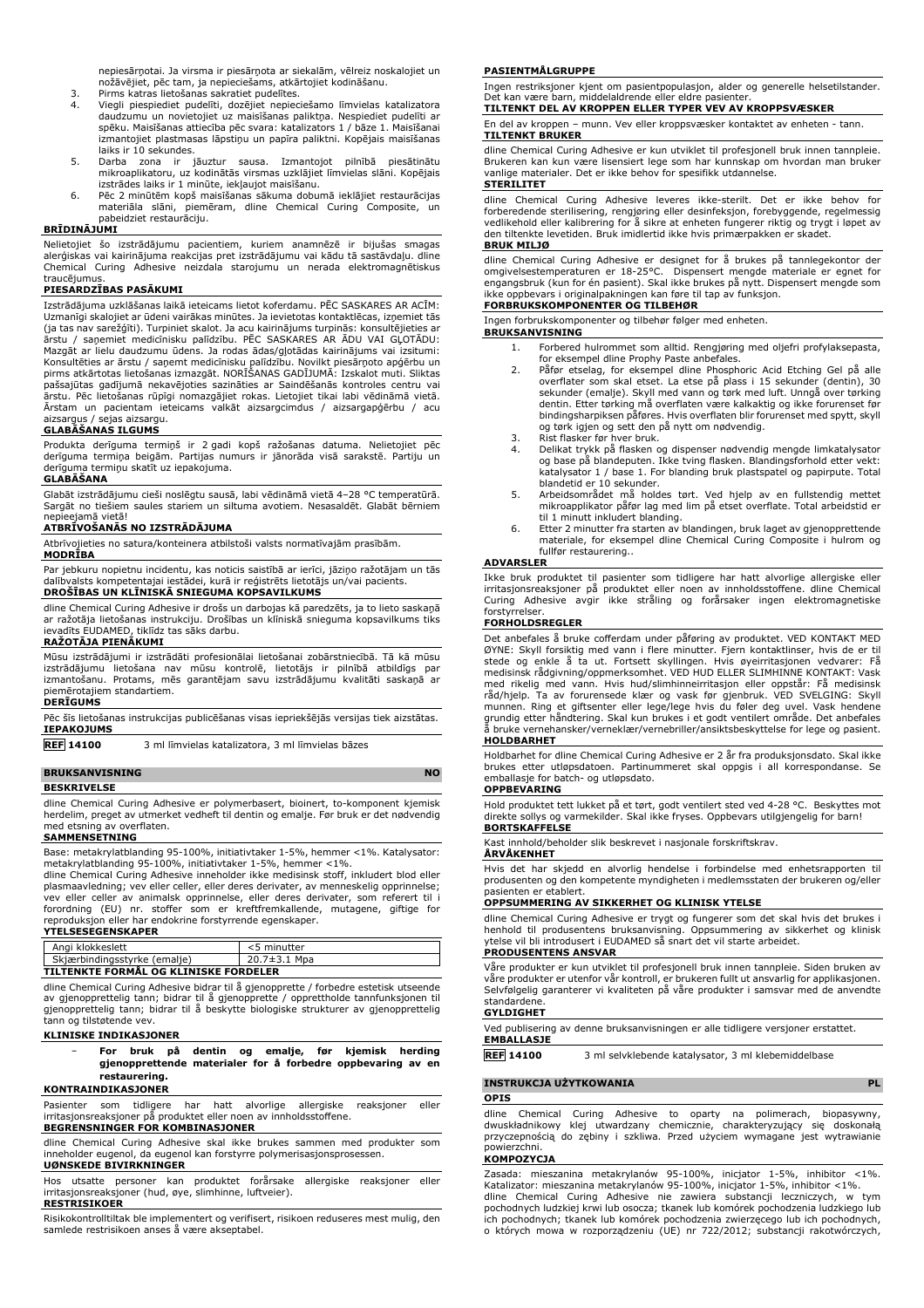nepiesārņotai. Ja virsma ir piesārņota ar siekalām, vēlreiz noskalojiet un nožāvējiet, pēc tam, ja nepieciešams, atkārtojiet kodināšanu.

- 3. Pirms katras lietošanas sakratiet pudelītes.<br>4. Viegļi piespiediet pudelīti, dozējiet nepiec
- Viegli piespiediet pudelīti, dozējiet nepieciešamo līmvielas katalizatora daudzumu un novietojiet uz maisīšanas paliktņa. Nespiediet pudelīti ar spēku. Maisīšanas attiecība pēc svara: katalizators 1 / bāze 1. Maisīšanai izmantojiet plastmasas lāpstiņu un papīra paliktni. Kopējais maisīšanas laiks ir 10 sekundes.
- 5. Darba zona ir jāuztur sausa. Izmantojot pilnībā piesātinātu mikroaplikatoru, uz kodinātās virsmas uzklājiet līmvielas slāni. Kopējais izstrādes laiks ir 1 minūte, iekļaujot maisīšanu.
- 6. Pēc 2 minūtēm kopš maisīšanas sākuma dobumā ieklājiet restaurācijas materiāla slāni, piemēram, dline Chemical Curing Composite, un pabeidziet restaurāciju.

#### **BRĪDINĀJUMI**

Nelietojiet šo izstrādājumu pacientiem, kuriem anamnēzē ir bijušas smagas alerģiskas vai kairinājuma reakcijas pret izstrādājumu vai kādu tā sastāvdaļu. dline Chemical Curing Adhesive neizdala starojumu un nerada elektromagnētiskus traucējumus

#### **PIESARDZĪBAS PASĀKUMI**

Izstrādājuma uzklāšanas laikā ieteicams lietot koferdamu. PĒC SASKARES AR ACĪM: Uzmanīgi skalojiet ar ūdeni vairākas minūtes. Ja ievietotas kontaktlēcas, izņemiet tās (ja tas nav sarežģīti). Turpiniet skalot. Ja acu kairinājums turpinās: konsultējieties ar<br>ārstu / saņemiet medicīnisku palīdzību. PĒC SASKARES AR ĀDU VAI GĻOTĀDU:<br>Mazgāt ar lielu daudzumu ūdens. Ja rodas ādas/gļotāda Konsultēties ar ārstu / saņemt medicīnisku palīdzību. Novilkt piesārņoto apģērbu un<br>pirms atkārtotas lietošanas izmazgāt. NORĪŠANAS GADĪJUMĀ: Izskalot muti. Sliktas<br>pašsajūtas gadījumā nekavējoties sazināties ar Saindēšanā ārstu. Pēc lietošanas rūpīgi nomazgājiet rokas. Lietojiet tikai labi vēdināmā vietā. Ārstam un pacientam ieteicams valkāt aizsargcimdus / aizsargapģērbu / acu aizsargus / sejas aizsargu.

# **GLABĀŠANAS ILGUMS**

Produkta derīguma termiņš ir 2 gadi kopš ražošanas datuma. Nelietojiet pēc derīguma termiņa beigām. Partijas numurs ir jānorāda visā sarakstē. Partiju un derīguma termiņu skatīt uz iepakojuma.

# **GLABĀŠANA**

Glabāt izstrādājumu cieši noslēgtu sausā, labi vēdināmā vietā 4–28 °C temperatūrā. Sargāt no tiešiem saules stariem un siltuma avotiem. Nesasaldēt. Glabāt bērniem nepieejamā vietā!

# **ATBRĪVOŠANĀS NO IZSTRĀDĀJUMA**

Atbrīvojieties no satura/konteinera atbilstoši valsts normatīvajām prasībām.

#### **MODRĪBA**

Par jebkuru nopietnu incidentu, kas noticis saistībā ar ierīci, jāziņo ražotājam un tās dalībvalsts kompetentajai iestādei, kurā ir reģistrēts lietotājs un/vai pacients. **DROŠĪBAS UN KLĪNISKĀ SNIEGUMA KOPSAVILKUMS**

dline Chemical Curing Adhesive ir drošs un darbojas kā paredzēts, ja to lieto saskaņā ar ražotāja lietošanas instrukciju. Drošības un klīniskā snieguma kopsavilkums tiks ievadīts EUDAMED, tiklīdz tas sāks darbu. **RAŽOTĀJA PIENĀKUMI**

Mūsu izstrādājumi ir izstrādāti profesionālai lietošanai zobārstniecībā. Tā kā mūsu izstrādājumu lietošana nav mūsu kontrolē, lietotājs ir pilnībā atbildīgs par izmantošanu. Protams, mēs garantējam savu izstrādājumu kvalitāti saskaņā ar piemērotajiem standartiem.

#### **DERĪGUMS**

Pēc šīs lietošanas instrukcijas publicēšanas visas iepriekšējās versijas tiek aizstātas. **IEPAKOJUMS**

**REF 14100** 3 ml līmvielas katalizatora, 3 ml līmvielas bāzes

#### **BRUKSANVISNING** NO

**BESKRIVELSE**

dline Chemical Curing Adhesive er polymerbasert, bioinert, to-komponent kjemisk herdelim, preget av utmerket vedheft til dentin og emalje. Før bruk er det nødvendig med etsning av overflaten.

#### **SAMMENSETNING**

Base: metakrylatblanding 95-100%, initiativtaker 1-5%, hemmer <1%. Katalysator: metakrylatblanding 95-100%, initiativtaker 1-5%, hemmer <1%.

dline Chemical Curing Adhesive inneholder ikke medisinsk stoff, inkludert blod eller plasmaavledning; vev eller celler, eller deres derivater, av menneskelig opprinnelse;<br>vev eller celler av animalsk opprinnelse, eller deres derivater, som referert til i<br>forordning (EU) nr. stoffer som er kreftfremkallende

# **YTELSESEGENSKAPER**

| Angi klokkeslett                      | <5 minutter  |  |
|---------------------------------------|--------------|--|
| Skjærbindingsstyrke (emalje)          | 20.7±3.1 Mpa |  |
| TILTENKTE FORMÅL OG KLINISKE FORDELER |              |  |

dline Chemical Curing Adhesive bidrar til å gjenopprette / forbedre estetisk utseende av gjenopprettelig tann; bidrar til å gjenopprette / opprettholde tannfunksjonen til gjenopprettelig tann; bidrar til å beskytte biologiske strukturer av gjenopprettelig tann og tilstøtende vev.

## **KLINISKE INDIKASJONER**

− **For bruk på dentin og emalje, før kjemisk herding gjenopprettende materialer for å forbedre oppbevaring av en restaurering.**

# **KONTRAINDIKASJONER**

Pasienter som tidligere har hatt alvorlige allergiske reaksjoner eller irritasjonsreaksjoner på produktet eller noen av innholdsstoffene. **BEGRENSNINGER FOR KOMBINASJONER**

#### dline Chemical Curing Adhesive skal ikke brukes sammen med produkter som inneholder eugenol, da eugenol kan forstyrre polymerisasjonsprosessen.

**UØNSKEDE BIVIRKNINGER**

Hos utsatte personer kan produktet forårsake allergiske reaksjoner eller irritasjonsreaksjoner (hud, øye, slimhinne, luftveier). **RESTRISIKOER**

Risikokontrolltiltak ble implementert og verifisert, risikoen reduseres mest mulig, den samlede restrisikoen anses å være akseptabel.

#### **PASIENTMÅLGRUPPE**

Ingen restriksjoner kjent om pasientpopulasjon, alder og generelle helsetilstander. Det kan være barn, middelaldrende eller eldre pasienter.

# **TILTENKT DEL AV KROPPEN ELLER TYPER VEV AV KROPPSVÆSKER**

En del av kroppen – munn. Vev eller kroppsvæsker kontaktet av enheten - tann. **TILTENKT BRUKER** dline Chemical Curing Adhesive er kun utviklet til profesjonell bruk innen tannpleie.

Brukeren kan kun være lisensiert lege som har kunnskap om hvordan man bruker vanlige materialer. Det er ikke behov for spesifikk utdannelse.

#### **STERILITET**

dline Chemical Curing Adhesive leveres ikke-sterilt. Det er ikke behov for<br>forberedende sterilisering, rengjøring eller desinfeksjon, forebyggende, regelmessig<br>vedlikehold-eller-kalibrering-for-å-sikre-at-enheten-fungererden tiltenkte levetiden. Bruk imidlertid ikke hvis primærpakken er skadet. **BRUK MILJØ**

# dline Chemical Curing Adhesive er designet for å brukes på tannlegekontor der<br>omgivelsestemperaturen er 18-25°C. Dispensert mengde materiale er egnet for<br>engangsbruk (kun-for-én-pasient). Skal ikke-brukes på nytt. Dispense ikke oppbevars i originalpakningen kan føre til tap av funksjon. **FORBRUKSKOMPONENTER OG TILBEHØR**

Ingen forbrukskomponenter og tilbehør følger med enheten.

# **BRUKSANVISNING**

- 1. Forbered hulrommet som alltid. Rengjøring med oljefri profylaksepasta, for eksempel dline Prophy Paste anbefales.
- 2. Påfør etselag, for eksempel dline Phosphoric Acid Etching Gel på alle overflater som skal etset. La etse på plass i 15 sekunder (dentin), 30 sekunder (emalje). Skyll med vann og tørk med luft. Unngå over tørking dentin. Etter tørking må overflaten være kalkaktig og ikke forurenset før bindingsharpiksen påføres. Hvis overflaten blir forurenset med spytt, skyll og tørk igjen og sett den på nytt om nødvendig.
- 3. Rist flasker før hver bruk.<br>4. Delikat trykk på flasken o
- 4. Delikat trykk på flasken og dispenser nødvendig mengde limkatalysator og base på blandeputen. Ikke tving flasken. Blandingsforhold etter vekt: katalysator 1 / base 1. For blanding bruk plastspatel og papirpute. Total blandetid er 10 sekunder.
- 5. Arbeidsområdet må holdes tørt. Ved hjelp av en fullstendig mettet mikroapplikator påfør lag med lim på etset overflate. Total arbeidstid er
- til 1 minutt inkludert blanding. 6. Etter 2 minutter fra starten av blandingen, bruk laget av gjenopprettende materiale, for eksempel dline Chemical Curing Composite i hulrom og fullfør restaurering..

#### **ADVARSLER**

Ikke bruk produktet til pasienter som tidligere har hatt alvorlige allergiske eller irritasjonsreaksjoner på produktet eller noen av innholdsstoffene. dline Chemical Curing Adhesive avgir ikke stråling og forårsaker ingen elektromagnetiske forstyrrelser.

### **FORHOLDSREGLER**

Det anbefales å bruke cofferdam under påføring av produktet. VED KONTAKT MED ØYNE: Skyll forsiktig med vann i flere minutter. Fjern kontaktlinser, hvis de er til stede og enkle å ta ut. Fortsett skyllingen. Hvis øyeirritasjonen vedvarer: Få medisinsk rådgivning/oppmerksomhet. VED HUD ELLER SLIMHINNE KONTAKT: Vask med rikelig med vann. Hvis hud/slimhinneirritasjon eller oppstår: Få medisinsk<br>råd/hjelp. Ta av forurensede klær og vask før gjenbruk. VED SVELGING: Skyll<br>munnen. Ring et giftsenter eller lege/lege hvis du føler deg uvel. **HOLDBARHET**

Holdbarhet for dline Chemical Curing Adhesive er 2 år fra produksjonsdato. Skal ikke brukes etter utløpsdatoen. Partinummeret skal oppgis i all korrespondanse. Se emballasje for batch- og utløpsdato.

#### **OPPBEVARING**

Hold produktet tett lukket på et tørt, godt ventilert sted ved 4-28 °C. Beskyttes mot direkte sollys og varmekilder. Skal ikke fryses. Oppbevars utilgjengelig for barn! **BORTSKAFFELSE**

Kast innhold/beholder slik beskrevet i nasjonale forskriftskrav.

# **ÅRVÅKENHET**

Hvis det har skjedd en alvorlig hendelse i forbindelse med enhetsrapporten til produsenten og den kompetente myndigheten i medlemsstaten der brukeren og/eller pasienten er etablert.

#### **OPPSUMMERING AV SIKKERHET OG KLINISK YTELSE**

dline Chemical Curing Adhesive er trygt og fungerer som det skal hvis det brukes i henhold til produsentens bruksanvisning. Oppsummering av sikkerhet og klinisk ytelse vil bli introdusert i EUDAMED så snart det vil starte arbeidet.

#### **PRODUSENTENS ANSVAR**

Våre produkter er kun utviklet til profesjonell bruk innen tannpleie. Siden bruken av våre produkter er utenfor vår kontroll, er brukeren fullt ut ansvarlig for applikasjonen. Selvfølgelig garanterer vi kvaliteten på våre produkter i samsvar med de anvendte standardene.

#### **GYLDIGHET**

Ved publisering av denne bruksanvisningen er alle tidligere versjoner erstattet. **EMBALLASJE**

**REF 14100** 3 ml selvklebende katalysator, 3 ml klebemiddelbase

#### **INSTRUKCJA UŻYTKOWANIA PL**

#### **OPIS**

dline Chemical Curing Adhesive to oparty na polimerach, biopasywny, dwuskładnikowy klej utwardzany chemicznie, charakteryzujący się doskonałą przyczepnością do zębiny i szkliwa. Przed użyciem wymagane jest wytrawianie powierzchni.

#### **KOMPOZYCJA**

Zasada: mieszanina metakrylanów 95-100%, inicjator 1-5%, inhibitor <1%. Katalizator: mieszanina metakrylanów 95-100%, inicjator 1-5%, inhibitor <1%. dline Chemical Curing Adhesive nie zawiera substancji leczniczych, w tym pochodnych ludzkiej krwi lub osocza; tkanek lub komórek pochodzenia ludzkiego lub ich pochodnych; tkanek lub komórek pochodzenia zwierzęcego lub ich pochodnych, o których mowa w rozporządzeniu (UE) nr 722/2012; substancji rakotwórczych,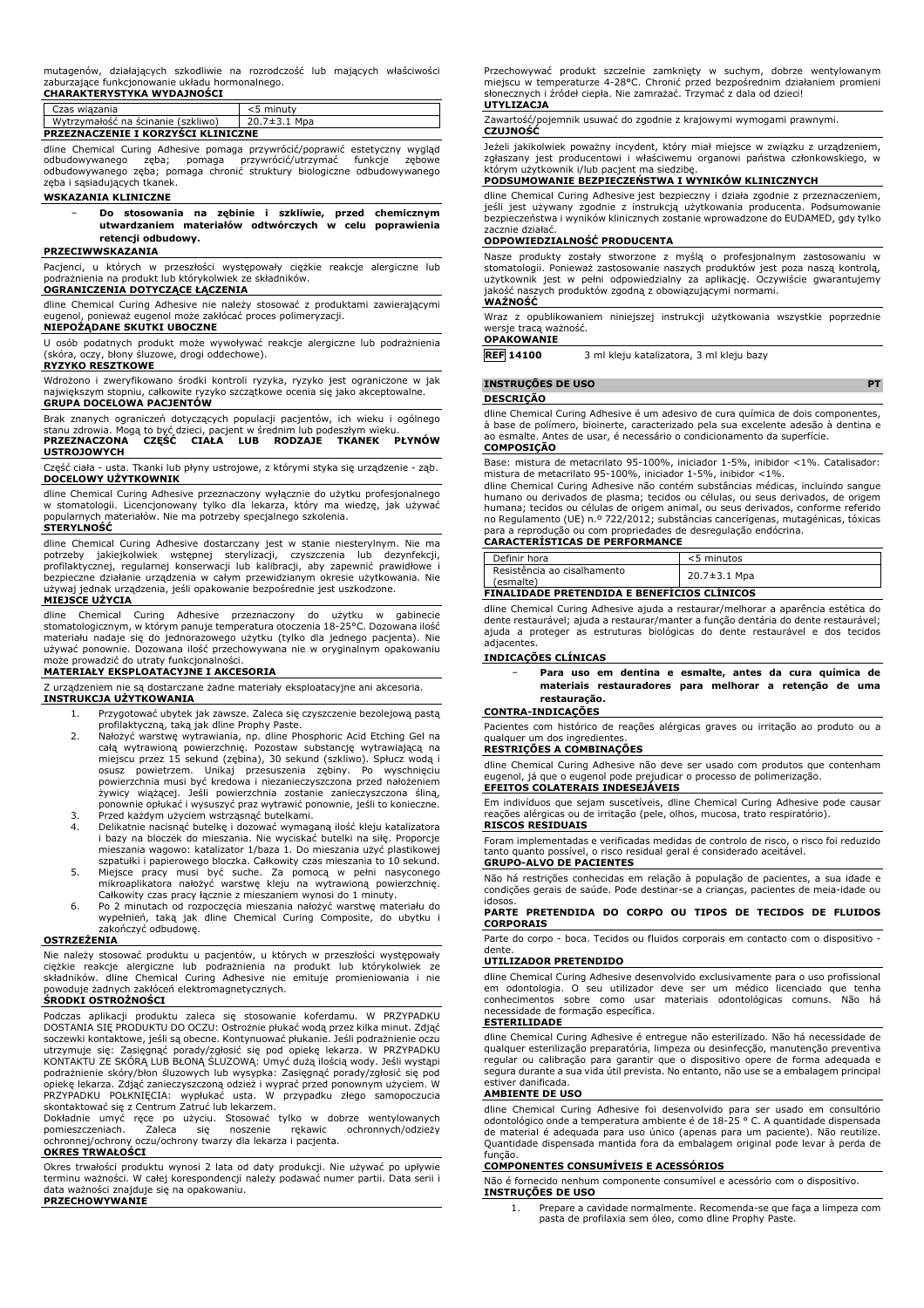mutagenów, działających szkodliwie na rozrodczość lub mających właściwości zaburzające funkcjonowanie układu hormonalnego. **CHARAKTERYSTYKA WYDAJNOŚCI**

| Czas wiazania                             | <5 minuty          |  |
|-------------------------------------------|--------------------|--|
| Wytrzymałość na ścinanie (szkliwo)        | $20.7 \pm 3.1$ Mpa |  |
| <b>PRZEZNACZENIE I KORZYSCI KLINICZNE</b> |                    |  |

dline Chemical Curing Adhesive pomaga przywrócić/poprawić estetyczny wygląd odbudowywanego zęba; pomaga przywrócić/utrzymać funkcje zębowe odbudowywanego zęba; pomaga chronić struktury biologiczne odbudowywanego zęba i sąsiadujących tkanek.

#### **WSKAZANIA KLINICZNE**

− **Do stosowania na zębinie i szkliwie, przed chemicznym utwardzaniem materiałów odtwórczych w celu poprawienia retencji odbudowy.**

### **PRZECIWWSKAZANIA**

Pacjenci, u których w przeszłości występowały ciężkie reakcje alergiczne lub podrażnienia na produkt lub którykolwiek ze składników.

#### **OGRANICZENIA DOTYCZĄCE ŁĄCZENIA**

dline Chemical Curing Adhesive nie należy stosować z produktami zawierającymi eugenol, ponieważ eugenol może zakłócać proces polimeryzacji.

#### **NIEPOŻĄDANE SKUTKI UBOCZNE**

U osób podatnych produkt może wywoływać reakcje alergiczne lub podrażnienia (skóra, oczy, błony śluzowe, drogi oddechowe).

### **RYZYKO RESZTKOWE**

Wdrożono i zweryfikowano środki kontroli ryzyka, ryzyko jest ograniczone w jak największym stopniu, całkowite ryzyko szczątkowe ocenia się jako akceptowalne. **GRUPA DOCELOWA PACJENTÓW**

Brak znanych ograniczeń dotyczących populacji pacjentów, ich wieku i ogólnego stanu zdrowia. Mogą to być dzieci, pacjent w średnim lub podeszłym wieku. **PRZEZNACZONA CZĘŚĆ CIAŁA LUB RODZAJE TKANEK PŁYNÓW**

**USTROJOWYCH** Część ciała - usta. Tkanki lub płyny ustrojowe, z którymi styka się urządzenie - ząb.

**DOCELOWY UŻYTKOWNIK**

dline Chemical Curing Adhesive przeznaczony wyłącznie do użytku profesjonalnego w stomatologii. Licencjonowany tylko dla lekarza, który ma wiedzę, jak używać popularnych materiałów. Nie ma potrzeby specjalnego szkolenia.

#### **STERYLNOŚĆ**

dline Chemical Curing Adhesive dostarczany jest w stanie niesterylnym. Nie ma potrzeby jakiejkolwiek wstępnej sterylizacji, czyszczenia lub dezynfekcji, profilaktycznej, regularnej konserwacji lub kalibracji, aby zapewnić prawidłowe i bezpieczne działanie urządzenia w całym przewidzianym okresie użytkowania. Nie używaj jednak urządzenia, jeśli opakowanie bezpośrednie jest uszkodzone. **MIEJSCE UŻYCIA**

dline Chemical Curing Adhesive przeznaczony do użytku w gabinecie stomatologicznym, w którym panuje temperatura otoczenia 18-25°C. Dozowana ilość materiału nadaje się do jednorazowego użytku (tylko dla jednego pacjenta). Nie używać ponownie. Dozowana ilość przechowywana nie w oryginalnym opakowaniu może prowadzić do utraty funkcjonalności.

## **MATERIAŁY EKSPLOATACYJNE I AKCESORIA**

Z urządzeniem nie są dostarczane żadne materiały eksploatacyjne ani akcesoria. **INSTRUKCJA UŻYTKOWANIA**

- 1. Przygotować ubytek jak zawsze. Zaleca się czyszczenie bezolejową pastą
- profilaktyczną, taką jak dline Prophy Paste. 2. Nałożyć warstwę wytrawiania, np. dline Phosphoric Acid Etching Gel na całą wytrawioną powierzchnię. Pozostaw substancję wytrawiającą na miejscu przez 15 sekund (zębina), 30 sekund (szkliwo). Spłucz wodą i osusz powietrzem. Unikaj przesuszenia zębiny. Po wyschnięciu powierzchnia musi być kredowa i niezanieczyszczona przed nałożeniem żywicy wiążącej. Jeśli powierzchnia zostanie zanieczyszczona śliną, ponownie opłukać i wysuszyć praz wytrawić ponownie, jeśli to konieczne. 3. Przed każdym użyciem wstrząsnąć butelkami.
- 4. Delikatnie nacisnąć butelkę i dozować wymaganą ilość kleju katalizatora i bazy na bloczek do mieszania. Nie wyciskać butelki na siłę. Proporcje mieszania wagowo: katalizator 1/baza 1. Do mieszania użyć plastikowej szpatułki i papierowego bloczka. Całkowity czas mieszania to 10 sekund.
- 5. Miejsce pracy musi być suche. Za pomocą w pełni nasyconego mikroaplikatora nałożyć warstwę kleju na wytrawioną powierzchnię. Całkowity czas pracy łącznie z mieszaniem wynosi do 1 minuty.
- 6. Po 2 minutach od rozpoczęcia mieszania nałożyć warstwę materiału do wypełnień, taką jak dline Chemical Curing Composite, do ubytku i zakończyć odbudowę.

#### **OSTRZEŻENIA**

Nie należy stosować produktu u pacjentów, u których w przeszłości występowały ciężkie reakcje alergiczne lub podrażnienia na produkt lub którykolwiek ze<br>składników. dline Chemical Curing Adhesive nie emituje promieniowania i nie<br>powoduje żadnych zakłóceń-elektromagnetycznych.<br>**ŚRODKI OSTROŻNOŚCI** 

Podczas aplikacji produktu zaleca się stosowanie koferdamu. W PRZYPADKU DOSTANIA SIĘ PRODUKTU DO OCZU: Ostrożnie płukać wodą przez kilka minut. Zdjąć soczewki kontaktowe, jeśli są obecne. Kontynuować płukanie. Jeśli podrażnienie oczu utrzymuje się: Zasięgnąć porady/zgłosić się pod opiekę lekarza. W PRZYPADKU KONTAKTU ZE SKÓRĄ LUB BŁONĄ ŚLUZOWĄ: Umyć dużą ilością wody. Jeśli wystąpi podrażnienie skóry/błon śluzowych lub wysypka: Zasięgnąć porady/zgłosić się pod opiekę lekarza. Zdjąć zanieczyszczoną odzież i wyprać przed ponownym użyciem. W PRZYPADKU POŁKNIĘCIA: wypłukać usta. W przypadku złego samopoczucia skontaktować się z Centrum Zatruć lub lekarzem.

Dokładnie umyć ręce po użyciu. Stosować tylko w dobrze wentylowanych pomieszczeniach. Zaleca się noszenie rękawic ochronnych/odzieży ochronnej/ochrony oczu/ochrony twarzy dla lekarza i pacjenta. **OKRES TRWAŁOŚCI**

Okres trwałości produktu wynosi 2 lata od daty produkcji. Nie używać po upływie terminu ważności. W całej korespondencji należy podawać numer partii. Data serii i data ważności znajduje się na opakowaniu. **PRZECHOWYWANIE**

Przechowywać produkt szczelnie zamknięty w suchym, dobrze wentylowanym<br>miejscu w temperaturze 4-28°C. Chronić przed bezpośrednim działaniem promieni<br>słonecznych i źródeł ciepła. Nie zamrażać. Trzymać z dala od dzieci!

#### **UTYLIZACJA**

Zawartość/pojemnik usuwać do zgodnie z krajowymi wymogami prawnymi.

# **CZUJNOŚĆ**

Jeżeli jakikolwiek poważny incydent, który miał miejsce w związku z urządzeniem, zgłaszany jest producentowi i właściwemu organowi państwa członkowskiego, w<br>którym użytkownik i/lub pacjent ma siedzibę.<br>**PODSUMOWANIE BEZPIECZEŃSTWA I WYNIKÓW KLINICZNYCH** 

dline Chemical Curing Adhesive jest bezpieczny i działa zgodnie z przeznaczeniem, jeśli jest używany zgodnie z instrukcją użytkowania producenta. Podsumowanie bezpieczeństwa i wyników klinicznych zostanie wprowadzone do EUDAMED, gdy tylko zacznie działać.

### **ODPOWIEDZIALNOŚĆ PRODUCENTA**

Nasze produkty zostały stworzone z myślą o profesjonalnym zastosowaniu w stomatologii. Ponieważ zastosowanie naszych produktów jest poza naszą kontrolą, użytkownik jest w pełni odpowiedzialny za aplikację. Oczywiście gwarantujemy jakość naszych produktów zgodną z obowiązującymi normami. **WAŻNOŚĆ**

Wraz z opublikowaniem niniejszej instrukcji użytkowania wszystkie poprzednie wersje tracą ważność.

**OPAKOWANIE**

**REF 14100** 3 ml kleju katalizatora, 3 ml kleju bazy

**INSTRUÇÕES DE USO PT**

# **DESCRIÇÃO**

dline Chemical Curing Adhesive é um adesivo de cura química de dois componentes, à base de polímero, bioinerte, caracterizado pela sua excelente adesão à dentina e ao esmalte. Antes de usar, é necessário o condicionamento da superfície. **COMPOSIÇÃO**

Base: mistura de metacrilato 95-100%, iniciador 1-5%, inibidor <1%. Catalisador:

mistura de metacrilato 95-100%, iniciador 1-5%, inibidor <1%. dline Chemical Curing Adhesive não contém substâncias médicas, incluindo sangue humano ou derivados de plasma; tecidos ou células, ou seus derivados, de origem humana; tecidos ou células de origem animal, ou seus derivados, conforme referido no Regulamento (UE) n.º 722/2012; substâncias cancerígenas, mutagénicas, tóxicas para a reprodução ou com propriedades de desregulação endócrina. **CARACTERÍSTICAS DE PERFORMANCE**

| Definir hora                                 | <5 minutos   |
|----------------------------------------------|--------------|
| Resistência ao cisalhamento<br>(esmalte)     | 20.7±3.1 Mpa |
| FINALISAARE BRETENBIRA E BENEFÍCIOS SLÍNISOS |              |

# **FINALIDADE PRETENDIDA E BENEFÍCIOS CLÍNICOS**

dline Chemical Curing Adhesive ajuda a restaurar/melhorar a aparência estética do dente restaurável; ajuda a restaurar/manter a função dentária do dente restaurável; ajuda a proteger as estruturas biológicas do dente restaurável e dos tecidos adjacentes.

#### **INDICAÇÕES CLÍNICAS**

− **Para uso em dentina e esmalte, antes da cura química de materiais restauradores para melhorar a retenção de uma restauração.**

#### **CONTRA-INDICAÇÕES**

Pacientes com histórico de reações alérgicas graves ou irritação ao produto ou a qualquer um dos ingredientes.

# **RESTRIÇÕES A COMBINAÇÕES** dline Chemical Curing Adhesive não deve ser usado com produtos que contenham eugenol, já que o eugenol pode prejudicar o processo de polimerização. **EFEITOS COLATERAIS INDESEJÁVEIS**

Em indivíduos que sejam suscetíveis, dline Chemical Curing Adhesive pode causar reações alérgicas ou de irritação (pele, olhos, mucosa, trato respiratório).

#### **RISCOS RESIDUAIS**

Foram implementadas e verificadas medidas de controlo de risco, o risco foi reduzido tanto quanto possível, o risco residual geral é considerado aceitável. **GRUPO-ALVO DE PACIENTES**

Não há restrições conhecidas em relação à população de pacientes, a sua idade e condições gerais de saúde. Pode destinar-se a crianças, pacientes de meia-idade ou idosos.

**PARTE PRETENDIDA DO CORPO OU TIPOS DE TECIDOS DE FLUIDOS CORPORAIS**

Parte do corpo - boca. Tecidos ou fluidos corporais em contacto com o dispositivo dente

#### **UTILIZADOR PRETENDIDO**

dline Chemical Curing Adhesive desenvolvido exclusivamente para o uso profissional em odontologia. O seu utilizador deve ser um médico licenciado que tenha conhecimentos sobre como usar materiais odontológicas comuns. Não há necessidade de formação específica.

#### **ESTERILIDADE**

dline Chemical Curing Adhesive é entregue não esterilizado. Não há necessidade de qualquer esterilização preparatória, limpeza ou desinfecção, manutenção preventiva regular ou calibração para garantir que o dispositivo opere de forma adequada e segura durante a sua vida útil prevista. No entanto, não use se a embalagem principal estiver danificada.

#### **AMBIENTE DE USO**

dline Chemical Curing Adhesive foi desenvolvido para ser usado em consultório odontológico onde a temperatura ambiente é de 18-25 ° C. A quantidade dispensada de material é adequada para uso único (apenas para um paciente). Não reutilize. Quantidade dispensada mantida fora da embalagem original pode levar à perda de função.

### **COMPONENTES CONSUMÍVEIS E ACESSÓRIOS**

Não é fornecido nenhum componente consumível e acessório com o dispositivo. **INSTRUÇÕES DE USO**

1. Prepare a cavidade normalmente. Recomenda-se que faça a limpeza com pasta de profilaxia sem óleo, como dline Prophy Paste.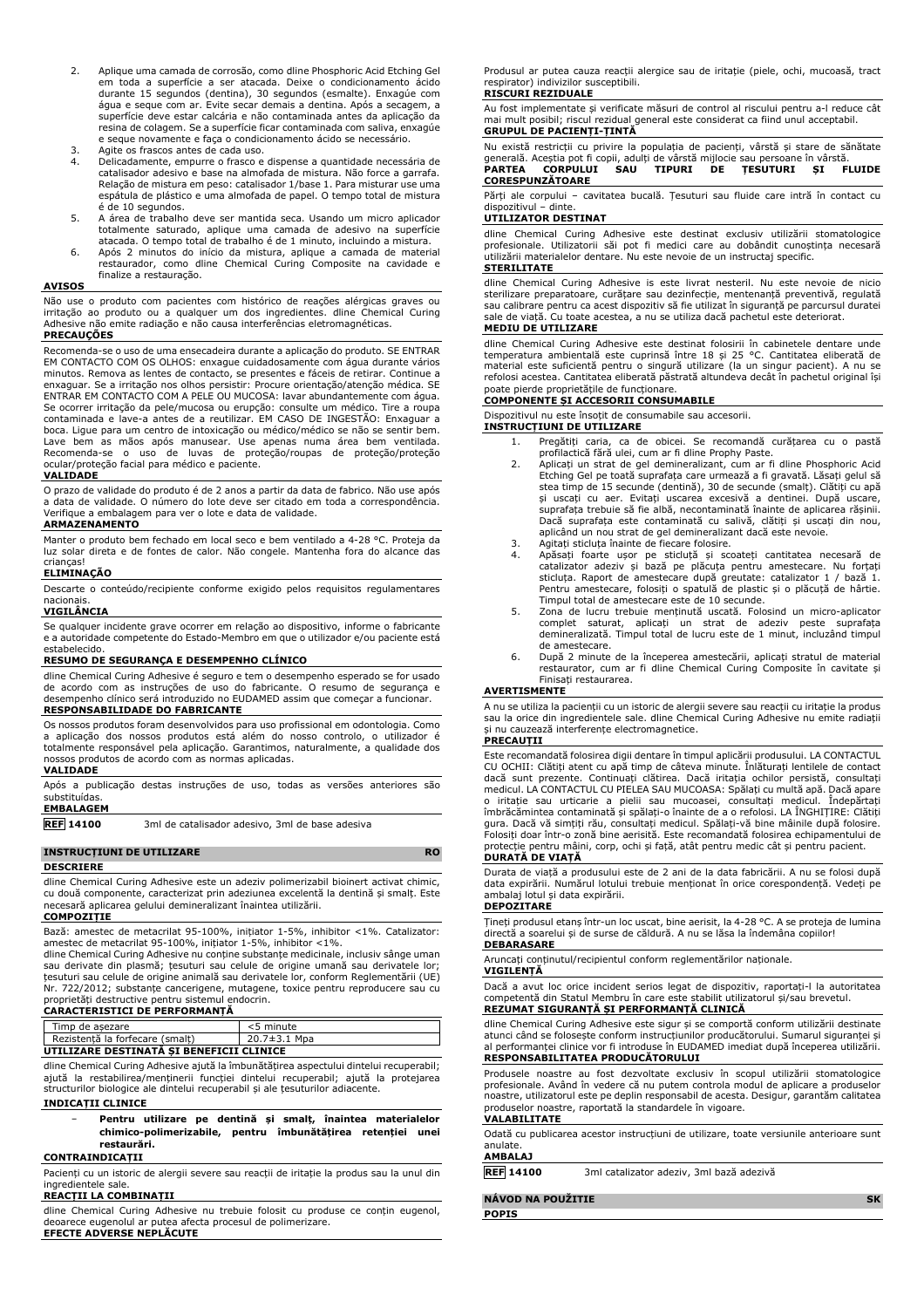- 2. Aplique uma camada de corrosão, como dline Phosphoric Acid Etching Gel em toda a superfície a ser atacada. Deixe o condicionamento ácido durante 15 segundos (dentina), 30 segundos (esmalte). Enxagúe com água e seque com ar. Evite secar demais a dentina. Após a secagem, a superfície deve estar calcária e não contaminada antes da aplicação da resina de colagem. Se a superfície ficar contaminada com saliva, enxagúe e seque novamente e faça o condicionamento ácido se necessário.
- 3. Agite os frascos antes de cada uso.<br>4. Delicadamente, empurre o frasco e
- 4. Delicadamente, empurre o frasco e dispense a quantidade necessária de catalisador adesivo e base na almofada de mistura. Não force a garrafa. Relação de mistura em peso: catalisador 1/base 1. Para misturar use uma espátula de plástico e uma almofada de papel. O tempo total de mistura é de 10 segundos.
- 5. A área de trabalho deve ser mantida seca. Usando um micro aplicador totalmente saturado, aplique uma camada de adesivo na superfície atacada. O tempo total de trabalho é de 1 minuto, incluindo a mistura.
- 6. Após 2 minutos do início da mistura, aplique a camada de material restaurador, como dline Chemical Curing Composite na cavidade e finalize a restauração.

#### **AVISOS**

Não use o produto com pacientes com histórico de reações alérgicas graves ou irritação ao produto ou a qualquer um dos ingredientes. dline Chemical Curing Adhesive não emite radiação e não causa interferências eletromagnéticas.

#### **PRECAUÇÕES**

Recomenda-se o uso de uma ensecadeira durante a aplicação do produto. SE ENTRAR EM CONTACTO COM OS OLHOS: enxague cuidadosamente com água durante vários minutos. Remova as lentes de contacto, se presentes e fáceis de retirar. Continue a enxaguar. Se a irritação nos olhos persistir: Procure orientação/atenção médica. SE ENTRAR EM CONTACTO COM A PELE OU MUCOSA: lavar abundantemente com água. Se ocorrer irritação da pele/mucosa ou erupção: consulte um médico. Tire a roupa contaminada e lave-a antes de a reutilizar. EM CASO DE INGESTÃO: Enxaguar a boca. Ligue para um centro de intoxicação ou médico/médico se não se sentir bem. Lave bem as mãos após manusear. Use apenas numa área bem ventilada. Recomenda-se o uso de luvas de proteção/roupas de proteção/proteção ocular/proteção facial para médico e paciente.

#### **VALIDADE**

O prazo de validade do produto é de 2 anos a partir da data de fabrico. Não use após a data de validade. O número do lote deve ser citado em toda a correspondência. Verifique a embalagem para ver o lote e data de validade. **ARMAZENAMENTO**

Manter o produto bem fechado em local seco e bem ventilado a 4-28 °C. Proteja da luz solar direta e de fontes de calor. Não congele. Mantenha fora do alcance das crianças!

#### **ELIMINAÇÃO**

Descarte o conteúdo/recipiente conforme exigido pelos requisitos regulamentares nacionais.

#### **VIGILÂNCIA**

Se qualquer incidente grave ocorrer em relação ao dispositivo, informe o fabricante e a autoridade competente do Estado-Membro em que o utilizador e/ou paciente está estabelecido.

#### **RESUMO DE SEGURANÇA E DESEMPENHO CLÍNICO**

dline Chemical Curing Adhesive é seguro e tem o desempenho esperado se for usado de acordo com as instruções de uso do fabricante. O resumo de segurança e desempenho clínico será introduzido no EUDAMED assim que começar a funcionar. **RESPONSABILIDADE DO FABRICANTE**

Os nossos produtos foram desenvolvidos para uso profissional em odontologia. Como a aplicação dos nossos produtos está além do nosso controlo, o utilizador é totalmente responsável pela aplicação. Garantimos, naturalmente, a qualidade dos nossos produtos de acordo com as normas aplicadas.

#### **VALIDADE**

Após a publicação destas instruções de uso, todas as versões anteriores são substituídas. **EMBALAGEM**

**REF 14100** 3ml de catalisador adesivo, 3ml de base adesiva

#### **INSTRUCȚIUNI DE UTILIZARE RO**

#### **DESCRIERE**

dline Chemical Curing Adhesive este un adeziv polimerizabil bioinert activat chimic, cu două componente, caracterizat prin adeziunea excelentă la dentină și smalț. Este necesară aplicarea gelului demineralizant înaintea utilizării. **COMPOZIȚIE**

Bază: amestec de metacrilat 95-100%, inițiator 1-5%, inhibitor <1%. Catalizator: amestec de metacrilat 95-100%, inițiator 1-5%, inhibitor <1%.

dline Chemical Curing Adhesive nu conține substanțe medicinale, inclusiv sânge uman sau derivate din plasmă; țesuturi sau celule de origine umană sau derivatele lor; țesuturi sau celule de origine animală sau derivatele lor, conform Reglementării (UE) Nr. 722/2012; substanțe cancerigene, mutagene, toxice pentru reproducere sau cu proprietăți destructive pentru sistemul endocrin.

# **CARACTERISTICI DE PERFORMANȚĂ**

|                                          | Timp de asezare                 | <5 minute          |
|------------------------------------------|---------------------------------|--------------------|
|                                          | Rezistentă la forfecare (smalt) | $20.7 \pm 3.1$ Mpa |
| UTILIZARE DESTINATA SI BENEFICII CLINICE |                                 |                    |

dline Chemical Curing Adhesive ajută la îmbunătățirea aspectului dintelui recuperabil; ajută la restabilirea/menținerii funcției dintelui recuperabil; ajută la protejarea structurilor biologice ale dintelui recuperabil și ale țesuturilor adiacente. **INDICAȚII CLINICE**

#### − **Pentru utilizare pe dentină și smalț, înaintea materialelor chimico-polimerizabile, pentru îmbunătățirea retenției unei restaurări.**

#### **CONTRAINDICAȚII**

Pacienți cu un istoric de alergii severe sau reacții de iritație la produs sau la unul din ingredientele sale.

#### **REACȚII LA COMBINAȚII**

dline Chemical Curing Adhesive nu trebuie folosit cu produse ce conțin eugenol, deoarece eugenolul ar putea afecta procesul de polimerizare. **EFECTE ADVERSE NEPLĂCUTE**

Produsul ar putea cauza reacții alergice sau de iritație (piele, ochi, mucoasă, tract respirator) indivizilor susceptibili.

#### **RISCURI REZIDUALE**

Au fost implementate și verificate măsuri de control al riscului pentru a-l reduce cât mai mult posibil; riscul rezidual general este considerat ca fiind unul acceptabil.

#### **GRUPUL DE PACIENȚI-ȚINTĂ**

Nu există restricții cu privire la populația de pacienți, vârstă și stare de sănătate generală. Aceștia pot fi copii, adulți de vârstă mijlocie sau persoane în vârstă. **PARTEA CORPULUI SAU TIPURI DE ȚESUTURI ȘI FLUIDE CORESPUNZĂTOARE**

Părți ale corpului – cavitatea bucală. Țesuturi sau fluide care intră în contact cu dispozitivul – dinte.

#### **UTILIZATOR DESTINAT**

dline Chemical Curing Adhesive este destinat exclusiv utilizării stomatologice profesionale. Utilizatorii săi pot fi medici care au dobândit cunoștința necesară utilizării materialelor dentare. Nu este nevoie de un instructaj specific.

#### **STERILITATE**

dline Chemical Curing Adhesive is este livrat nesteril. Nu este nevoie de nicio sterilizare preparatoare, curățare sau dezinfecție, mentenanță preventivă, regulată<br>sau calibrare pentru ca acest dispozitiv să fie utilizat în siguranță pe parcursul duratei<br>sale de viață. Cu toate acestea, a nu se utiliz

#### **MEDIU DE UTILIZARE**

dline Chemical Curing Adhesive este destinat folosirii în cabinetele dentare unde<br>temperatura ambientală este cuprinsă între 18 și 25 °C. Cantitatea eliberată de<br>material este suficientă pentru o singură utilizare (la un s refolosi acestea. Cantitatea eliberată păstrată altundeva decât în pachetul original își poate pierde proprietățile de funcționare.

### **COMPONENTE ȘI ACCESORII CONSUMABILE**

Dispozitivul nu este însoțit de consumabile sau accesorii.

**INSTRUCȚIUNI DE UTILIZARE** 1. Pregătiți caria, ca de obicei. Se recomandă curățarea cu o pastă profilactică fără ulei, cum ar fi dline Prophy Paste.

- 2. Aplicați un strat de gel demineralizant, cum ar fi dline Phosphoric Acid Etching Gel pe toată suprafața care urmează a fi gravată. Lăsați gelul să stea timp de 15 secunde (dentină), 30 de secunde (smalț). Clătiți cu apă și uscați cu aer. Evitați uscarea excesivă a dentinei. După uscare, suprafața trebuie să fie albă, necontaminată înainte de aplicarea rășinii. Dacă suprafața este contaminată cu salivă, clătiți și uscați din nou, aplicând un nou strat de gel demineralizant dacă este nevoie.
- 3. Agitați sticluța înainte de fiecare folosire.<br>4. Anăsați foarte usor pe sticlută și sco
- 4. Apăsați foarte ușor pe sticluță și scoateți cantitatea necesară de catalizator adeziv și bază pe plăcuța pentru amestecare. Nu forțați sticluța. Raport de amestecare după greutate: catalizator 1 / bază 1. Pentru amestecare, folosiți o spatulă de plastic și o plăcuță de hârtie.
- Timpul total de amestecare este de 10 secunde. 5. Zona de lucru trebuie menținută uscată. Folosind un micro-aplicator complet saturat, aplicați un strat de adeziv peste suprafața demineralizată. Timpul total de lucru este de 1 minut, incluzând timpul de amestecare.
- 6. După 2 minute de la începerea amestecării, aplicați stratul de material restaurator, cum ar fi dline Chemical Curing Composite în cavitate și Finisați restaurarea.

#### **AVERTISMENTE**

A nu se utiliza la pacienții cu un istoric de alergii severe sau reacții cu iritație la produs sau la orice din ingredientele sale. dline Chemical Curing Adhesive nu emite radiații și nu cauzează interferențe electromagnetice.

#### **PRECAUȚII**

Este recomandată folosirea digii dentare în timpul aplicării produsului. LA CONTACTUL CU OCHII: Clătiți atent cu apă timp de câteva minute. Înlăturați lentilele de contact dacă sunt prezente. Continuați clătirea. Dacă iritația ochilor persistă, consultați medicul. LA CONTACTUL CU PIELEA SAU MUCOASA: Spălați cu multă apă. Dacă apare o iritație sau urticarie a pielii sau mucoasei, consultați medicul. Îndepărtați îmbrăcămintea contaminată și spălați-o înainte de a o refolosi. LA ÎNGHIȚIRE: Clătiți gura. Dacă vă simțiți rău, consultați medicul. Spălați-vă bine mâinile după folosire. Folosiți doar într-o zonă bine aerisită. Este recomandată folosirea echipamentului de protecție pentru mâini, corp, ochi și față, atât pentru medic cât și pentru pacient. **DURATĂ DE VIAȚĂ**

Durata de viață a produsului este de 2 ani de la data fabricării. A nu se folosi după data expirării. Numărul lotului trebuie menționat în orice corespondență. Vedeți pe ambalaj lotul și data expirării.

#### **DEPOZITARE**

Țineți produsul etanș într-un loc uscat, bine aerisit, la 4-28 °C. A se proteja de lumina directă a soarelui și de surse de căldură. A nu se lăsa la îndemâna copiilor!

# **DEBARASARE**

Aruncați conținutul/recipientul conform reglementărilor naționale. **VIGILENȚĂ**

Dacă a avut loc orice incident serios legat de dispozitiv, raportați-l la autoritatea competentă din Statul Membru în care este stabilit utilizatorul și/sau brevetul. **REZUMAT SIGURANȚĂ ȘI PERFORMANȚĂ CLINICĂ**

dline Chemical Curing Adhesive este sigur și se comportă conform utilizării destinate atunci când se folosește conform instrucțiunilor producătorului. Sumarul siguranței și al performanței clinice vor fi introduse în EUDAMED imediat după începerea utilizării. **RESPONSABILITATEA PRODUCĂTORULUI**

Produsele noastre au fost dezvoltate exclusiv în scopul utilizării stomatologice profesionale. Având în vedere că nu putem controla modul de aplicare a produselor noastre, utilizatorul este pe deplin responsabil de acesta. Desigur, garantăm calitatea produselor noastre, raportată la standardele în vigoare.

#### **VALABILITATE**

Odată cu publicarea acestor instrucțiuni de utilizare, toate versiunile anterioare sunt anulate.

#### **AMBALAJ**

**REF 14100** 3ml catalizator adeziv, 3ml bază adezivă

**NÁVOD NA POUŽITIE SK POPIS**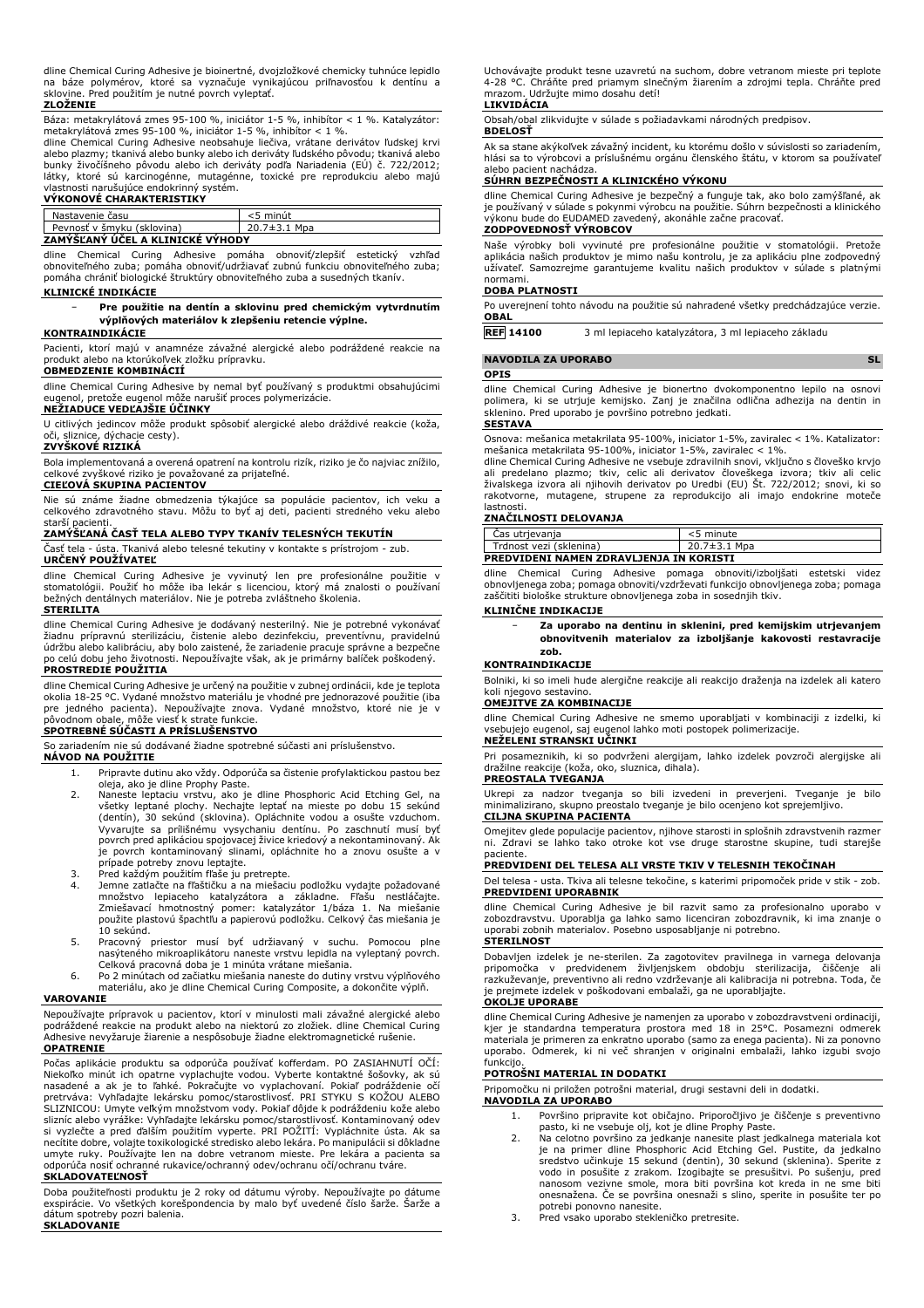dline Chemical Curing Adhesive je bioinertné, dvojzložkové chemicky tuhnúce lepidlo na báze polymérov, ktoré sa vyznačuje vynikajúcou priľnavosťou k dentínu a sklovine. Pred použitím je nutné povrch vyleptať.

#### **ZLOŽENIE**

Báza: metakrylátová zmes 95-100 %, iniciátor 1-5 %, inhibítor < 1 %. Katalyzátor: metakrylátová zmes 95-100 %, iniciátor 1-5 %, inhibítor < 1 %.

dline Chemical Curing Adhesive neobsahuje liečiva, vrátane derivátov ľudskej krvi alebo plazmy; tkanivá alebo bunky alebo ich deriváty ľudského pôvodu; tkanivá alebo bunky živočíšneho pôvodu alebo ich deriváty podľa Nariadenia (EÚ) č. 722/2012; látky, ktoré sú karcinogénne, mutagénne, toxické pre reprodukciu alebo majú

# vlastnosti narušujúce endokrinný systém. **VÝKONOVÉ CHARAKTERISTIKY**

| Nastavenie času                  | <5 minút           |  |
|----------------------------------|--------------------|--|
| Pevnosť v šmyku (sklovina)       | $20.7 \pm 3.1$ Mpa |  |
| ZAMÝŠĽANÝ ÚČEL A KLINICKÉ VÝHODY |                    |  |

dline Chemical Curing Adhesive pomáha obnoviť/zlepšiť estetický vzhľad obnoviteľného zuba; pomáha obnoviť/udržiavať zubnú funkciu obnoviteľného zuba; pomáha chrániť biologické štruktúry obnoviteľného zuba a susedných tkanív.

#### **KLINICKÉ INDIKÁCIE**

#### − **Pre použitie na dentín a sklovinu pred chemickým vytvrdnutím výplňových materiálov k zlepšeniu retencie výplne.**

#### **KONTRAINDIKÁCIE**

Pacienti, ktorí majú v anamnéze závažné alergické alebo podráždené reakcie na produkt alebo na ktorúkoľvek zložku prípravku. **OBMEDZENIE KOMBINÁCIÍ**

dline Chemical Curing Adhesive by nemal byť používaný s produktmi obsahujúcimi eugenol, pretože eugenol môže narušiť proces polymerizácie.

#### **NEŽIADUCE VEDĽAJŠIE ÚČINKY**

U citlivých jedincov môže produkt spôsobiť alergické alebo dráždivé reakcie (koža,<br>oči, sliznice, dýchacie cesty). odince r može pri

#### **ZVYŠKOVÉ RIZIKÁ**

Bola implementovaná a overená opatrení na kontrolu rizík, riziko je čo najviac znížilo,

# celkové zvyškové riziko je považované za prijateľné. **CIEĽOVÁ SKUPINA PACIENTOV**

Nie sú známe žiadne obmedzenia týkajúce sa populácie pacientov, ich veku a celkového zdravotného stavu. Môžu to byť aj deti, pacienti stredného veku alebo

# starší pacienti. **ZAMÝŠĽANÁ ČASŤ TELA ALEBO TYPY TKANÍV TELESNÝCH TEKUTÍN**

Časť tela - ústa. Tkanivá alebo telesné tekutiny v kontakte s prístrojom - zub. **URČENÝ POUŽÍVATEĽ**

dline Chemical Curing Adhesive je vyvinutý len pre profesionálne použitie v stomatológii. Použiť ho môže iba lekár s licenciou, ktorý má znalosti o používaní bežných dentálnych materiálov. Nie je potreba zvláštneho školenia.

#### **STERILITA**

dline Chemical Curing Adhesive je dodávaný nesterilný. Nie je potrebné vykonávať žiadnu prípravnú sterilizáciu, čistenie alebo dezinfekciu, preventívnu, pravidelnú údržbu alebo kalibráciu, aby bolo zaistené, že zariadenie pracuje správne a bezpečne po celú dobu jeho životnosti. Nepoužívajte však, ak je primárny balíček poškodený. **PROSTREDIE POUŽITIA**

dline Chemical Curing Adhesive je určený na použitie v zubnej ordinácii, kde je teplota okolia 18-25 °C. Vydané množstvo materiálu je vhodné pre jednorazové použitie (iba pre jedného pacienta). Nepoužívajte znova. Vydané množstvo, ktoré nie je v pôvodnom obale, môže viesť k strate funkcie. **SPOTREBNÉ SÚČASTI A PRÍSLUŠENSTVO**

So zariadením nie sú dodávané žiadne spotrebné súčasti ani príslušenstvo.

## **NÁVOD NA POUŽITIE**

- 1. Pripravte dutinu ako vždy. Odporúča sa čistenie profylaktickou pastou bez
- oleja, ako je dline Prophy Paste. 2. Naneste leptaciu vrstvu, ako je dline Phosphoric Acid Etching Gel, na všetky leptané plochy. Nechajte leptať na mieste po dobu 15 sekúnd (dentín), 30 sekúnd (sklovina). Opláchnite vodou a osušte vzduchom. Vyvarujte sa prílišnému vysychaniu dentínu. Po zaschnutí musí byť povrch pred aplikáciou spojovacej živice kriedový a nekontaminovaný. Ak je povrch kontaminovaný slinami, opláchnite ho a znovu osušte a v prípade potreby znovu leptajte.
- 
- 3. Pred každým použitím fľaše ju pretrepte.<br>4. Jemne zatlačte na fľaštičku a na miešaciu podložku vydajte požadované<br>2. množstvo lepiaceho katalyzátora a základne. Fľašu nestláčajte.<br>2. miešavací hmotnostný pomer: katalyzá 10 sekúnd.
- 5. Pracovný priestor musí byť udržiavaný v suchu. Pomocou plne nasýteného mikroaplikátoru naneste vrstvu lepidla na vyleptaný povrch. Celková pracovná doba je 1 minúta vrátane miešania.
- 6. Po 2 minútach od začiatku miešania naneste do dutiny vrstvu výplňového materiálu, ako je dline Chemical Curing Composite, a dokončite výplň.

#### **VAROVANIE**

Nepoužívajte prípravok u pacientov, ktorí v minulosti mali závažné alergické alebo podráždené reakcie na produkt alebo na niektorú zo zložiek. dline Chemical Curing Adhesive nevyžaruje žiarenie a nespôsobuje žiadne elektromagnetické rušenie. **OPATRENIE**

Počas aplikácie produktu sa odporúča používať kofferdam. PO ZASIAHNUTÍ OČÍ: Niekoľko minút ich opatrne vyplachujte vodou. Vyberte kontaktné šošovky, ak sú<br>nasadené a ak je to ľahké. Pokračujte vo vyplachovaní. Pokiaľ podráždenie očí<br>pretrváva: Vyhľadajte lekársku pomoc/starostlivosť. PRI STYKU S K SLIZNICOU: Umyte veľkým množstvom vody. Pokiaľ dôjde k podráždeniu kože alebo slizníc alebo vyrážke: Vyhľadajte lekársku pomoc/starostlivosť. Kontaminovaný odev si vyzlečte a pred ďalším použitím vyperte. PRI POŽITÍ: Vypláchnite ústa. Ak sa necítite dobre, volajte toxikologické stredisko alebo lekára. Po manipulácii si dôkladne umyte ruky. Používajte len na dobre vetranom mieste. Pre lekára a pacienta sa odporúča nosiť ochranné rukavice/ochranný odev/ochranu očí/ochranu tváre. **SKLADOVATEĽNOSŤ**

Doba použiteľnosti produktu je 2 roky od dátumu výroby. Nepoužívajte po dátume exspirácie. Vo všetkých korešpondencia by malo byť uvedené číslo šarže. Šarže a dátum spotreby pozri balenia. **SKLADOVANIE**

Uchovávajte produkt tesne uzavretú na suchom, dobre vetranom mieste pri teplote 4-28 °C. Chráňte pred priamym slnečným žiarením a zdrojmi tepla. Chráňte pred mrazom. Udržujte mimo dosahu detí!

#### **LIKVIDÁCIA**

Obsah/obal zlikvidujte v súlade s požiadavkami národných predpisov.

### **BDELOSŤ**

Ak sa stane akýkoľvek závažný incident, ku ktorému došlo v súvislosti so zariadením, hlási sa to výrobcovi a príslušnému orgánu členského štátu, v ktorom sa používateľ

# alebo pacient nachádza. **SÚHRN BEZPEČNOSTI A KLINICKÉHO VÝKONU**

dline Chemical Curing Adhesive je bezpečný a funguje tak, ako bolo zamýšľané, ak je používaný v súlade s pokynmi výrobcu na použitie. Súhrn bezpečnosti a klinického výkonu bude do EUDAMED zavedený, akonáhle začne pracovať.

# **ZODPOVEDNOSŤ VÝROBCOV**

Naše výrobky boli vyvinuté pre profesionálne použitie v stomatológii. Pretože aplikácia našich produktov je mimo našu kontrolu, je za aplikáciu plne zodpovedný užívateľ. Samozrejme garantujeme kvalitu našich produktov v súlade s platnými normami.

#### **DOBA PLATNOSTI**

Po uverejnení tohto návodu na použitie sú nahradené všetky predchádzajúce verzie. **OBAL**

**REF 14100** 3 ml lepiaceho katalyzátora, 3 ml lepiaceho základu

# **NAVODILA ZA UPORABO SL**

### **OPIS**

dline Chemical Curing Adhesive je bionertno dvokomponentno lepilo na osnovi polimera, ki se utrjuje kemijsko. Zanj je značilna odlična adhezija na dentin in sklenino. Pred uporabo je površino potrebno jedkati.

# **SESTAVA**

Osnova: mešanica metakrilata 95-100%, iniciator 1-5%, zaviralec < 1%. Katalizator: mešanica metakrilata 95-100%, iniciator 1-5%, zaviralec < 1%.

dline Chemical Curing Adhesive ne vsebuje zdravilnih snovi, vključno s človeško krvjo<br>ali predelano plazmo; tkiv, celic ali derivatov človeškega izvora; tkiv ali celic<br>živalskega izvora ali njihovih derivatov po rakotvorne, mutagene, strupene za reprodukcijo ali imajo endokrine moteče lastnosti.

# **ZNAČILNOSTI DELOVANJA**

| Cas utrjevanja                                 | <5 minute          |  |
|------------------------------------------------|--------------------|--|
| Trdnost vezi (sklenina)                        | $20.7 \pm 3.1$ Mpa |  |
| <b>PREDVIDENI NAMEN ZDRAVLJENJA IN KORISTI</b> |                    |  |

dline Chemical Curing Adhesive pomaga obnoviti/izboljšati estetski videz obnovljenega zoba; pomaga obnoviti/vzdrževati funkcijo obnovljenega zoba; pomaga zaščititi biološke strukture obnovljenega zoba in sosednjih tkiv.

#### **KLINIČNE INDIKACIJE**

− **Za uporabo na dentinu in sklenini, pred kemijskim utrjevanjem obnovitvenih materialov za izboljšanje kakovosti restavracije zob.**

#### **KONTRAINDIKACIJE**

Bolniki, ki so imeli hude alergične reakcije ali reakcijo draženja na izdelek ali katero koli njegovo sestavino.

# **OMEJITVE ZA KOMBINACIJE**

dline Chemical Curing Adhesive ne smemo uporabljati v kombinaciji z izdelki, ki vsebujejo eugenol, saj eugenol lahko moti postopek polimerizacije. **NEŽELENI STRANSKI UČINKI**

Pri posameznikih, ki so podvrženi alergijam, lahko izdelek povzroči alergijske ali dražilne reakcije (koža, oko, sluznica, dihala). **PREOSTALA TVEGANJA**

Ukrepi za nadzor tveganja so bili izvedeni in preverjeni. Tveganje je bilo minimalizirano, skupno preostalo tveganje je bilo ocenjeno kot sprejemljivo. **CILJNA SKUPINA PACIENTA**

Omejitev glede populacije pacientov, njihove starosti in splošnih zdravstvenih razmer ni. Zdravi se lahko tako otroke kot vse druge starostne skupine, tudi starejše

# paciente. **PREDVIDENI DEL TELESA ALI VRSTE TKIV V TELESNIH TEKOČINAH**

Del telesa - usta. Tkiva ali telesne tekočine, s katerimi pripomoček pride v stik - zob. **PREDVIDENI UPORABNIK**

dline Chemical Curing Adhesive je bil razvit samo za profesionalno uporabo v zobozdravstvu. Uporablja ga lahko samo licenciran zobozdravnik, ki ima znanje o uporabi zobnih materialov. Posebno usposabljanje ni potrebno. **STERILNOST**

Dobavljen izdelek je ne-sterilen. Za zagotovitev pravilnega in varnega delovanja pripomočka v predvidenem življenjskem obdobju sterilizacija, razkuževanje, preventivno ali redno vzdrževanje ali kalibracija ni potrebna. Toda, če je prejmete izdelek v poškodovani embalaži, ga ne uporabljajte.

#### **OKOLJE UPORABE**

dline Chemical Curing Adhesive je namenjen za uporabo v zobozdravstveni ordinaciji, kjer je standardna temperatura prostora med 18 in 25°C. Posamezni odmerek materiala je primeren za enkratno uporabo (samo za enega pacienta). Ni za ponovno uporabo. Odmerek, ki ni več shranjen v originalni embalaži, lahko izgubi svojo funkcijo.

### **POTROŠNI MATERIAL IN DODATKI**

Pripomočku ni priložen potrošni material, drugi sestavni deli in dodatki.

#### **NAVODILA ZA UPORABO**

- 1. Površino pripravite kot običajno. Priporočljivo je čiščenje s preventivno
- pasto, ki ne vsebuje olj, kot je dline Prophy Paste. 2. Na celotno površino za jedkanje nanesite plast jedkalnega materiala kot je na primer dline Phosphoric Acid Etching Gel. Pustite, da jedkalno sredstvo učinkuje 15 sekund (dentin), 30 sekund (sklenina). Sperite z vodo in posušite z zrakom. Izogibajte se presušitvi. Po sušenju, pred nanosom vezivne smole, mora biti površina kot kreda in ne sme biti onesnažena. Če se površina onesnaži s slino, sperite in posušite ter po potrebi ponovno nanesite. 3. Pred vsako uporabo stekleničko pretresite.
-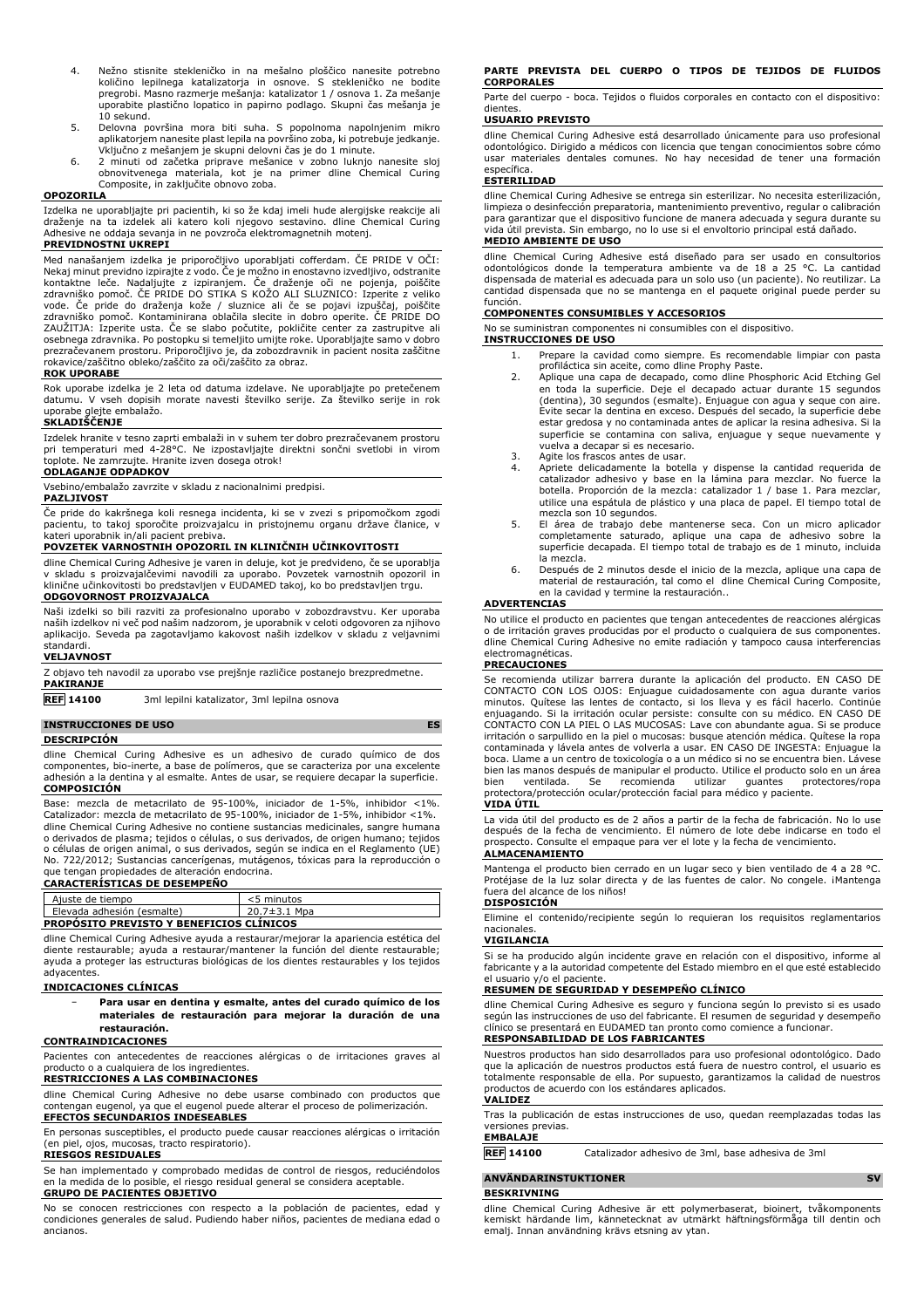- 4. Nežno stisnite stekleničko in na mešalno ploščico nanesite potrebno količino lepilnega katalizatorja in osnove. S stekleničko ne bodite pregrobi. Masno razmerje mešanja: katalizator 1 / osnova 1. Za mešanje uporabite plastično lopatico in papirno podlago. Skupni čas mešanja je 10 sekund.
- 5. Delovna površina mora biti suha. S popolnoma napolnjenim mikro aplikatorjem nanesite plast lepila na površino zoba, ki potrebuje jedkanje.
- Vključno z mešanjem je skupni delovni čas je do 1 minute. 6. 2 minuti od začetka priprave mešanice v zobno luknjo nanesite sloj obnovitvenega materiala, kot je na primer dline Chemical Curing Composite, in zaključite obnovo zoba.

### **OPOZORIL**

Izdelka ne uporabljajte pri pacientih, ki so že kdaj imeli hude alergijske reakcije ali draženje na ta izdelek ali katero koli njegovo sestavino. dline Chemical Curing Adhesive ne oddaja sevanja in ne povzroča elektromagnetnih motenj.

# **PREVIDNOSTNI UKREPI**

Med nanašanjem izdelka je priporočljivo uporabljati cofferdam. ČE PRIDE V OČI: Nekaj minut previdno izpirajte z vodo. Če je možno in enostavno izvedljivo, odstranite kontaktne leče. Nadaljujte z izpiranjem. Če draženje oči ne pojenja, poiščite zdravniško pomoč. ČE PRIDE DO STIKA S KOŽO ALI SLUZNICO: Izperite z veliko vode. Če pride do draženja kože / sluznice ali če se pojavi izpuščaj, poiščite zdravniško pomoč. Kontaminirana oblačila slecite in dobro operite. ČE PRIDE DO ZAUŽITJA: Izperite usta. Če se slabo počutite, pokličite center za zastrupitve ali osebnega zdravnika. Po postopku si temeljito umijte roke. Uporabljajte samo v dobro prezračevanem prostoru. Priporočljivo je, da zobozdravnik in pacient nosita zaščitne rokavice/zaščitno obleko/zaščito za oči/zaščito za obraz.

#### **ROK UPORABE**

Rok uporabe izdelka je 2 leta od datuma izdelave. Ne uporabljajte po pretečenem datumu. V vseh dopisih morate navesti številko serije. Za številko serije in rok uporabe glejte embalažo.

#### **SKLADIŠČENJE**

Izdelek hranite v tesno zaprti embalaži in v suhem ter dobro prezračevanem prostoru pri temperaturi med 4-28°C. Ne izpostavljajte direktni sončni svetlobi in virom toplote. Ne zamrzujte. Hranite izven dosega otrok!

### **ODLAGANJE ODPADKOV**

Vsebino/embalažo zavrzite v skladu z nacionalnimi predpisi.

#### **PAZLJIVOST**

Če pride do kakršnega koli resnega incidenta, ki se v zvezi s pripomočkom zgodi pacientu, to takoj sporočite proizvajalcu in pristojnemu organu države članice, v kateri uporabnik in/ali pacient prebiva.

#### **POVZETEK VARNOSTNIH OPOZORIL IN KLINIČNIH UČINKOVITOSTI**

dline Chemical Curing Adhesive je varen in deluje, kot je predvideno, če se uporablja v skladu s proizvajalčevimi navodili za uporabo. Povzetek varnostnih opozoril in klinične učinkovitosti bo predstavljen v EUDAMED takoj, ko bo predstavljen trgu. **ODGOVORNOST PROIZVAJALCA**

Naši izdelki so bili razviti za profesionalno uporabo v zobozdravstvu. Ker uporaba naših izdelkov ni več pod našim nadzorom, je uporabnik v celoti odgovoren za njihovo aplikacijo. Seveda pa zagotavljamo kakovost naših izdelkov v skladu z veljavnimi standardi.

# **VELJAVNOST**

| Z objavo teh navodil za uporabo vse prejšnje različice postanejo brezpredmetne. |  |
|---------------------------------------------------------------------------------|--|
| <b>PAKIRANJE</b>                                                                |  |

**REF 14100** 3ml lepilni katalizator, 3ml lepilna osnova

#### **INSTRUCCIONES DE USO ES**

**DESCRIPCIÓN**

dline Chemical Curing Adhesive es un adhesivo de curado químico de dos componentes, bio-inerte, a base de polímeros, que se caracteriza por una excelente adhesión a la dentina y al esmalte. Antes de usar, se requiere decapar la superficie. **COMPOSICIÓN**

Base: mezcla de metacrilato de 95-100%, iniciador de 1-5%, inhibidor <1%. Catalizador: mezcla de metacrilato de 95-100%, iniciador de 1-5%, inhibidor <1%. dline Chemical Curing Adhesive no contiene sustancias medicinales, sangre humana o derivados de plasma; tejidos o células, o sus derivados, de origen humano; tejidos o células de origen animal, o sus derivados, según se indica en el Reglamento (UE) No. 722/2012; Sustancias cancerígenas, mutágenos, tóxicas para la reproducción o que tengan propiedades de alteración endocrina. **CARACTERÍSTICAS DE DESEMPEÑO**

| Ajuste de tiempo                                | $<$ 5 minutos |  |
|-------------------------------------------------|---------------|--|
| Elevada adhesión (esmalte)                      | 20.7±3.1 Mpa  |  |
| <b>PROPOSITO PREVISTO Y BENEFICIOS CLÍNICOS</b> |               |  |

dline Chemical Curing Adhesive ayuda a restaurar/mejorar la apariencia estética del diente restaurable; ayuda a restaurar/mantener la función del diente restaurable; ayuda a proteger las estructuras biológicas de los dientes restaurables y los tejidos adyacentes.

#### **INDICACIONES CLÍNICAS**

− **Para usar en dentina y esmalte, antes del curado químico de los materiales de restauración para mejorar la duración de una restauración.**

#### **CONTRAINDICACIONES**

Pacientes con antecedentes de reacciones alérgicas o de irritaciones graves al producto o a cualquiera de los ingredientes.

### **RESTRICCIONES A LAS COMBINACIONES**

dline Chemical Curing Adhesive no debe usarse combinado con productos que contengan eugenol, ya que el eugenol puede alterar el proceso de polimerización. **EFECTOS SECUNDARIOS INDESEABLES**

#### En personas susceptibles, el producto puede causar reacciones alérgicas o irritación (en piel, ojos, mucosas, tracto respiratorio).

**RIESGOS RESIDUALES**

Se han implementado y comprobado medidas de control de riesgos, reduciéndolos en la medida de lo posible, el riesgo residual general se considera aceptable. **GRUPO DE PACIENTES OBJETIVO**

No se conocen restricciones con respecto a la población de pacientes, edad y condiciones generales de salud. Pudiendo haber niños, pacientes de mediana edad o ancianos.

#### **PARTE PREVISTA DEL CUERPO O TIPOS DE TEJIDOS DE FLUIDOS CORPORALES**

Parte del cuerpo - boca. Tejidos o fluidos corporales en contacto con el dispositivo: dientes

#### **USUARIO PREVISTO**

dline Chemical Curing Adhesive está desarrollado únicamente para uso profesional odontológico. Dirigido a médicos con licencia que tengan conocimientos sobre cómo usar materiales dentales comunes. No hay necesidad de tener una formación específica. **ESTERILIDAD**

dline Chemical Curing Adhesive se entrega sin esterilizar. No necesita esterilización, limpieza o desinfección preparatoria, mantenimiento preventivo, regular o calibración para garantizar que el dispositivo funcione de manera adecuada y segura durante su vida útil prevista. Sin embargo, no lo use si el envoltorio principal está dañado. **MEDIO AMBIENTE DE USO**

dline Chemical Curing Adhesive está diseñado para ser usado en consultorios odontológicos donde la temperatura ambiente va de 18 a 25 °C. La cantidad dispensada de material es adecuada para un solo uso (un paciente). No reutilizar. La cantidad dispensada que no se mantenga en el paquete original puede perder su función.

#### **COMPONENTES CONSUMIBLES Y ACCESORIOS**

No se suministran componentes ni consumibles con el dispositivo.

#### **INSTRUCCIONES DE USO**

- 1. Prepare la cavidad como siempre. Es recomendable limpiar con pasta profiláctica sin aceite, como dline Prophy Paste.
- 2. Aplique una capa de decapado, como dline Phosphoric Acid Etching Gel en toda la superficie. Deje el decapado actuar durante 15 segundos (dentina), 30 segundos (esmalte). Enjuague con agua y seque con aire. Evite secar la dentina en exceso. Después del secado, la superficie debe estar gredosa y no contaminada antes de aplicar la resina adhesiva. Si la superficie se contamina con saliva, enjuague y seque nuevamente y vuelva a decapar si es necesario.
- 3. Agite los frascos antes de usar.<br>4. Apriete delicadamente la bote
- Apriete delicadamente la botella y dispense la cantidad requerida de catalizador adhesivo y base en la lámina para mezclar. No fuerce la botella. Proporción de la mezcla: catalizador 1 / base 1. Para mezclar, utilice una espátula de plástico y una placa de papel. El tiempo total de mezcla son 10 segundos.
- 5. El área de trabajo debe mantenerse seca. Con un micro aplicador completamente saturado, aplique una capa de adhesivo sobre la superficie decapada. El tiempo total de trabajo es de 1 minuto, incluida la mezcla.
- 6. Después de 2 minutos desde el inicio de la mezcla, aplique una capa de material de restauración, tal como el dline Chemical Curing Composite, en la cavidad y termine la restauración..

### **ADVERTENCIAS**

No utilice el producto en pacientes que tengan antecedentes de reacciones alérgicas o de irritación graves producidas por el producto o cualquiera de sus componentes. dline Chemical Curing Adhesive no emite radiación y tampoco causa interferencias electromagnéticas.

#### **PRECAUCIONES**

Se recomienda utilizar barrera durante la aplicación del producto. EN CASO DE<br>CONTACTO CON LOS OJOS: Enjuague cuidadosamente con agua durante varios<br>minutos. Quítese las lentes de contacto, si los lleva y es fácil hacerlo. enjuagando. Si la irritación ocular persiste: consulte con su médico. EN CASO DE<br>CONTACTO CON LA PIEL O LAS MUCOSAS: Lave con abundante agua. Si se produce<br>irritación o sarpullido en la piel o mucosas: busque atención médi contaminada y lávela antes de volverla a usar. EN CASO DE INGESTA: Enjuague la boca. Llame a un centro de toxicología o a un médico si no se encuentra bien. Lávese bien las manos después de manipular el producto. Utilice el producto solo en un área bien ventilada. Se recomienda utilizar guantes protectores/ropa protectora/protección ocular/protección facial para médico y paciente.

#### **VIDA ÚTIL**

La vida útil del producto es de 2 años a partir de la fecha de fabricación. No lo use después de la fecha de vencimiento. El número de lote debe indicarse en todo el prospecto. Consulte el empaque para ver el lote y la fecha de vencimiento. **ALMACENAMIENTO**

Mantenga el producto bien cerrado en un lugar seco y bien ventilado de 4 a 28 °C. Protéjase de la luz solar directa y de las fuentes de calor. No congele. ¡Mantenga fuera del alcance de los niños!

# **DISPOSICIÓN**

Elimine el contenido/recipiente según lo requieran los requisitos reglamentarios nacionales.

### **VIGILANCIA**

Si se ha producido algún incidente grave en relación con el dispositivo, informe al fabricante y a la autoridad competente del Estado miembro en el que esté establecido el usuario y/o el paciente.

#### **RESUMEN DE SEGURIDAD Y DESEMPEÑO CLÍNICO**

dline Chemical Curing Adhesive es seguro y funciona según lo previsto si es usado según las instrucciones de uso del fabricante. El resumen de seguridad y desempeño clínico se presentará en EUDAMED tan pronto como comience a funcionar. **RESPONSABILIDAD DE LOS FABRICANTES**

Nuestros productos han sido desarrollados para uso profesional odontológico. Dado que la aplicación de nuestros productos está fuera de nuestro control, el usuario es totalmente responsable de ella. Por supuesto, garantizamos la calidad de nuestros productos de acuerdo con los estándares aplicados. **VALIDEZ**

Tras la publicación de estas instrucciones de uso, quedan reemplazadas todas las versiones previas. **EMBALAJE**

**REF 14100** Catalizador adhesivo de 3ml, base adhesiva de 3ml

# **ANVÄNDARINSTUKTIONER SV**

### **BESKRIVNING**

dline Chemical Curing Adhesive är ett polymerbaserat, bioinert, tvåkomponents kemiskt härdande lim, kännetecknat av utmärkt häftningsförmåga till dentin och emalj. Innan användning krävs etsning av ytan.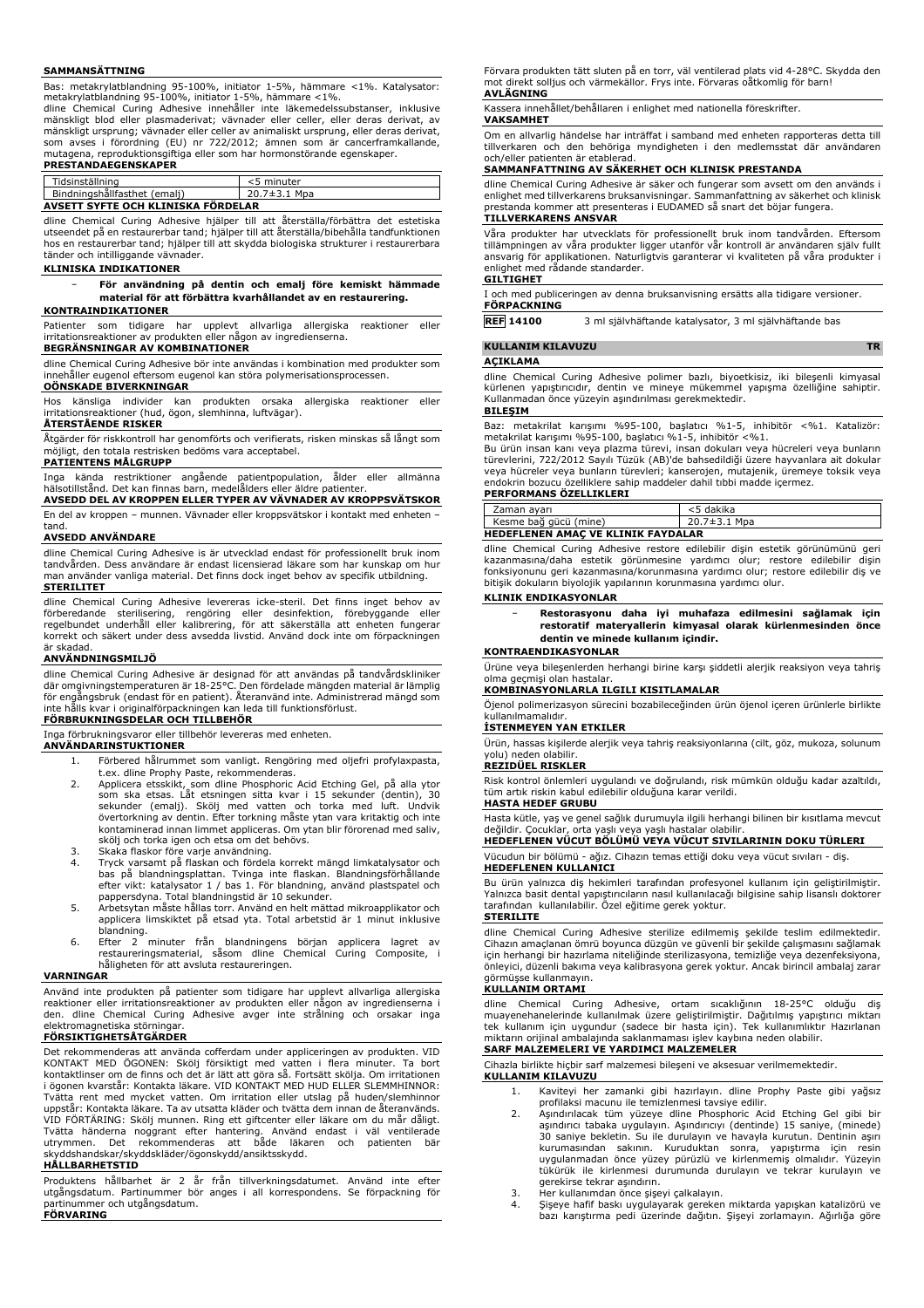#### **SAMMANSÄTTNING**

Bas: metakrylatblandning 95-100%, initiator 1-5%, hämmare <1%. Katalysator:

metakrylatblandning 95-100%, initiator 1-5%, hämmare <1%. dline Chemical Curing Adhesive innehåller inte läkemedelssubstanser, inklusive mänskligt blod eller plasmaderivat; vävnader eller celler, eller deras derivat, av mänskligt ursprung; vävnader eller celler av animaliskt ursprung, eller deras derivat, som avses i förordning (EU) nr 722/2012; ämnen som är cancerframkallande, mutagena, reproduktionsgiftiga eller som har hormonstörande egenskaper. **PRESTANDAEGENSKAPER**

|  | Tidsinställning                        | <5 minuter         |
|--|----------------------------------------|--------------------|
|  | Bindningshållfasthet (emalj)           | $20.7 \pm 3.1$ Mpa |
|  | <br>AVSETT SYFTE OCH KLINISKA FÖRDELAR |                    |

dline Chemical Curing Adhesive hjälper till att återställa/förbättra det estetiska utseendet på en restaurerbar tand; hjälper till att återställa/bibehålla tandfunktionen hos en restaurerbar tand; hjälper till att skydda biologiska strukturer i restaurerbara tänder och intilliggande vävnader.

#### **KLINISKA INDIKATIONER**

− **För användning på dentin och emalj före kemiskt hämmade material för att förbättra kvarhållandet av en restaurering.**

#### **KONTRAINDIKATIONER**

Patienter som tidigare har upplevt allvarliga allergiska reaktioner eller irritationsreaktioner av produkten eller någon av ingredienserna.

### **BEGRÄNSNINGAR AV KOMBINATIONER**

dline Chemical Curing Adhesive bör inte användas i kombination med produkter som innehåller eugenol eftersom eugenol kan störa polymerisationsprocessen. **OÖNSKADE BIVERKNINGAR**

Hos känsliga individer kan produkten orsaka allergiska reaktioner eller irritationsreaktioner (hud, ögon, slemhinna, luftvägar). **ÅTERSTÅENDE RISKER**

Åtgärder för riskkontroll har genomförts och verifierats, risken minskas så långt som möjligt, den totala restrisken bedöms vara acceptabel.

#### **PATIENTENS MÅLGRUPP**

Inga kända restriktioner angăende patientpopulation, älder eller allmänna<br>hälsotillstånd. Det kan finnas barn, medelålders eller äldre eatienter.<br>**AVSEDD DEL AV KROPPEN ELLER TYPER AV VÄVNADER AV KROPPSVÄTSKOR** 

En del av kroppen – munnen. Vävnader eller kroppsvätskor i kontakt med enheten – tand.

#### **AVSEDD ANVÄNDARE**

dline Chemical Curing Adhesive is är utvecklad endast för professionellt bruk inom tandvården. Dess användare är endast licensierad läkare som har kunskap om hur man använder vanliga material. Det finns dock inget behov av specifik utbildning. **STERILITET**

dline Chemical Curing Adhesive levereras icke-steril. Det finns inget behov av förberedande sterilisering, rengöring eller desinfektion, förebyggande eller<br>regelbundet underhåll eller kalibrering, för att säkerställa att enheten fungerar<br>korrekt-och-säkert-under-dess-avsedda-livstid.-Använd-dock-inte är skadad.

#### **ANVÄNDNINGSMILJÖ**

dline Chemical Curing Adhesive är designad för att användas på tandvårdskliniker där omgivningstemperaturen är 18-25°C. Den fördelade mängden material är lämplig för engångsbruk (endast för en patient). Återanvänd inte. Administrerad mängd som inte hålls kvar i originalförpackningen kan leda till funktionsförlust.

# **FÖRBRUKNINGSDELAR OCH TILLBEHÖR**

Inga förbrukningsvaror eller tillbehör levereras med enheten.

- **ANVÄNDARINSTUKTIONER**
	- 1. Förbered hålrummet som vanligt. Rengöring med oljefri profylaxpasta, t.ex. dline Prophy Paste, rekommenderas.
	- 2. Applicera etsskikt, som dline Phosphoric Acid Etching Gel, på alla ytor som ska etsas. Låt etsningen sitta kvar i 15 sekunder (dentin), 30 sekunder (emalj). Skölj med vatten och torka med luft. Undvik övertorkning av dentin. Efter torkning måste ytan vara kritaktig och inte kontaminerad innan limmet appliceras. Om ytan blir förorenad med saliv, skölj och torka igen och etsa om det behövs.
	- 3. Skaka flaskor före varje användning.
	- 4. Tryck varsamt på flaskan och fördela korrekt mängd limkatalysator och bas på blandningsplattan. Tvinga inte flaskan. Blandningsförhållande efter vikt: katalysator 1 / bas 1. För blandning, använd plastspatel och pappersdyna. Total blandningstid är 10 sekunder.
	- 5. Arbetsytan måste hållas torr. Använd en helt mättad mikroapplikator och applicera limskiktet på etsad yta. Total arbetstid är 1 minut inklusive
	- blandning. 6. Efter 2 minuter från blandningens början applicera lagret av restaureringsmaterial, såsom dline Chemical Curing Composite, i håligheten för att avsluta restaureringen.

#### **VARNINGAR**

Använd inte produkten på patienter som tidigare har upplevt allvarliga allergiska reaktioner eller irritationsreaktioner av produkten eller någon av ingredienserna i den. dline Chemical Curing Adhesive avger inte strålning och orsakar inga elektromagnetiska störningar.

#### **FÖRSIKTIGHETSÅTGÄRDER**

Det rekommenderas att använda cofferdam under appliceringen av produkten. VID KONTAKT MED OGONEN: Skölj försiktigt med vatten i flera minuter. Ta bort<br>kontaktlinser om de finns och det är lätt att göra så. Fortsätt skölja. Om irritationen<br>i ögonen kvarstår: Kontakta läkare. VID KONTAKT MED HUD ELLER Tvätta rent med mycket vatten. Om irritation eller utslag på huden/slemhinnor uppstår: Kontakta läkare. Ta av utsatta kläder och tvätta dem innan de återanvänds. VID FORTARING: Skölj munnen. Ring ett giftcenter eller läkare om du mår dåligt.<br>Tvätta händerna noggrant efter hantering. Använd endast i väl ventilerade<br>utrymmen. Det rekommenderas att både läkaren och patienten b skyddshandskar/skyddskläder/ögonskydd/ansiktsskydd.

#### **HÅLLBARHETSTID**

Produktens hållbarhet är 2 år från tillverkningsdatumet. Använd inte efter utgångsdatum. Partinummer bör anges i all korrespondens. Se förpackning för partinummer och utgångsdatum. **FÖRVARING**

Förvara produkten tätt sluten på en torr, väl ventilerad plats vid 4-28°C. Skydda den mot direkt solljus och värmekällor. Frys inte. Förvaras oåtkomlig för barn! **AVLÄGNING**

# Kassera innehållet/behållaren i enlighet med nationella föreskrifter.

**VAKSAMHET**

Om en allvarlig händelse har inträffat i samband med enheten rapporteras detta till tillverkaren och den behöriga myndigheten i den medlemsstat där användaren och/eller patienten är etablerad.

#### **SAMMANFATTNING AV SÄKERHET OCH KLINISK PRESTANDA**

dline Chemical Curing Adhesive är säker och fungerar som avsett om den används i enlighet med tillverkarens bruksanvisningar. Sammanfattning av säkerhet och klinisk prestanda kommer att presenteras i EUDAMED så snart det böjar fungera. **TILLVERKARENS ANSVAR**

Vära produkter har utvecklats för professionellt bruk inom tandvärden. Eftersom<br>tillämpningen av våra produkter ligger utanför vår kontroll är användaren själv fullt<br>ansvarig för applikationen. Naturligtvis garanterar vi k enlighet med rådande standarder.

# **GILTIGHET**

I och med publiceringen av denna bruksanvisning ersätts alla tidigare versioner. **FÖRPACKNING**

**REF 14100** 3 ml självhäftande katalysator, 3 ml självhäftande bas

## **KULLANIM KILAVUZU TR**

#### **AÇIKLAMA**

dline Chemical Curing Adhesive polimer bazlı, biyoetkisiz, iki bileşenli kimyasal kürlenen yapıştırıcıdır, dentin ve mineye mükemmel yapışma özelliğine sahiptir. Kullanmadan önce yüzeyin aşındırılması gerekmektedir. **BILEŞIM**

Baz: metakrilat karışımı %95-100, başlatıcı %1-5, inhibitör <%1. Katalizör: metakrilat karışımı %95-100, başlatıcı %1-5, inhibitör <%1.

Bu ürün insan kanı veya plazma türevi, insan dokuları veya hücreleri veya bunların türevlerini, 722/2012 Sayılı Tüzük (AB)'de bahsedildiği üzere hayvanlara ait dokular<br>veya hücreler veya bunların türevleri; kanserojen, mutajenik, üremeye toksik veya<br>endokrin bozucu özelliklere sahip maddeler dahil tıbbi

# **PERFORMANS ÖZELLIKLERI**

| Zaman avarı                               | <5 dakika    |  |
|-------------------------------------------|--------------|--|
| Kesme bağ gücü (mine)                     | 20.7±3.1 Mpa |  |
| <b>HEDEFLENEN AMAC VE KLINIK FAYDALAR</b> |              |  |

dline Chemical Curing Adhesive restore edilebilir dişin estetik görünümünü geri kazanmasına/daha estetik görünmesine yardımcı olur; restore edilebilir dişin fonksiyonunu geri kazanmasına/korunmasına yardımcı olur; restore edilebilir diş ve bitişik dokuların biyolojik yapılarının korunmasına yardımcı olur.

#### **KLINIK ENDIKASYONLAR**

− **Restorasyonu daha iyi muhafaza edilmesini sağlamak için restoratif materyallerin kimyasal olarak kürlenmesinden önce dentin ve minede kullanım içindir.**

### **KONTRAENDIKASYONLAR**

Ürüne veya bileşenlerden herhangi birine karşı şiddetli alerjik reaksiyon veya tahriş olma geçmişi olan hastalar.

# **KOMBINASYONLARLA ILGILI KISITLAMALAR**

Öjenol polimerizasyon sürecini bozabileceğinden ürün öjenol içeren ürünlerle birlikte kullanılmamalıdır.

#### **İSTENMEYEN YAN ETKILER**

Ürün, hassas kişilerde alerjik veya tahriş reaksiyonlarına (cilt, göz, mukoza, solunum yolu) neden olabilir.

# **REZIDÜEL RISKLER**

Risk kontrol önlemleri uygulandı ve doğrulandı, risk mümkün olduğu kadar azaltıldı, tüm artık riskin kabul edilebilir olduğuna karar verildi. **HASTA HEDEF GRUBU**

Hasta kütle, yaş ve genel sağlık durumuyla ilgili herhangi bilinen bir kısıtlama mevcut değildir. Çocuklar, orta yaşlı veya yaşlı hastalar olabilir. **HEDEFLENEN VÜCUT BÖLÜMÜ VEYA VÜCUT SIVILARININ DOKU TÜRLERI**

Vücudun bir bölümü - ağız. Cihazın temas ettiği doku veya vücut sıvıları - diş.

# **HEDEFLENEN KULLANICI**

Bu ürün yalnızca diş hekimleri tarafından profesyonel kullanım için geliştirilmiştir. Yalnızca basit dental yapıştırıcıların nasıl kullanılacağı bilgisine sahip lisanslı doktorer tarafından kullanılabilir. Özel eğitime gerek yoktur.

#### **STERILITE**

dline Chemical Curing Adhesive sterilize edilmemiş şekilde teslim edilmektedir. Cihazın amaçlanan ömrü boyunca düzgün ve güvenli bir şekilde çalışmasını sağlamak için herhangi bir hazırlama niteliğinde sterilizasyona, temizliğe veya dezenfeksiyona, önleyici, düzenli bakıma veya kalibrasyona gerek yoktur. Ancak birincil ambalaj zarar görmüşse kullanmayın.

#### **KULLANIM ORTAMI**

dline Chemical Curing Adhesive, ortam sıcaklığının 18-25°C olduğu diş muayenehanelerinde kullanılmak üzere geliştirilmiştir. Dağıtılmış yapıştırıcı miktarı tek kullanım için uygundur (sadece bir hasta için). Tek kullanımlıktır Hazırlanan miktarın orijinal ambalajında saklanmaması işlev kaybına neden olabilir. **SARF MALZEMELERI VE YARDIMCI MALZEMELER**

# Cihazla birlikte hiçbir sarf malzemesi bileşeni ve aksesuar verilmemektedir.

**KULLANIM KILAVUZU**

- 1. Kaviteyi her zamanki gibi hazırlayın. dline Prophy Paste gibi yağsız
- profilaksi macunu ile temizlenmesi tavsiye edilir. 2. Aşındırılacak tüm yüzeye dline Phosphoric Acid Etching Gel gibi bir aşındırıcı tabaka uygulayın. Aşındırıcıyı (dentinde) 15 saniye, (minede) 30 saniye bekletin. Su ile durulayın ve havayla kurutun. Dentinin aşırı kurumasından sakının. Kuruduktan sonra, yapıştırma için resin uygulanmadan önce yüzey pürüzlü ve kirlenmemiş olmalıdır. Yüzeyin tükürük ile kirlenmesi durumunda durulayın ve tekrar kurulayın ve gerekirse tekrar aşındırın.
- 
- 3. Her kullanımdan önce şişeyi çalkalayın. 4. Şişeye hafif baskı uygulayarak gereken miktarda yapışkan katalizörü ve bazı karıştırma pedi üzerinde dağıtın. Şişeyi zorlamayın. Ağırlığa göre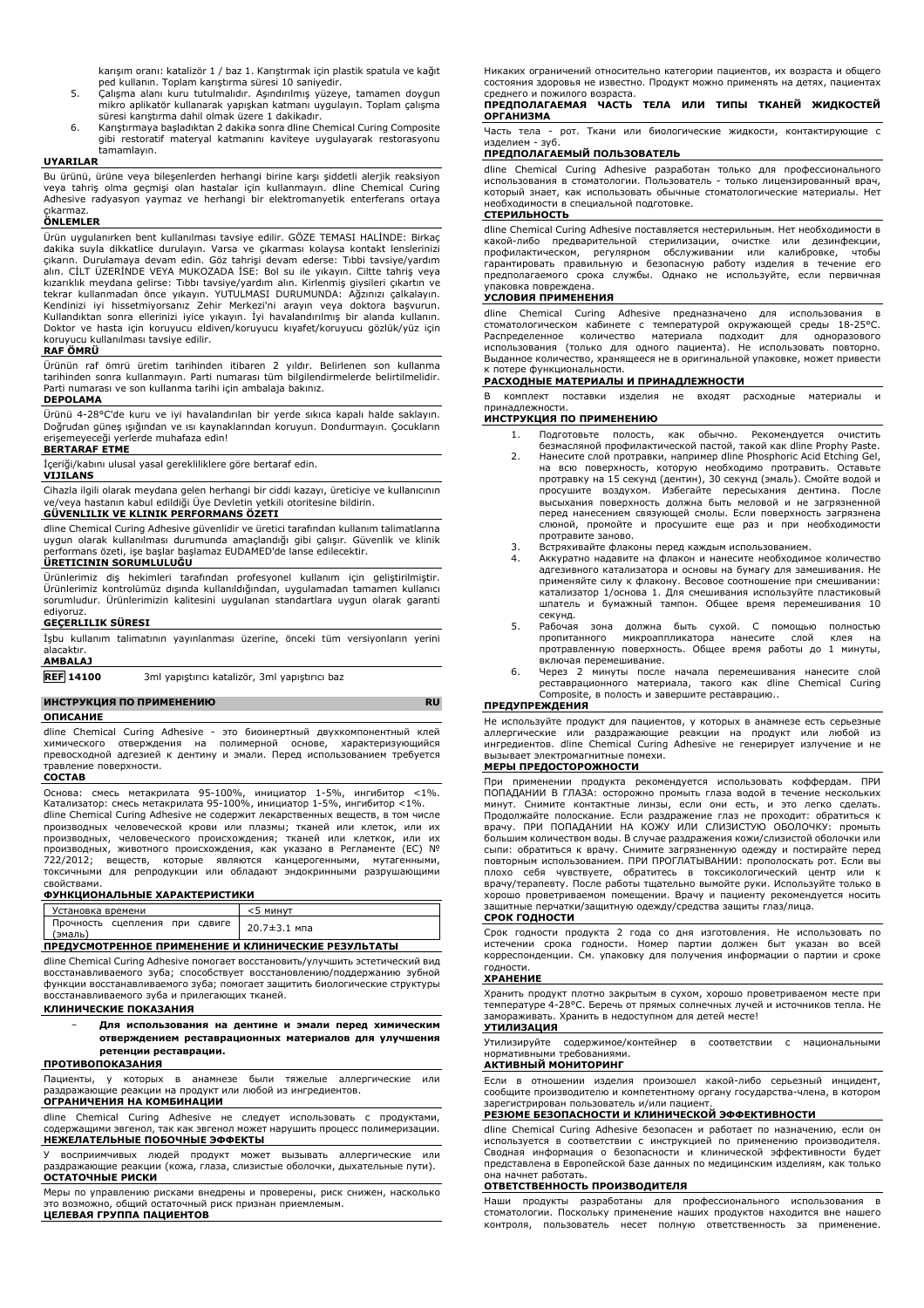karışım oranı: katalizör 1 / baz 1. Karıştırmak için plastik spatula ve kağıt ped kullanın. Toplam karıştırma süresi 10 saniyedir.

- 5. Çalışma alanı kuru tutulmalıdır. Aşındırılmış yüzeye, tamamen doygun mikro aplikatör kullanarak yapışkan katmanı uygulayın. Toplam çalışma
- süresi karıştırma dahil olmak üzere 1 dakikadır. 6. Karıştırmaya başladıktan 2 dakika sonra dline Chemical Curing Composite gibi restoratif materyal katmanını kaviteye uygulayarak restorasyonu tamamlayın.

#### **UYARILAR**

Bu ürünü, ürüne veya bileşenlerden herhangi birine karşı şiddetli alerjik reaksiyon veya tahriş olma geçmişi olan hastalar için kullanmayın. dline Chemical Curing Adhesive radyasyon yaymaz ve herhangi bir elektromanyetik enterferans ortaya

# çıkarmaz. **ÖNLEMLER**

Ürün uygulanırken bent kullanılması tavsiye edilir. GÖZE TEMASI HALİNDE: Birkaç dakika suyla dikkatlice durulayın. Varsa ve çıkarması kolaysa kontakt lenslerinizi çıkarın. Durulamaya devam edin. Göz tahrişi devam ederse: Tıbbi tavsiye/yardım alın. CİLT ÜZERİNDE VEYA MUKOZADA İSE: Bol su ile yıkayın. Ciltte tahriş veya kızarıklık meydana gelirse: Tıbbı tavsiye/yardım alın. Kirlenmiş giysileri çıkartın ve tekrar kullanmadan önce yıkayın. YUTULMASI DURUMUNDA: Ağzınızı çalkalayın. Kendinizi iyi hissetmiyorsanız Zehir Merkezi'ni arayın veya doktora başvurun. Kullandıktan sonra ellerinizi iyice yıkayın. İyi havalandırılmış bir alanda kullanın. Doktor ve hasta için koruyucu eldiven/koruyucu kıyafet/koruyucu gözlük/yüz için koruyucu kullanılması tavsiye edilir.

#### **RAF ÖMRÜ**

Ürünün raf ömrü üretim tarihinden itibaren 2 yıldır. Belirlenen son kullanma tarihinden sonra kullanmayın. Parti numarası tüm bilgilendirmelerde belirtilmelidir. Parti numarası ve son kullanma tarihi için ambalaja bakınız.

#### **DEPOLAMA**

Ürünü 4-28°C'de kuru ve iyi havalandırılan bir yerde sıkıca kapalı halde saklayın. Doğrudan güneş ışığından ve ısı kaynaklarından koruyun. Dondurmayın. Çocukların erişemeyeceği yerlerde muhafaza edin!

#### **BERTARAF ETME**

İçeriği/kabını ulusal yasal gerekliliklere göre bertaraf edin. **VIJILANS**

Cihazla ilgili olarak meydana gelen herhangi bir ciddi kazayı, üreticiye ve kullanıcının ve/veya hastanın kabul edildiği Üye Devletin yetkili otoritesine bildirin.

#### **GÜVENLILIK VE KLINIK PERFORMANS ÖZETI**

dline Chemical Curing Adhesive güvenlidir ve üretici tarafından kullanım talimatlarına uygun olarak kullanılması durumunda amaçlandığı gibi çalışır. Güvenlik ve klinik performans özeti, işe başlar başlamaz EUDAMED'de lanse edilecektir. **ÜRETICININ SORUMLULUĞU**

Ürünlerimiz diş hekimleri tarafından profesyonel kullanım için geliştirilmiştir. Ürünlerimiz kontrolümüz dışında kullanıldığından, uygulamadan tamamen kullanıcı sorumludur. Ürünlerimizin kalitesini uygulanan standartlara uygun olarak garanti ediyoruz.

#### **GEÇERLILIK SÜRESI**

İşbu kullanım talimatının yayınlanması üzerine, önceki tüm versiyonların yerini alacaktır.

#### **AMBALAJ**

**REF 14100** 3ml yapıştırıcı katalizör, 3ml yapıştırıcı baz

#### **ИНСТРУКЦИЯ ПО ПРИМЕНЕНИЮ RU ОПИСАНИЕ**

dline Chemical Curing Adhesive - это биоинертный двухкомпонентный клей химического отверждения на полимерной основе, характеризующийся превосходной адгезией к дентину и эмали. Перед использованием требуется травление поверхности.

#### **СОСТАВ**

Основа: смесь метакрилата 95-100%, инициатор 1-5%, ингибитор <1%. Катализатор: смесь метакрилата 95-100%, инициатор 1-5%, ингибитор <1%. dline Chemical Curing Adhesive не содержит лекарственных веществ, в том числе производных человеческой крови или плазмы; тканей или клеток, или их производных, человеческого происхождения; тканей или клеткок, или их производных, животного происхождения, как указано в Регламенте (ЕС) № 722/2012; веществ, которые являются канцерогенными, мутагенными, токсичными для репродукции или обладают эндокринными разрушающими свойствами.

#### **ФУНКЦИОНАЛЬНЫЕ ХАРАКТЕРИСТИКИ**

| Установка времени                                   | $<$ 5 минут        |
|-----------------------------------------------------|--------------------|
| Прочность сцепления при сдвиге<br>(эмаль)           | $20.7 \pm 3.1$ Mna |
| ПРЕДУСМОТРЕННОЕ ПРИМЕНЕНИЕ И КЛИНИЧЕСКИЕ РЕЗУЛЬТАТЫ |                    |

dline Chemical Curing Adhesive помогает восстановить/улучшить эстетический вид восстанавливаемого зуба; способствует восстановлению/поддержанию зубной функции восстанавливаемого зуба; помогает защитить биологические структуры восстанавливаемого зуба и прилегающих тканей.

#### **КЛИНИЧЕСКИЕ ПОКАЗАНИЯ**

− **Для использования на дентине и эмали перед химическим отверждением реставрационных материалов для улучшения ретенции реставрации.**

# **ПРОТИВОПОКАЗАНИЯ**

Пациенты, у которых в анамнезе были тяжелые аллергические или раздражающие реакции на продукт или любой из ингредиентов. **ОГРАНИЧЕНИЯ НА КОМБИНАЦИИ**

dline Chemical Curing Adhesive не следует использовать с продуктами, содержащими эвгенол, так как эвгенол может нарушить процесс полимеризации. **НЕЖЕЛАТЕЛЬНЫЕ ПОБОЧНЫЕ ЭФФЕКТЫ**

У восприимчивых людей продукт может вызывать аллергические или раздражающие реакции (кожа, глаза, слизистые оболочки, дыхательные пути). **ОСТАТОЧНЫЕ РИСКИ**

Меры по управлению рисками внедрены и проверены, риск снижен, насколько это возможно, общий остаточный риск признан приемлемым. **ЦЕЛЕВАЯ ГРУППА ПАЦИЕНТОВ**

Никаких ограничений относительно категории пациентов, их возраста и общего состояния здоровья не известно. Продукт можно применять на детях, пациентах среднего и пожилого возраста.

#### **ПРЕДПОЛАГАЕМАЯ ЧАСТЬ ТЕЛА ИЛИ ТИПЫ ТКАНЕЙ ЖИДКОСТЕЙ ОРГАНИЗМА**

Часть тела - рот. Ткани или биологические жидкости, контактирующие с изделием - зуб.

# **ПРЕДПОЛАГАЕМЫЙ ПОЛЬЗОВАТЕЛЬ**

dline Chemical Curing Adhesive разработан только для профессионального использования в стоматологии. Пользователь - только лицензированный врач, который знает, как использовать обычные стоматологические материалы. Нет необходимости в специальной подготовке. **СТЕРИЛЬНОСТЬ**

dline Chemical Curing Adhesive поставляется нестерильным. Нет необходимости в какой-либо предварительной стерилизации, очистке или дезинфекции, профилактическом, регулярном обслуживании или калибровке, чтобы гарантировать правильную и безопасную работу изделия в течение его предполагаемого срока службы. Однако не используйте, если первичная упаковка повреждена.

#### **УСЛОВИЯ ПРИМЕНЕНИЯ**

dline Chemical Curing Adhesive предназначено для использования в стоматологическом кабинете с температурой окружающей среды 18-25°C. Распределенное количество материала подходит для одноразового использования (только для одного пациента). Не использовать повторно. Выданное количество, хранящееся не в оригинальной упаковке, может привести к потере функциональности.

# **РАСХОДНЫЕ МАТЕРИАЛЫ И ПРИНАДЛЕЖНОСТИ**

В комплект поставки изделия не входят расходные материалы и принадлежности.

#### **ИНСТРУКЦИЯ ПО ПРИМЕНЕНИЮ**

- 1. Подготовьте полость, как обычно. Рекомендуется очистить
- безмасляной профилактической пастой, такой как dline Prophy Paste. 2. Нанесите слой протравки, например dline Phosphoric Acid Etching Gel, на всю поверхность, которую необходимо протравить. Оставьте протравку на 15 секунд (дентин), 30 секунд (эмаль). Смойте водой и<br>просушите воздухом. Избегайте пересыхания дентина. После<br>высыхания поверхность должна быть меловой и не загрязненной перед нанесением связующей смолы. Если поверхность загрязнена слюной, промойте и просушите еще раз и при необходимости протравите заново.
- 3. Встряхивайте флаконы перед каждым использованием.
- 4. Аккуратно надавите на флакон и нанесите необходимое количество адгезивного катализатора и основы на бумагу для замешивания. Не применяйте силу к флакону. Весовое соотношение при смешивании: катализатор 1/основа 1. Для смешивания используйте пластиковый шпатель и бумажный тампон. Общее время перемешивания 10 секунд.
- 5. Рабочая зона должна быть сухой. С помощью полностью пропитанного микроаппликатора нанесите слой клея на протравленную поверхность. Общее время работы до 1 минуты, включая перемешивание.
- 6. Через 2 минуты после начала перемешивания нанесите слой реставрационного материала, такого как dline Chemical Curing Composite, в полость и завершите реставрацию..

#### **ПРЕДУПРЕЖДЕНИЯ**

Не используйте продукт для пациентов, у которых в анамнезе есть серьезные<br>аллергические или раздражающие реакции на продукт или любой из<br>ингредиентов. dine Chemical Curing Adhesive не генерирует излучение и

#### **МЕРЫ ПРЕДОСТОРОЖНОСТИ**

При применении продукта рекомендуется использовать коффердам. ПРИ ПОПАДАНИИ В ГЛАЗА: осторожно промыть глаза водой в течение нескольких минут. Снимите контактные линзы, если они есть, и это легко сделать. Продолжайте полоскание. Если раздражение глаз не проходит: обратиться к врачу. ПРИ ПОПАДАНИИ НА КОЖУ ИЛИ СЛИЗИСТУЮ ОБОЛОЧКУ: промыть большим количеством воды. В случае раздражения кожи/слизистой оболочки или сыпи: обратиться к врачу. Снимите загрязненную одежду и постирайте перед повторным использованием. ПРИ ПРОГЛАТЫВАНИИ: прополоскать рот. Если вы плохо себя чувствуете, обратитесь в токсикологический центр или к врачу/терапевту. После работы тщательно вымойте руки. Используйте только в хорошо проветриваемом помещении. Врачу и пациенту рекомендуется носить защитные перчатки/защитную одежду/средства защиты глаз/лица.

#### **СРОК ГОДНОСТИ**

Срок годности продукта 2 года со дня изготовления. Не использовать по истечении срока годности. Номер партии должен быт указан во всей корреспонденции. См. упаковку для получения информации о партии и сроке годности.

# **ХРАНЕНИЕ**

Хранить продукт плотно закрытым в сухом, хорошо проветриваемом месте при температуре 4-28°C. Беречь от прямых солнечных лучей и источников тепла. Не замораживать. Хранить в недоступном для детей месте! **УТИЛИЗАЦИЯ**

#### Утилизируйте содержимое/контейнер в соответствии с национальными нормативными требованиями.

#### **АКТИВНЫЙ МОНИТОРИНГ**

Если в отношении изделия произошел какой-либо серьезный инцидент, сообщите производителю и компетентному органу государства-члена, в котором зарегистрирован пользователь и/или пациент.

#### **РЕЗЮМЕ БЕЗОПАСНОСТИ И КЛИНИЧЕСКОЙ ЭФФЕКТИВНОСТИ**

dline Chemical Curing Adhesive безопасен и работает по назначению, если он используется в соответствии с инструкцией по применению производителя. Сводная информация о безопасности и клинической эффективности будет представлена в Европейской базе данных по медицинским изделиям, как только она начнет работать.

#### **ОТВЕТСТВЕННОСТЬ ПРОИЗВОДИТЕЛЯ**

Наши продукты разработаны для профессионального использования в стоматологии. Поскольку применение наших продуктов находится вне нашего контроля, пользователь несет полную ответственность за применение.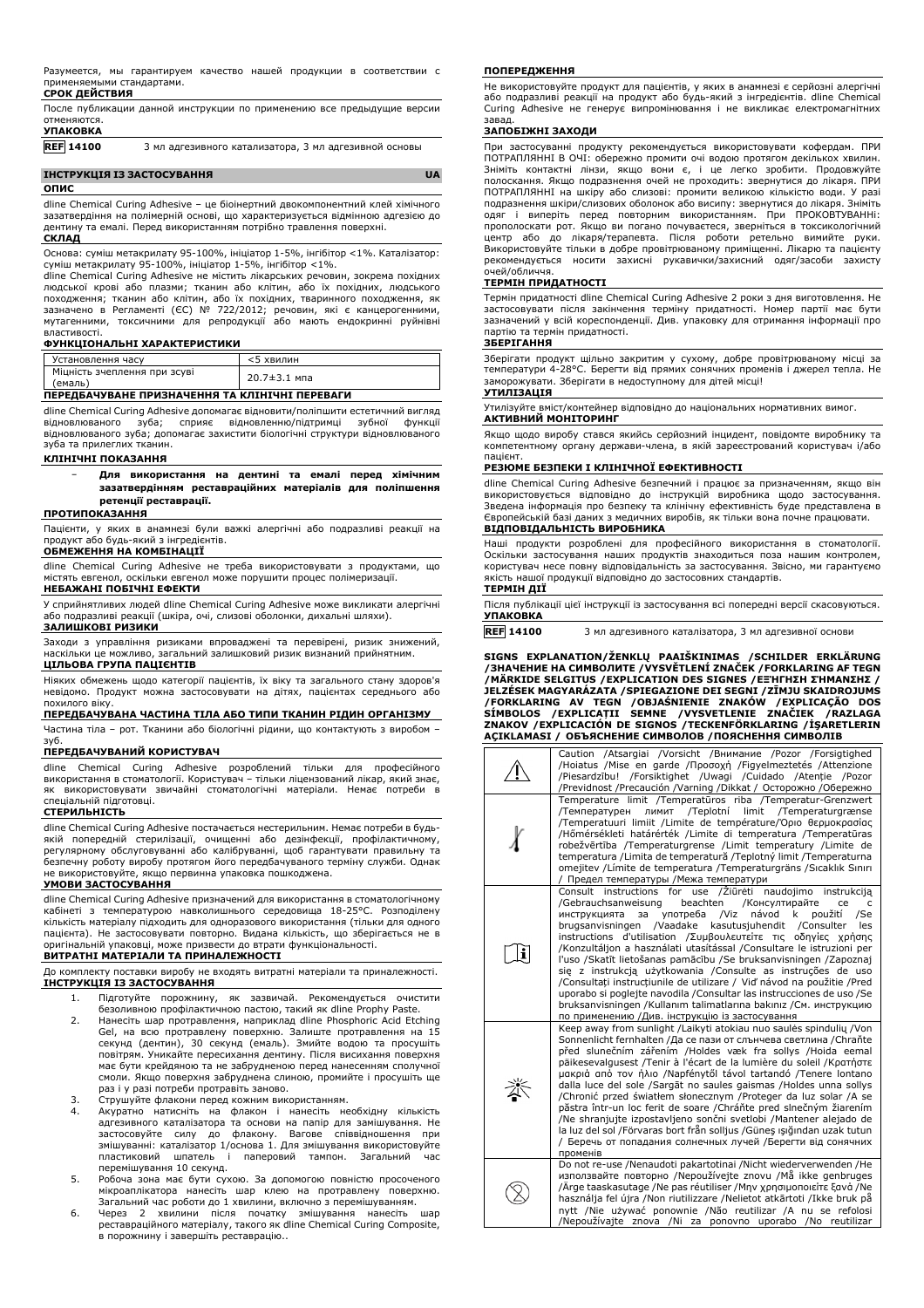|                 |  |  |  |  |  | После публикации данной инструкции по применению все предыдущие версии |  |
|-----------------|--|--|--|--|--|------------------------------------------------------------------------|--|
| отменяются.     |  |  |  |  |  |                                                                        |  |
| <b>УПАКОВКА</b> |  |  |  |  |  |                                                                        |  |
|                 |  |  |  |  |  |                                                                        |  |

# **REF 14100** 3 мл адгезивного катализатора, 3 мл адгезивной основы

#### **ІНСТРУКЦІЯ ІЗ ЗАСТОСУВАННЯ UA ОПИС**

dline Chemical Curing Adhesive – це біоінертний двокомпонентний клей хімічного зазатвердіння на полімерній основі, що характеризується відмінною адгезією до дентину та емалі. Перед використанням потрібно травлення поверхні. **СКЛАД**

Основа: суміш метакрилату 95-100%, ініціатор 1-5%, інгібітор <1%. Каталізатор: суміш метакрилату 95-100%, ініціатор 1-5%, інгібітор <1%.

dline Chemical Curing Adhesive не містить лікарських речовин, зокрема похідних людської крові або плазми; тканин або клітин, або їх похідних, людського походження; тканин або клітин, або їх похідних, тваринного походження, як<br>зазначено в Регламенті (ЄС) № 722/2012; речовин, які є канцерогенними,<br>мутагенними, токсичними для репродукції або мають ендокринні руйнівні властивості.

#### **ФУНКЦІОНАЛЬНІ ХАРАКТЕРИСТИКИ**

| Установлення часу                       | $5$ хвилин         |
|-----------------------------------------|--------------------|
| Міцність зчеплення при зсуві<br>(емаль) | $20.7 \pm 3.1$ мпа |

# **ПЕРЕДБАЧУВАНЕ ПРИЗНАЧЕННЯ ТА КЛІНІЧНІ ПЕРЕВАГИ**

dline Chemical Curing Adhesive допомагає відновити/поліпшити естетичний вигляд<br>відновлюваного зуба; сприяє відновленню/підтримці зубної функції виба; сприяє відновленню/підтримці відновлюваного зуба; допомагає захистити біологічні структури відновлюваного зуба та прилеглих тканин.

#### **КЛІНІЧНІ ПОКАЗАННЯ**

− **Для використання на дентині та емалі перед хімічним зазатвердінням реставраційних матеріалів для поліпшення ретенції реставрації.**

#### **ПРОТИПОКАЗАННЯ**

Пацієнти, у яких в анамнезі були важкі алергічні або подразливі реакції на продукт або будь-який з інгредієнтів.

#### **ОБМЕЖЕННЯ НА КОМБІНАЦІЇ**

dline Chemical Curing Adhesive не треба використовувати з продуктами, що містять евгенол, оскільки евгенол може порушити процес полімеризації. **НЕБАЖАНІ ПОБІЧНІ ЕФЕКТИ**

У сприйнятливих людей dline Chemical Curing Adhesive може викликати алергічні або подразливі реакції (шкіра, очі, слизові оболонки, дихальні шляхи). **ЗАЛИШКОВІ РИЗИКИ**

Заходи з управління ризиками впроваджені та перевірені, ризик знижений, наскільки це можливо, загальний залишковий ризик визнаний прийнятним. **ЦІЛЬОВА ГРУПА ПАЦІЄНТІВ**

Ніяких обмежень щодо категорії пацієнтів, їх віку та загального стану здоров'я невідомо. Продукт можна застосовувати на дітях, пацієнтах середнього або похилого віку.

### **ПЕРЕДБАЧУВАНА ЧАСТИНА ТІЛА АБО ТИПИ ТКАНИН РІДИН ОРГАНІЗМУ**

Частина тіла – рот. Тканини або біологічні рідини, що контактують з виробом – зуб.

#### **ПЕРЕДБАЧУВАНИЙ КОРИСТУВАЧ**

dline Chemical Curing Adhesive розроблений тільки для професійного використання в стоматології. Користувач – тільки ліцензований лікар, який знає, як використовувати звичайні стоматологічні матеріали. Немає потреби в спеціальній підготовці.

#### **СТЕРИЛЬНІСТЬ**

dline Chemical Curing Adhesive постачається нестерильним. Немає потреби в будьякій попередній стерилізації, очищенні або дезінфекції, профілактичному, регулярному обслуговуванні або калібруванні, щоб гарантувати правильну та безпечну роботу виробу протягом його передбачуваного терміну служби. Однак не використовуйте, якщо первинна упаковка пошкоджена.

#### **УМОВИ ЗАСТОСУВАННЯ**

dline Chemical Curing Adhesive призначений для використання в стоматологічному кабінеті з температурою навколишнього середовища 18-25°C. Розподілену кількість матеріалу підходить для одноразового використання (тільки для одного пацієнта). Не застосовувати повторно. Видана кількість, що зберігається не в оригінальній упаковці, може призвести до втрати функціональності. **ВИТРАТНІ МАТЕРІАЛИ ТА ПРИНАЛЕЖНОСТІ**

#### До комплекту поставки виробу не входять витратні матеріали та приналежності. **ІНСТРУКЦІЯ ІЗ ЗАСТОСУВАННЯ**

- 1. Підготуйте порожнину, як зазвичай. Рекомендується очистити
- безоливною профілактичною пастою, такий як dline Prophy Paste. 2. Нанесіть шар протравлення, наприклад dline Phosphoric Acid Etching Gel, на всю протравлену поверхню. Залиште протравлення на 15 секунд (дентин), 30 секунд (емаль). Змийте водою та просушіть повітрям. Уникайте пересихання дентину. Після висихання поверхня має бути крейдяною та не забрудненою перед нанесенням сполучної смоли. Якщо поверхня забруднена слиною, промийте і просушіть ще раз і у разі потреби протравіть заново.
- 
- 3. Струшуйте флакони перед кожним використанням. 4. Акуратно натисніть на флакон і нанесіть необхідну кількість адгезивного каталізатора та основи на папір для замішування. Не застосовуйте силу до флакону. Вагове співвідношення при змішуванні: каталізатор 1/основа 1. Для змішування використовуйте пластиковий шпатель і паперовий тампон. Загальний час перемішування 10 секунд.
- 5. Робоча зона має бути сухою. За допомогою повністю просоченого мікроаплікатора нанесіть шар клею на протравлену поверхню. Загальний час роботи до 1 хвилини, включно з перемішуванням.
- 6. Через 2 хвилини після початку змішування нанесіть шар реставраційного матеріалу, такого як dline Chemical Curing Composite, в порожнину і завершіть реставрацію..

#### **ПОПЕРЕДЖЕННЯ**

Не використовуйте продукт для пацієнтів, у яких в анамнезі є серйозні алергічні або подразливі реакції на продукт або будь-який з інгредієнтів. dline Chemical Curing Adhesive не генерує випромінювання і не викликає електромагнітних завад.

### **ЗАПОБІЖНІ ЗАХОДИ**

При застосуванні продукту рекомендується використовувати кофердам. ПРИ ПОТРАПЛЯННІ В ОЧІ: обережно промити очі водою протягом декількох хвилин. Зніміть контактні лінзи, якщо вони є, і це легко зробити. Продовжуйте<br>полоскання. Якщо подразнення очей не проходить: звернутися до лікаря. ПРИ<br>ПОТРАПЛЯННІ на шкіру або слизові: промити великою кількістю води. У разі подразнення шкіри/слизових оболонок або висипу: звернутися до лікаря. Зніміть одяг і виперіть перед повторним використанням. При ПРОКОВТУВАННі: прополоскати рот. Якщо ви погано почуваєтеся, зверніться в токсикологічний центр або до лікаря/терапевта. Після роботи ретельно вимийте руки. Використовуйте тільки в добре провітрюваному приміщенні. Лікарю та пацієнту рекомендується носити захисні рукавички/захисний одяг/засоби захисту очей/обличчя.

#### **ТЕРМІН ПРИДАТНОСТІ**

Термін придатності dline Chemical Curing Adhesive 2 роки з дня виготовлення. Не застосовувати після закінчення терміну придатності. Номер партії має бути зазначений у всій кореспонденції. Див. упаковку для отримання інформації про партію та термін придатності.

#### **ЗБЕРІГАННЯ**

Зберігати продукт щільно закритим у сухому, добре провітрюваному місці за температури 4-28°C. Берегти від прямих сонячних променів і джерел тепла. Не заморожувати. Зберігати в недоступному для дітей місці!

# **УТИЛІЗАЦІЯ**

Утилізуйте вміст/контейнер відповідно до національних нормативних вимог. **АКТИВНИЙ МОНІТОРИНГ**

Якщо щодо виробу стався якийсь серйозний інцидент, повідомте виробнику та компетентному органу держави-члена, в якій зареєстрований користувач і/або пацієнт.

#### **РЕЗЮМЕ БЕЗПЕКИ І КЛІНІЧНОЇ ЕФЕКТИВНОСТІ**

dline Chemical Curing Adhesive безпечний і працює за призначенням, якщо він використовується відповідно до інструкцій виробника щодо застосування.<br>Зведена інформація про безпеку та клінічну ефективність буде представлена в<br>Європейськійбазі даних з медичних виробів, як тільки вона почне працювати. **ВІДПОВІДАЛЬНІСТЬ ВИРОБНИКА**

Наші продукти розроблені для професійного використання в стоматології. Оскільки застосування наших продуктів знаходиться поза нашим контролем, користувач несе повну відповідальність за застосування. Звісно, ми гарантуємо якість нашої продукції відповідно до застосовних стандартів.

#### **ТЕРМІН ДІЇ**

| Після публікації цієї інструкції із застосування всі попередні версії скасовуються. |  |
|-------------------------------------------------------------------------------------|--|
| <b>УПАКОВКА</b>                                                                     |  |

**REF 14100** 3 мл адгезивного каталізатора, 3 мл адгезивної основи

**SIGNS EXPLANATION/ŽENKLŲ PAAIŠKINIMAS /SCHILDER ERKLÄRUNG /ЗНАЧЕНИЕ НА СИМВОЛИТЕ /VYSVĚTLENÍ ZNAČEK /FORKLARING AF TEGN** /MARKIDE SELGITUS /EXPLICATION DES SIGNES /ΕΞΉΓΗΣΗ ΣΉΜΑΝΣΗΣ /<br>JELZÉSEK MAGYARÁZATA /SPIEGAZIONE DEI SEGNI /ZĪMJU SKAIDROJUMS /FORKLARING AV TEGN /OBJASNIENIE ZNAKOW /EXPLICAÇAO DOS<br>SÍMBOLOS /EXPLICAȚII SEMNE /VYSVETLENIE ZNAČIEK /RAZLAGA<br>ZNAKOV /EXPLICACIÓN DE SIGNOS /TECKENFÖRKLARING /İŞARETLERIN<br>AÇIKLAMASI / ОБЪЯСНЕНИЕ СИМВОЛОВ /ПОЯСНЕННЯ СИМ

| Caution /Atsargiai /Vorsicht /Внимание /Pozor /Forsigtighed<br>/Hoiatus /Mise en garde /Προσοχή /Figyelmeztetés /Attenzione<br>/Piesardzību! /Forsiktighet /Uwagi /Cuidado /Atenție /Pozor<br>/Previdnost /Precaución /Varning /Dikkat / Осторожно /Обережно                                                                                                                                                                                                                                                                                                                                                                                                                                                                                                                                                                   |
|--------------------------------------------------------------------------------------------------------------------------------------------------------------------------------------------------------------------------------------------------------------------------------------------------------------------------------------------------------------------------------------------------------------------------------------------------------------------------------------------------------------------------------------------------------------------------------------------------------------------------------------------------------------------------------------------------------------------------------------------------------------------------------------------------------------------------------|
| Temperature limit /Temperatūros riba /Temperatur-Grenzwert<br>лимит /Teplotní limit /Temperaturgrænse<br>/Температурен<br>/Temperatuuri limiit /Limite de température/Όριο θερμοκρασίας<br>/Hőmérsékleti határérték /Limite di temperatura /Temperatūras<br>robežvērtība /Temperaturgrense /Limit temperatury /Limite de<br>temperatura / Limita de temperatură / Teplotný limit / Temperaturna<br>omejitev / Límite de temperatura / Temperaturgräns / Sıcaklık Sınırı<br>/ Предел температуры /Межа температури                                                                                                                                                                                                                                                                                                              |
| naudojimo instrukcija<br>Consult instructions for use / Ziūrėti<br>/Gebrauchsanweisung<br>beachten<br>/Консултирайте<br>ce<br>c<br>návod<br>použití<br>употреба /Viz<br>k<br>/Se<br>инструкцията<br>за<br>/Vaadake kasutusjuhendit /Consulter<br>les<br>brugsanvisningen<br>instructions d'utilisation /Συμβουλευτείτε τις οδηγίες χρήσης<br>/Konzultáljon a használati utasítással /Consultare le istruzioni per<br>l'uso /Skatīt lietošanas pamācību /Se bruksanvisningen /Zapoznaj<br>sie z instrukcją użytkowania /Consulte as instruções de uso<br>/Consultati instructiunile de utilizare / Vid' návod na použitie /Pred<br>uporabo si poglejte navodila / Consultar las instrucciones de uso / Se<br>bruksanvisningen /Kullanım talimatlarına bakınız /См. инструкцию<br>по применению /Див. інструкцію із застосування |
| Keep away from sunlight /Laikyti atokiau nuo saulės spindulių /Von<br>Sonnenlicht fernhalten /Да се пази от слънчева светлина /Chraňte<br>před slunečním zářením /Holdes væk fra sollys /Hoida eemal<br>päikesevalgusest /Tenir à l'écart de la lumière du soleil /Kparnore<br>μακριά από τον ήλιο /Napfénytől távol tartandó /Tenere lontano<br>dalla luce del sole /Sargāt no saules gaismas /Holdes unna sollys<br>/Chronić przed światłem słonecznym /Proteger da luz solar /A se<br>păstra într-un loc ferit de soare /Chráňte pred slnečným žiarením<br>/Ne shranjujte izpostavljeno sončni svetlobi /Mantener alejado de<br>la luz del sol /Förvaras bort från solljus /Günes ışığından uzak tutun<br>/ Беречь от попадания солнечных лучей /Берегти від сонячних<br>променів                                           |
| Do not re-use /Nenaudoti pakartotinai /Nicht wiederverwenden /He<br>използвайте повторно /Nepoužívejte znovu /Må ikke genbruges<br>Ärge taaskasutage /Ne pas réutiliser /Μην χρησιμοποιείτε ξανά /Ne<br>használja fel újra /Non riutilizzare /Nelietot atkārtoti /Ikke bruk på<br>nytt /Nie używać ponownie /Não reutilizar /A nu se refolosi<br>/Nepoužívajte znova /Ni za ponovno uporabo /No reutilizar                                                                                                                                                                                                                                                                                                                                                                                                                     |